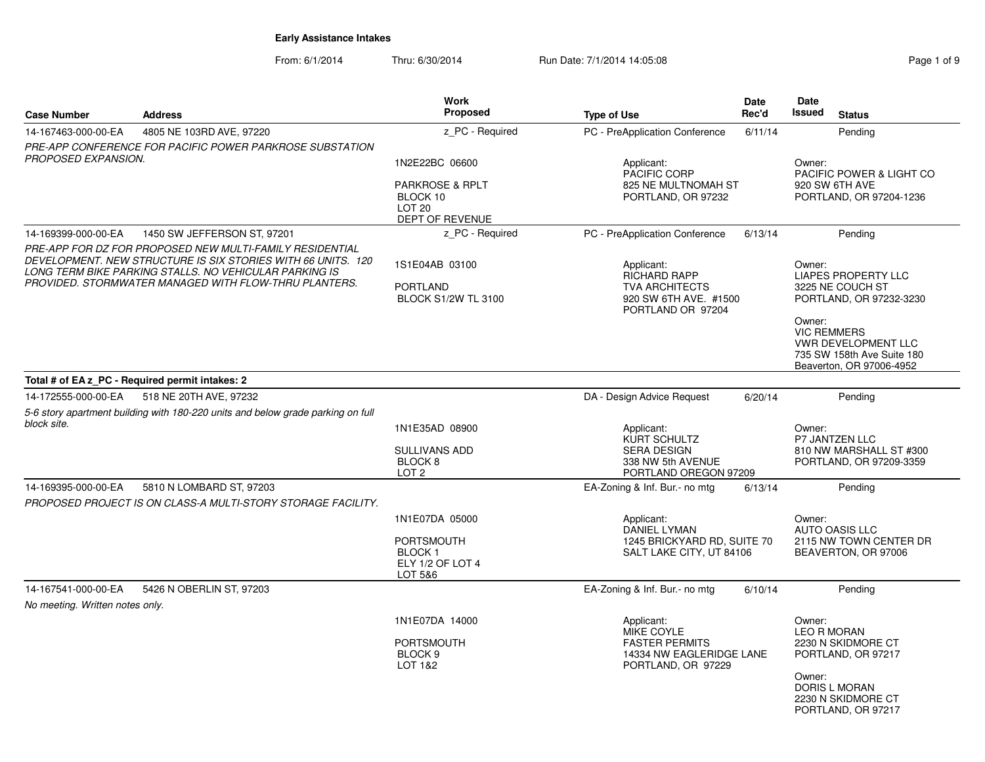From: 6/1/2014Thru: 6/30/2014 Run Date: 7/1/2014 14:05:08 Research 2010 2014 14:05:08

| <b>Case Number</b>                                                                                                                                                                                                                          | <b>Address</b>                                                                  | <b>Work</b><br>Proposed                                                             | <b>Type of Use</b>                                                                                       | <b>Date</b><br>Rec'd | Date<br><b>Issued</b>                                                               | <b>Status</b>                                                                                              |
|---------------------------------------------------------------------------------------------------------------------------------------------------------------------------------------------------------------------------------------------|---------------------------------------------------------------------------------|-------------------------------------------------------------------------------------|----------------------------------------------------------------------------------------------------------|----------------------|-------------------------------------------------------------------------------------|------------------------------------------------------------------------------------------------------------|
| 14-167463-000-00-EA                                                                                                                                                                                                                         | 4805 NE 103RD AVE, 97220                                                        | z_PC - Required                                                                     | PC - PreApplication Conference                                                                           | 6/11/14              |                                                                                     | Pending                                                                                                    |
|                                                                                                                                                                                                                                             | PRE-APP CONFERENCE FOR PACIFIC POWER PARKROSE SUBSTATION                        |                                                                                     |                                                                                                          |                      |                                                                                     |                                                                                                            |
| PROPOSED EXPANSION.                                                                                                                                                                                                                         |                                                                                 | 1N2E22BC 06600                                                                      | Applicant:<br>PACIFIC CORP                                                                               |                      | Owner:                                                                              | PACIFIC POWER & LIGHT CO                                                                                   |
|                                                                                                                                                                                                                                             |                                                                                 | <b>PARKROSE &amp; RPLT</b><br>BLOCK 10<br><b>LOT 20</b><br>DEPT OF REVENUE          | 825 NE MULTNOMAH ST<br>PORTLAND, OR 97232                                                                |                      |                                                                                     | 920 SW 6TH AVE<br>PORTLAND, OR 97204-1236                                                                  |
| 14-169399-000-00-EA                                                                                                                                                                                                                         | 1450 SW JEFFERSON ST, 97201                                                     | z PC - Required                                                                     | PC - PreApplication Conference                                                                           | 6/13/14              |                                                                                     | Pending                                                                                                    |
| PRE-APP FOR DZ FOR PROPOSED NEW MULTI-FAMILY RESIDENTIAL<br>DEVELOPMENT. NEW STRUCTURE IS SIX STORIES WITH 66 UNITS. 120<br>LONG TERM BIKE PARKING STALLS. NO VEHICULAR PARKING IS<br>PROVIDED. STORMWATER MANAGED WITH FLOW-THRU PLANTERS. |                                                                                 | 1S1E04AB 03100<br><b>PORTLAND</b><br><b>BLOCK S1/2W TL 3100</b>                     | Applicant:<br><b>RICHARD RAPP</b><br><b>TVA ARCHITECTS</b><br>920 SW 6TH AVE. #1500<br>PORTLAND OR 97204 |                      | Owner:<br><b>LIAPES PROPERTY LLC</b><br>3225 NE COUCH ST<br>PORTLAND, OR 97232-3230 |                                                                                                            |
|                                                                                                                                                                                                                                             |                                                                                 |                                                                                     |                                                                                                          |                      | Owner:                                                                              | <b>VIC REMMERS</b><br><b>VWR DEVELOPMENT LLC</b><br>735 SW 158th Ave Suite 180<br>Beaverton, OR 97006-4952 |
|                                                                                                                                                                                                                                             | Total # of EA z PC - Required permit intakes: 2                                 |                                                                                     |                                                                                                          |                      |                                                                                     |                                                                                                            |
| 14-172555-000-00-EA                                                                                                                                                                                                                         | 518 NE 20TH AVE, 97232                                                          |                                                                                     | DA - Design Advice Request                                                                               | 6/20/14              |                                                                                     | Pending                                                                                                    |
|                                                                                                                                                                                                                                             | 5-6 story apartment building with 180-220 units and below grade parking on full |                                                                                     |                                                                                                          |                      |                                                                                     |                                                                                                            |
| block site.                                                                                                                                                                                                                                 |                                                                                 | 1N1E35AD 08900<br><b>SULLIVANS ADD</b><br>BLOCK <sub>8</sub><br>LOT <sub>2</sub>    | Applicant:<br>KURT SCHULTZ<br><b>SERA DESIGN</b><br>338 NW 5th AVENUE<br>PORTLAND OREGON 97209           |                      | Owner:                                                                              | <b>P7 JANTZEN LLC</b><br>810 NW MARSHALL ST #300<br>PORTLAND, OR 97209-3359                                |
| 14-169395-000-00-EA                                                                                                                                                                                                                         | 5810 N LOMBARD ST, 97203                                                        |                                                                                     | EA-Zoning & Inf. Bur.- no mtg                                                                            | 6/13/14              |                                                                                     | Pending                                                                                                    |
|                                                                                                                                                                                                                                             | PROPOSED PROJECT IS ON CLASS-A MULTI-STORY STORAGE FACILITY.                    |                                                                                     |                                                                                                          |                      |                                                                                     |                                                                                                            |
|                                                                                                                                                                                                                                             |                                                                                 | 1N1E07DA 05000<br><b>PORTSMOUTH</b><br><b>BLOCK1</b><br>ELY 1/2 OF LOT 4<br>LOT 5&6 | Applicant:<br><b>DANIEL LYMAN</b><br>1245 BRICKYARD RD, SUITE 70<br>SALT LAKE CITY, UT 84106             |                      | Owner:                                                                              | AUTO OASIS LLC<br>2115 NW TOWN CENTER DR<br>BEAVERTON, OR 97006                                            |
| 14-167541-000-00-EA                                                                                                                                                                                                                         | 5426 N OBERLIN ST, 97203                                                        |                                                                                     | EA-Zoning & Inf. Bur.- no mtg                                                                            | 6/10/14              |                                                                                     | Pending                                                                                                    |
| No meeting. Written notes only.                                                                                                                                                                                                             |                                                                                 |                                                                                     |                                                                                                          |                      |                                                                                     |                                                                                                            |
|                                                                                                                                                                                                                                             |                                                                                 | 1N1E07DA 14000<br><b>PORTSMOUTH</b><br>BLOCK <sub>9</sub><br><b>LOT 1&amp;2</b>     | Applicant:<br>MIKE COYLE<br><b>FASTER PERMITS</b><br>14334 NW EAGLERIDGE LANE<br>PORTLAND, OR 97229      |                      | Owner:                                                                              | <b>LEO R MORAN</b><br>2230 N SKIDMORE CT<br>PORTLAND, OR 97217                                             |
|                                                                                                                                                                                                                                             |                                                                                 |                                                                                     |                                                                                                          |                      | Owner:                                                                              | DORIS L MORAN<br>2230 N SKIDMORE CT<br>PORTLAND, OR 97217                                                  |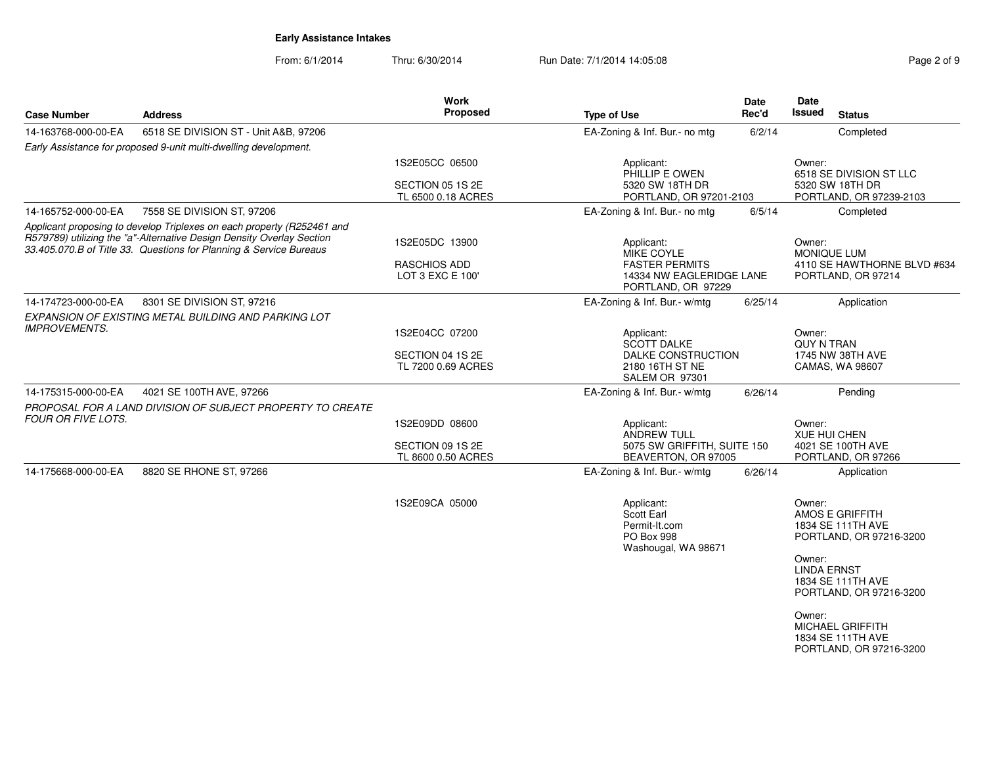From: 6/1/2014Thru: 6/30/2014 Run Date: 7/1/2014 14:05:08 Research 2010 2 of 9

| <b>Case Number</b>          | <b>Address</b>                                                                                                                              | Work<br><b>Proposed</b>                                  | <b>Type of Use</b>                                                             | <b>Date</b><br>Rec'd | Date<br><b>Issued</b><br><b>Status</b>                                                                                                                                                                       |
|-----------------------------|---------------------------------------------------------------------------------------------------------------------------------------------|----------------------------------------------------------|--------------------------------------------------------------------------------|----------------------|--------------------------------------------------------------------------------------------------------------------------------------------------------------------------------------------------------------|
| 14-163768-000-00-EA         | 6518 SE DIVISION ST - Unit A&B, 97206                                                                                                       |                                                          | EA-Zoning & Inf. Bur.- no mtg                                                  | 6/2/14               | Completed                                                                                                                                                                                                    |
|                             | Early Assistance for proposed 9-unit multi-dwelling development.                                                                            |                                                          |                                                                                |                      |                                                                                                                                                                                                              |
|                             |                                                                                                                                             | 1S2E05CC 06500<br>SECTION 05 1S 2E<br>TL 6500 0.18 ACRES | Applicant:<br>PHILLIP E OWEN<br>5320 SW 18TH DR<br>PORTLAND, OR 97201-2103     |                      | Owner:<br>6518 SE DIVISION ST LLC<br>5320 SW 18TH DR<br>PORTLAND, OR 97239-2103                                                                                                                              |
| 14-165752-000-00-EA         | 7558 SE DIVISION ST, 97206                                                                                                                  |                                                          | EA-Zoning & Inf. Bur.- no mtg                                                  | 6/5/14               | Completed                                                                                                                                                                                                    |
|                             | Applicant proposing to develop Triplexes on each property (R252461 and                                                                      |                                                          |                                                                                |                      |                                                                                                                                                                                                              |
|                             | R579789) utilizing the "a"-Alternative Design Density Overlay Section<br>33.405.070.B of Title 33. Questions for Planning & Service Bureaus | 1S2E05DC 13900                                           | Applicant:<br><b>MIKE COYLE</b>                                                |                      | Owner:<br><b>MONIQUE LUM</b>                                                                                                                                                                                 |
|                             |                                                                                                                                             | <b>RASCHIOS ADD</b><br>LOT 3 EXC E 100'                  | <b>FASTER PERMITS</b><br>14334 NW EAGLERIDGE LANE<br>PORTLAND, OR 97229        |                      | 4110 SE HAWTHORNE BLVD #634<br>PORTLAND, OR 97214                                                                                                                                                            |
| 14-174723-000-00-EA         | 8301 SE DIVISION ST, 97216                                                                                                                  |                                                          | EA-Zoning & Inf. Bur.- w/mtg                                                   | 6/25/14              | Application                                                                                                                                                                                                  |
|                             | EXPANSION OF EXISTING METAL BUILDING AND PARKING LOT                                                                                        |                                                          |                                                                                |                      |                                                                                                                                                                                                              |
| <i><b>IMPROVEMENTS.</b></i> |                                                                                                                                             | 1S2E04CC 07200                                           | Applicant:<br><b>SCOTT DALKE</b>                                               |                      | Owner:<br><b>QUY N TRAN</b>                                                                                                                                                                                  |
|                             |                                                                                                                                             | SECTION 04 1S 2E<br>TL 7200 0.69 ACRES                   | DALKE CONSTRUCTION<br>2180 16TH ST NE<br>SALEM OR 97301                        |                      | 1745 NW 38TH AVE<br>CAMAS, WA 98607                                                                                                                                                                          |
| 14-175315-000-00-EA         | 4021 SE 100TH AVE, 97266                                                                                                                    |                                                          | EA-Zoning & Inf. Bur.- w/mtg                                                   | 6/26/14              | Pending                                                                                                                                                                                                      |
| <b>FOUR OR FIVE LOTS.</b>   | PROPOSAL FOR A LAND DIVISION OF SUBJECT PROPERTY TO CREATE                                                                                  |                                                          |                                                                                |                      |                                                                                                                                                                                                              |
|                             |                                                                                                                                             | 1S2E09DD 08600<br>SECTION 09 1S 2E                       | Applicant:<br>ANDREW TULL<br>5075 SW GRIFFITH, SUITE 150                       |                      | Owner:<br><b>XUE HUI CHEN</b><br>4021 SE 100TH AVE                                                                                                                                                           |
|                             |                                                                                                                                             | TL 8600 0.50 ACRES                                       | BEAVERTON, OR 97005                                                            |                      | PORTLAND, OR 97266                                                                                                                                                                                           |
| 14-175668-000-00-EA         | 8820 SE RHONE ST, 97266                                                                                                                     |                                                          | EA-Zoning & Inf. Bur.- w/mtg                                                   | 6/26/14              | Application                                                                                                                                                                                                  |
|                             |                                                                                                                                             | 1S2E09CA 05000                                           | Applicant:<br>Scott Earl<br>Permit-It.com<br>PO Box 998<br>Washougal, WA 98671 |                      | Owner:<br>AMOS E GRIFFITH<br>1834 SE 111TH AVE<br>PORTLAND, OR 97216-3200<br>Owner:<br><b>LINDA ERNST</b><br>1834 SE 111TH AVE<br>PORTLAND, OR 97216-3200<br>Owner:<br>MICHAEL GRIFFITH<br>1834 SE 111TH AVE |
|                             |                                                                                                                                             |                                                          |                                                                                |                      | PORTLAND, OR 97216-3200                                                                                                                                                                                      |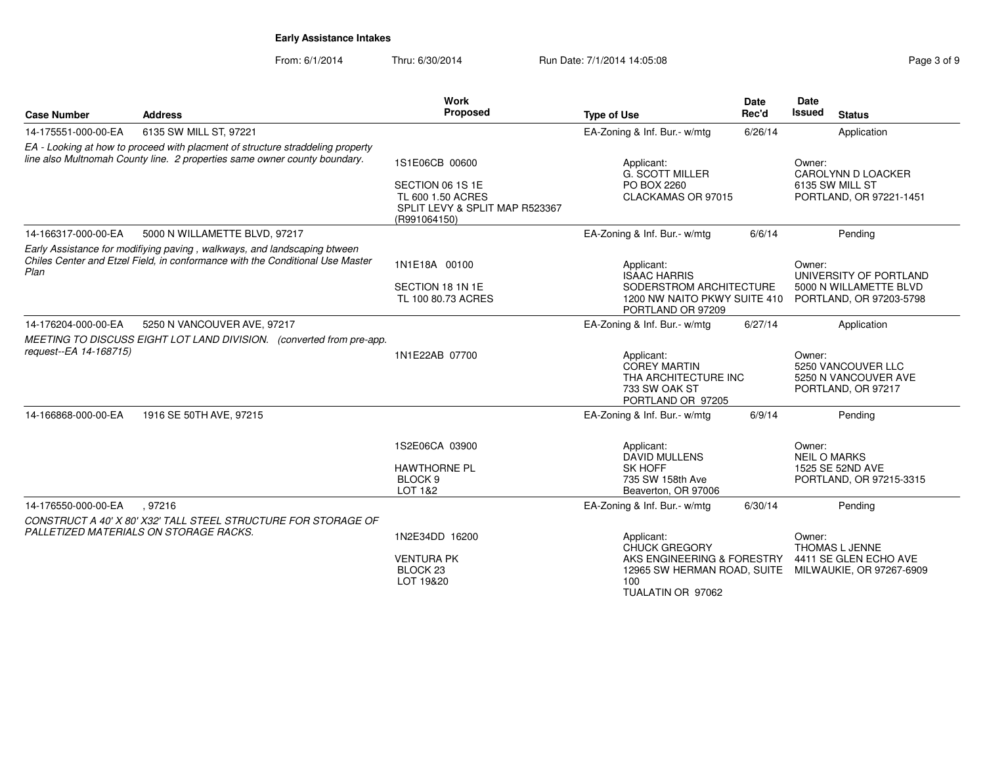| <b>Case Number</b>     | <b>Address</b>                                                                                                                                              | Work<br>Proposed                                                                                          | <b>Type of Use</b>                                                                                                          | <b>Date</b><br>Rec'd | Date<br>Issued<br><b>Status</b>                                                       |
|------------------------|-------------------------------------------------------------------------------------------------------------------------------------------------------------|-----------------------------------------------------------------------------------------------------------|-----------------------------------------------------------------------------------------------------------------------------|----------------------|---------------------------------------------------------------------------------------|
| 14-175551-000-00-EA    | 6135 SW MILL ST, 97221                                                                                                                                      |                                                                                                           | EA-Zoning & Inf. Bur.- w/mtg                                                                                                | 6/26/14              | Application                                                                           |
|                        | EA - Looking at how to proceed with placment of structure straddeling property<br>line also Multnomah County line. 2 properties same owner county boundary. | 1S1E06CB 00600<br>SECTION 06 1S 1E<br>TL 600 1.50 ACRES<br>SPLIT LEVY & SPLIT MAP R523367<br>(R991064150) | Applicant:<br><b>G. SCOTT MILLER</b><br>PO BOX 2260<br>CLACKAMAS OR 97015                                                   |                      | Owner:<br>CAROLYNN D LOACKER<br>6135 SW MILL ST<br>PORTLAND, OR 97221-1451            |
| 14-166317-000-00-EA    | 5000 N WILLAMETTE BLVD, 97217                                                                                                                               |                                                                                                           | EA-Zoning & Inf. Bur.- w/mtg                                                                                                | 6/6/14               | Pending                                                                               |
| Plan                   | Early Assistance for modifiying paving, walkways, and landscaping btween<br>Chiles Center and Etzel Field, in conformance with the Conditional Use Master   | 1N1E18A 00100<br>SECTION 18 1N 1E<br>TL 100 80.73 ACRES                                                   | Applicant:<br><b>ISAAC HARRIS</b><br>SODERSTROM ARCHITECTURE<br>1200 NW NAITO PKWY SUITE 410<br>PORTLAND OR 97209           |                      | Owner:<br>UNIVERSITY OF PORTLAND<br>5000 N WILLAMETTE BLVD<br>PORTLAND, OR 97203-5798 |
| 14-176204-000-00-EA    | 5250 N VANCOUVER AVE, 97217                                                                                                                                 |                                                                                                           | EA-Zoning & Inf. Bur.- w/mtg                                                                                                | 6/27/14              | Application                                                                           |
| request--EA 14-168715) | MEETING TO DISCUSS EIGHT LOT LAND DIVISION. (converted from pre-app.                                                                                        | 1N1E22AB 07700                                                                                            | Applicant:<br><b>COREY MARTIN</b><br>THA ARCHITECTURE INC<br>733 SW OAK ST<br>PORTLAND OR 97205                             |                      | Owner:<br>5250 VANCOUVER LLC<br>5250 N VANCOUVER AVE<br>PORTLAND, OR 97217            |
| 14-166868-000-00-EA    | 1916 SE 50TH AVE, 97215                                                                                                                                     |                                                                                                           | EA-Zoning & Inf. Bur.- w/mtg                                                                                                | 6/9/14               | Pending                                                                               |
|                        |                                                                                                                                                             | 1S2E06CA 03900<br><b>HAWTHORNE PL</b><br>BLOCK <sub>9</sub><br>LOT 1&2                                    | Applicant:<br><b>DAVID MULLENS</b><br><b>SK HOFF</b><br>735 SW 158th Ave<br>Beaverton, OR 97006                             |                      | Owner:<br><b>NEIL O MARKS</b><br>1525 SE 52ND AVE<br>PORTLAND, OR 97215-3315          |
| 14-176550-000-00-EA    | .97216                                                                                                                                                      |                                                                                                           | EA-Zoning & Inf. Bur.- w/mtg                                                                                                | 6/30/14              | Pending                                                                               |
|                        | CONSTRUCT A 40' X 80' X32' TALL STEEL STRUCTURE FOR STORAGE OF<br>PALLETIZED MATERIALS ON STORAGE RACKS.                                                    | 1N2E34DD 16200<br><b>VENTURA PK</b><br>BLOCK <sub>23</sub><br>LOT 19&20                                   | Applicant:<br><b>CHUCK GREGORY</b><br>AKS ENGINEERING & FORESTRY<br>12965 SW HERMAN ROAD, SUITE<br>100<br>TUALATIN OR 97062 |                      | Owner:<br><b>THOMAS L JENNE</b><br>4411 SE GLEN ECHO AVE<br>MILWAUKIE, OR 97267-6909  |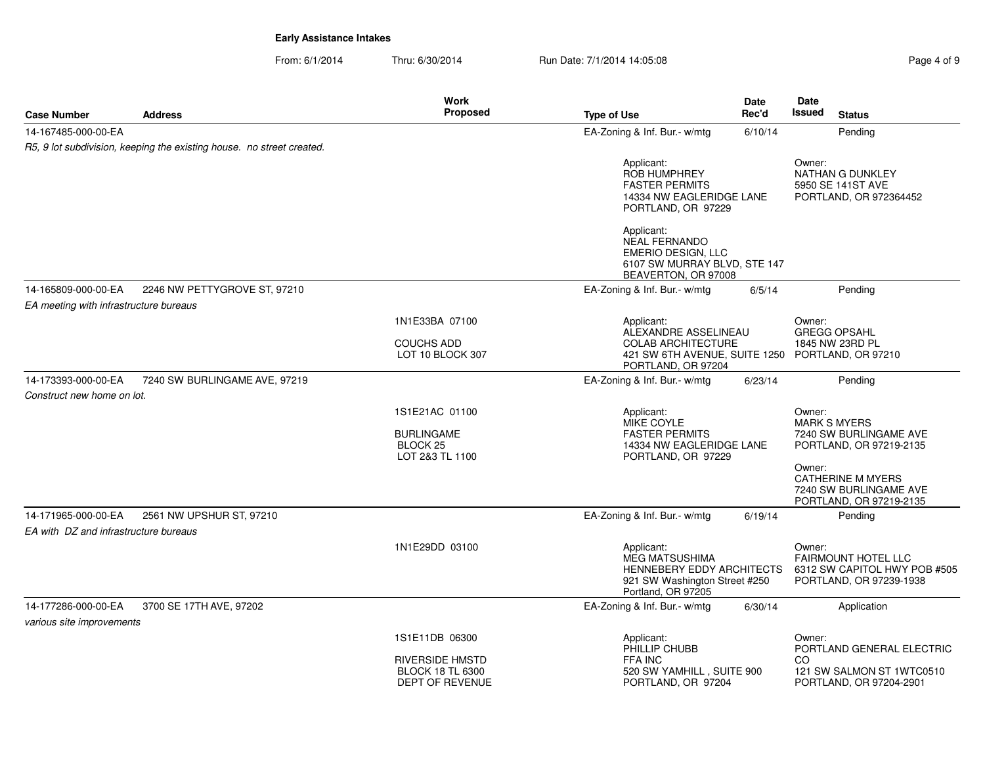From: 6/1/2014Thru: 6/30/2014 **Run Date: 7/1/2014 14:05:08** Rage 4 of 9

| Page 4 of 9 |  |  |
|-------------|--|--|
|             |  |  |

|                                                   |                                                                       | <b>Work</b>                                                                   |                                                                                                                                | <b>Date</b> | Date                                    |                                                                                                                                    |
|---------------------------------------------------|-----------------------------------------------------------------------|-------------------------------------------------------------------------------|--------------------------------------------------------------------------------------------------------------------------------|-------------|-----------------------------------------|------------------------------------------------------------------------------------------------------------------------------------|
| Case Number                                       | <b>Address</b>                                                        | Proposed                                                                      | <b>Type of Use</b>                                                                                                             | Rec'd       | Issued                                  | <b>Status</b>                                                                                                                      |
| 14-167485-000-00-EA                               |                                                                       |                                                                               | EA-Zoning & Inf. Bur.- w/mtg                                                                                                   | 6/10/14     |                                         | Pending                                                                                                                            |
|                                                   | R5, 9 lot subdivision, keeping the existing house. no street created. |                                                                               |                                                                                                                                |             |                                         |                                                                                                                                    |
|                                                   |                                                                       |                                                                               | Applicant:<br><b>ROB HUMPHREY</b><br><b>FASTER PERMITS</b><br>14334 NW EAGLERIDGE LANE<br>PORTLAND, OR 97229                   |             | Owner:                                  | NATHAN G DUNKLEY<br>5950 SE 141ST AVE<br>PORTLAND, OR 972364452                                                                    |
|                                                   |                                                                       |                                                                               | Applicant:<br>NEAL FERNANDO<br>EMERIO DESIGN, LLC<br>6107 SW MURRAY BLVD, STE 147<br>BEAVERTON, OR 97008                       |             |                                         |                                                                                                                                    |
| 14-165809-000-00-EA                               | 2246 NW PETTYGROVE ST, 97210                                          |                                                                               | EA-Zoning & Inf. Bur.- w/mtg                                                                                                   | 6/5/14      |                                         | Pending                                                                                                                            |
| EA meeting with infrastructure bureaus            |                                                                       |                                                                               |                                                                                                                                |             |                                         |                                                                                                                                    |
|                                                   |                                                                       | 1N1E33BA 07100<br><b>COUCHS ADD</b><br>LOT 10 BLOCK 307                       | Applicant:<br>ALEXANDRE ASSELINEAU<br><b>COLAB ARCHITECTURE</b><br>421 SW 6TH AVENUE, SUITE 1250 PORTLAND, OR 97210            |             | Owner:<br><b>GREGG OPSAHL</b>           | 1845 NW 23RD PL                                                                                                                    |
|                                                   |                                                                       |                                                                               | PORTLAND, OR 97204                                                                                                             |             |                                         |                                                                                                                                    |
| 14-173393-000-00-EA<br>Construct new home on lot. | 7240 SW BURLINGAME AVE, 97219                                         |                                                                               | EA-Zoning & Inf. Bur.- w/mtg                                                                                                   | 6/23/14     |                                         | Pending                                                                                                                            |
|                                                   |                                                                       | 1S1E21AC 01100<br><b>BURLINGAME</b><br>BLOCK <sub>25</sub><br>LOT 2&3 TL 1100 | Applicant:<br>MIKE COYLE<br><b>FASTER PERMITS</b><br>14334 NW EAGLERIDGE LANE<br>PORTLAND, OR 97229                            |             | Owner:<br><b>MARK S MYERS</b><br>Owner: | 7240 SW BURLINGAME AVE<br>PORTLAND, OR 97219-2135<br><b>CATHERINE M MYERS</b><br>7240 SW BURLINGAME AVE<br>PORTLAND, OR 97219-2135 |
| 14-171965-000-00-EA                               | 2561 NW UPSHUR ST, 97210                                              |                                                                               | EA-Zoning & Inf. Bur.- w/mtg                                                                                                   | 6/19/14     |                                         | Pending                                                                                                                            |
| EA with DZ and infrastructure bureaus             |                                                                       |                                                                               |                                                                                                                                |             |                                         |                                                                                                                                    |
|                                                   |                                                                       | 1N1E29DD 03100                                                                | Applicant:<br><b>MEG MATSUSHIMA</b><br><b>HENNEBERY EDDY ARCHITECTS</b><br>921 SW Washington Street #250<br>Portland, OR 97205 |             | Owner:                                  | <b>FAIRMOUNT HOTEL LLC</b><br>6312 SW CAPITOL HWY POB #505<br>PORTLAND, OR 97239-1938                                              |
| 14-177286-000-00-EA<br>various site improvements  | 3700 SE 17TH AVE, 97202                                               |                                                                               | EA-Zoning & Inf. Bur.- w/mtg                                                                                                   | 6/30/14     |                                         | Application                                                                                                                        |
|                                                   |                                                                       | 1S1E11DB 06300                                                                | Applicant:<br>PHILLIP CHUBB                                                                                                    |             | Owner:                                  | PORTLAND GENERAL ELECTRIC                                                                                                          |
|                                                   |                                                                       | RIVERSIDE HMSTD<br><b>BLOCK 18 TL 6300</b>                                    | FFA INC<br>520 SW YAMHILL, SUITE 900                                                                                           |             | CO                                      | 121 SW SALMON ST 1WTC0510                                                                                                          |
|                                                   |                                                                       | <b>DEPT OF REVENUE</b>                                                        | PORTLAND, OR 97204                                                                                                             |             |                                         | PORTLAND, OR 97204-2901                                                                                                            |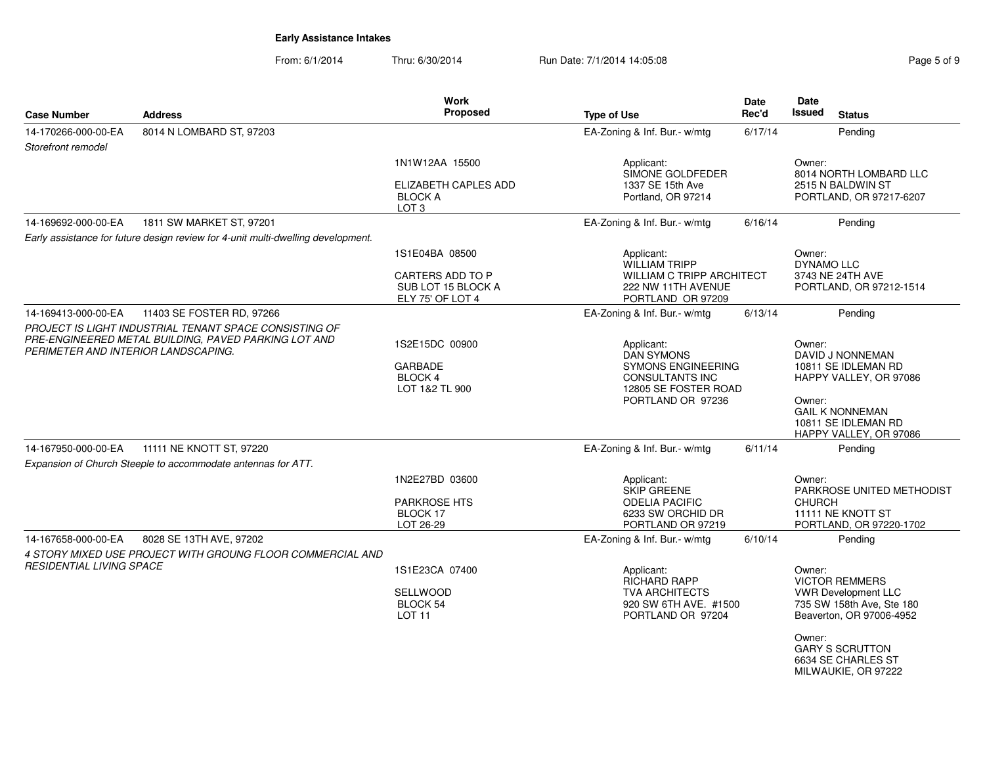From: 6/1/2014Thru: 6/30/2014 **Run Date: 7/1/2014 14:05:08** Rage 5 of 9

| <b>Case Number</b>                  | <b>Address</b>                                                                                                 | <b>Work</b><br><b>Proposed</b>                                               | <b>Type of Use</b>                                                                                                                  | <b>Date</b><br>Rec'd | <b>Date</b><br><b>Issued</b><br><b>Status</b>                                                                                                                                                           |
|-------------------------------------|----------------------------------------------------------------------------------------------------------------|------------------------------------------------------------------------------|-------------------------------------------------------------------------------------------------------------------------------------|----------------------|---------------------------------------------------------------------------------------------------------------------------------------------------------------------------------------------------------|
| 14-170266-000-00-EA                 | 8014 N LOMBARD ST, 97203                                                                                       |                                                                              | EA-Zoning & Inf. Bur.- w/mtg                                                                                                        | 6/17/14              | Pending                                                                                                                                                                                                 |
| Storefront remodel                  |                                                                                                                |                                                                              |                                                                                                                                     |                      |                                                                                                                                                                                                         |
|                                     |                                                                                                                | 1N1W12AA 15500<br>ELIZABETH CAPLES ADD<br><b>BLOCK A</b><br>LOT <sub>3</sub> | Applicant:<br>SIMONE GOLDFEDER<br>1337 SE 15th Ave<br>Portland, OR 97214                                                            |                      | Owner:<br>8014 NORTH LOMBARD LLC<br>2515 N BALDWIN ST<br>PORTLAND, OR 97217-6207                                                                                                                        |
| 14-169692-000-00-EA                 | 1811 SW MARKET ST, 97201                                                                                       |                                                                              | EA-Zoning & Inf. Bur.- w/mtg                                                                                                        | 6/16/14              | Pending                                                                                                                                                                                                 |
|                                     | Early assistance for future design review for 4-unit multi-dwelling development.                               |                                                                              |                                                                                                                                     |                      |                                                                                                                                                                                                         |
|                                     |                                                                                                                | 1S1E04BA 08500<br>CARTERS ADD TO P<br>SUB LOT 15 BLOCK A<br>ELY 75' OF LOT 4 | Applicant:<br><b>WILLIAM TRIPP</b><br><b>WILLIAM C TRIPP ARCHITECT</b><br>222 NW 11TH AVENUE<br>PORTLAND OR 97209                   |                      | Owner:<br><b>DYNAMO LLC</b><br>3743 NE 24TH AVE<br>PORTLAND, OR 97212-1514                                                                                                                              |
| 14-169413-000-00-EA                 | 11403 SE FOSTER RD, 97266                                                                                      |                                                                              | EA-Zoning & Inf. Bur.- w/mtg                                                                                                        | 6/13/14              | Pending                                                                                                                                                                                                 |
| PERIMETER AND INTERIOR LANDSCAPING. | PROJECT IS LIGHT INDUSTRIAL TENANT SPACE CONSISTING OF<br>PRE-ENGINEERED METAL BUILDING. PAVED PARKING LOT AND | 1S2E15DC 00900<br><b>GARBADE</b><br>BLOCK 4<br>LOT 1&2 TL 900                | Applicant:<br><b>DAN SYMONS</b><br><b>SYMONS ENGINEERING</b><br><b>CONSULTANTS INC</b><br>12805 SE FOSTER ROAD<br>PORTLAND OR 97236 |                      | Owner:<br>DAVID J NONNEMAN<br>10811 SE IDLEMAN RD<br>HAPPY VALLEY, OR 97086<br>Owner:<br><b>GAIL K NONNEMAN</b><br>10811 SE IDLEMAN RD<br>HAPPY VALLEY, OR 97086                                        |
| 14-167950-000-00-EA                 | 11111 NE KNOTT ST, 97220                                                                                       |                                                                              | EA-Zoning & Inf. Bur.- w/mtg                                                                                                        | 6/11/14              | Pending                                                                                                                                                                                                 |
|                                     | Expansion of Church Steeple to accommodate antennas for ATT.                                                   |                                                                              |                                                                                                                                     |                      |                                                                                                                                                                                                         |
|                                     |                                                                                                                | 1N2E27BD 03600<br><b>PARKROSE HTS</b><br>BLOCK 17<br>LOT 26-29               | Applicant:<br><b>SKIP GREENE</b><br><b>ODELIA PACIFIC</b><br>6233 SW ORCHID DR<br>PORTLAND OR 97219                                 |                      | Owner:<br>PARKROSE UNITED METHODIST<br><b>CHURCH</b><br>11111 NE KNOTT ST<br>PORTLAND, OR 97220-1702                                                                                                    |
| 14-167658-000-00-EA                 | 8028 SE 13TH AVE, 97202                                                                                        |                                                                              | EA-Zoning & Inf. Bur.- w/mtg                                                                                                        | 6/10/14              | Pending                                                                                                                                                                                                 |
| <b>RESIDENTIAL LIVING SPACE</b>     | 4 STORY MIXED USE PROJECT WITH GROUNG FLOOR COMMERCIAL AND                                                     | 1S1E23CA 07400<br><b>SELLWOOD</b><br><b>BLOCK 54</b><br>LOT <sub>11</sub>    | Applicant:<br><b>RICHARD RAPP</b><br><b>TVA ARCHITECTS</b><br>920 SW 6TH AVE. #1500<br>PORTLAND OR 97204                            |                      | Owner:<br><b>VICTOR REMMERS</b><br><b>VWR Development LLC</b><br>735 SW 158th Ave, Ste 180<br>Beaverton, OR 97006-4952<br>Owner:<br><b>GARY S SCRUTTON</b><br>6634 SE CHARLES ST<br>MILWAUKIE, OR 97222 |
|                                     |                                                                                                                |                                                                              |                                                                                                                                     |                      |                                                                                                                                                                                                         |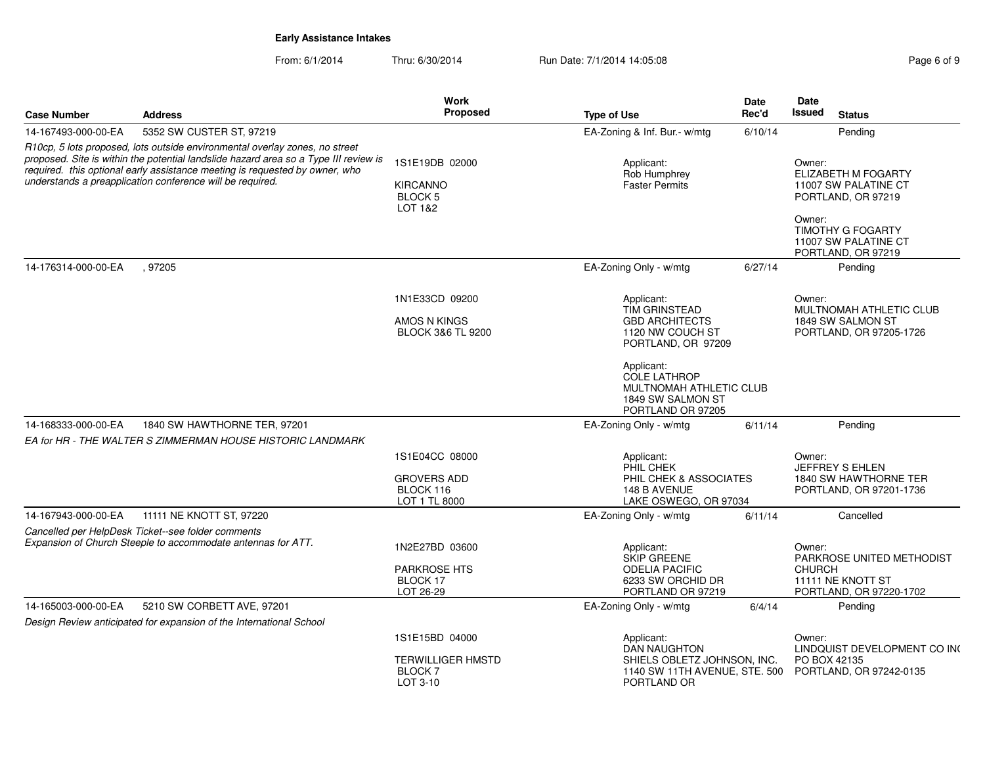From: 6/1/2014Thru: 6/30/2014 Run Date: 7/1/2014 14:05:08 Research 2010 2014 14:05:08

|                     |                                                                                                                                                                                                                                                                                                                 | Work                                                                    |                                                                                                                                                                                                          | <b>Date</b> | Date                                                                                                                                                                   |
|---------------------|-----------------------------------------------------------------------------------------------------------------------------------------------------------------------------------------------------------------------------------------------------------------------------------------------------------------|-------------------------------------------------------------------------|----------------------------------------------------------------------------------------------------------------------------------------------------------------------------------------------------------|-------------|------------------------------------------------------------------------------------------------------------------------------------------------------------------------|
| <b>Case Number</b>  | <b>Address</b>                                                                                                                                                                                                                                                                                                  | <b>Proposed</b>                                                         | <b>Type of Use</b>                                                                                                                                                                                       | Rec'd       | Issued<br><b>Status</b>                                                                                                                                                |
| 14-167493-000-00-EA | 5352 SW CUSTER ST, 97219                                                                                                                                                                                                                                                                                        |                                                                         | EA-Zoning & Inf. Bur.- w/mtg                                                                                                                                                                             | 6/10/14     | Pending                                                                                                                                                                |
|                     | R10cp, 5 lots proposed, lots outside environmental overlay zones, no street<br>proposed. Site is within the potential landslide hazard area so a Type III review is<br>required. this optional early assistance meeting is requested by owner, who<br>understands a preapplication conference will be required. | 1S1E19DB 02000<br><b>KIRCANNO</b><br><b>BLOCK 5</b><br>LOT 1&2          | Applicant:<br>Rob Humphrey<br>Faster Permits                                                                                                                                                             |             | Owner:<br><b>ELIZABETH M FOGARTY</b><br>11007 SW PALATINE CT<br>PORTLAND, OR 97219<br>Owner:<br><b>TIMOTHY G FOGARTY</b><br>11007 SW PALATINE CT<br>PORTLAND, OR 97219 |
| 14-176314-000-00-EA | , 97205                                                                                                                                                                                                                                                                                                         |                                                                         | EA-Zoning Only - w/mtg                                                                                                                                                                                   | 6/27/14     | Pending                                                                                                                                                                |
|                     |                                                                                                                                                                                                                                                                                                                 | 1N1E33CD 09200<br>AMOS N KINGS<br><b>BLOCK 3&amp;6 TL 9200</b>          | Applicant:<br>TIM GRINSTEAD<br><b>GBD ARCHITECTS</b><br>1120 NW COUCH ST<br>PORTLAND, OR 97209<br>Applicant:<br><b>COLE LATHROP</b><br>MULTNOMAH ATHLETIC CLUB<br>1849 SW SALMON ST<br>PORTLAND OR 97205 |             | Owner:<br>MULTNOMAH ATHLETIC CLUB<br>1849 SW SALMON ST<br>PORTLAND, OR 97205-1726                                                                                      |
| 14-168333-000-00-EA | 1840 SW HAWTHORNE TER, 97201                                                                                                                                                                                                                                                                                    |                                                                         | EA-Zoning Only - w/mtg                                                                                                                                                                                   | 6/11/14     | Pending                                                                                                                                                                |
|                     | EA for HR - THE WALTER S ZIMMERMAN HOUSE HISTORIC LANDMARK                                                                                                                                                                                                                                                      |                                                                         |                                                                                                                                                                                                          |             |                                                                                                                                                                        |
|                     |                                                                                                                                                                                                                                                                                                                 | 1S1E04CC 08000<br><b>GROVERS ADD</b><br>BLOCK 116<br>LOT 1 TL 8000      | Applicant:<br>PHIL CHEK<br>PHIL CHEK & ASSOCIATES<br>148 B AVENUE<br>LAKE OSWEGO, OR 97034                                                                                                               |             | Owner:<br>JEFFREY S EHLEN<br>1840 SW HAWTHORNE TER<br>PORTLAND, OR 97201-1736                                                                                          |
| 14-167943-000-00-EA | 11111 NE KNOTT ST, 97220                                                                                                                                                                                                                                                                                        |                                                                         | EA-Zoning Only - w/mtg                                                                                                                                                                                   | 6/11/14     | Cancelled                                                                                                                                                              |
|                     | Cancelled per HelpDesk Ticket--see folder comments<br>Expansion of Church Steeple to accommodate antennas for ATT.                                                                                                                                                                                              | 1N2E27BD 03600<br><b>PARKROSE HTS</b><br>BLOCK 17<br>LOT 26-29          | Applicant:<br><b>SKIP GREENE</b><br><b>ODELIA PACIFIC</b><br>6233 SW ORCHID DR<br>PORTLAND OR 97219                                                                                                      |             | Owner:<br>PARKROSE UNITED METHODIST<br><b>CHURCH</b><br>11111 NE KNOTT ST<br>PORTLAND, OR 97220-1702                                                                   |
| 14-165003-000-00-EA | 5210 SW CORBETT AVE, 97201                                                                                                                                                                                                                                                                                      |                                                                         | EA-Zoning Only - w/mtg                                                                                                                                                                                   | 6/4/14      | Pending                                                                                                                                                                |
|                     | Design Review anticipated for expansion of the International School                                                                                                                                                                                                                                             |                                                                         |                                                                                                                                                                                                          |             |                                                                                                                                                                        |
|                     |                                                                                                                                                                                                                                                                                                                 | 1S1E15BD 04000<br><b>TERWILLIGER HMSTD</b><br><b>BLOCK7</b><br>LOT 3-10 | Applicant:<br>DAN NAUGHTON<br>SHIELS OBLETZ JOHNSON, INC.<br>1140 SW 11TH AVENUE, STE. 500<br>PORTLAND OR                                                                                                |             | Owner:<br>LINDQUIST DEVELOPMENT CO IN(<br>PO BOX 42135<br>PORTLAND, OR 97242-0135                                                                                      |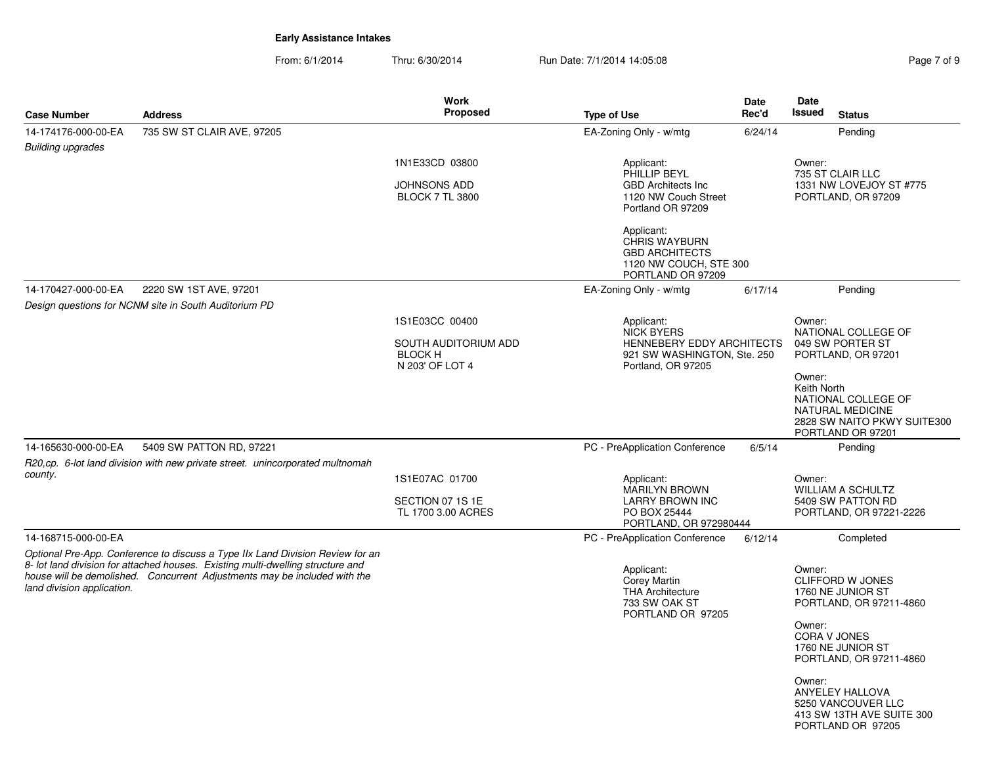From: 6/1/2014Thru: 6/30/2014 **Run Date: 7/1/2014 14:05:08** Pag

| Page 7 of 9 |  |  |
|-------------|--|--|

|                            |                                                                                                                                                              | <b>Work</b>                            |                                                          | <b>Date</b> | <b>Date</b>                                     |
|----------------------------|--------------------------------------------------------------------------------------------------------------------------------------------------------------|----------------------------------------|----------------------------------------------------------|-------------|-------------------------------------------------|
| <b>Case Number</b>         | <b>Address</b>                                                                                                                                               | <b>Proposed</b>                        | <b>Type of Use</b>                                       | Rec'd       | Issued<br><b>Status</b>                         |
| 14-174176-000-00-EA        | 735 SW ST CLAIR AVE, 97205                                                                                                                                   |                                        | EA-Zoning Only - w/mtg                                   | 6/24/14     | Pending                                         |
| <b>Building upgrades</b>   |                                                                                                                                                              |                                        |                                                          |             |                                                 |
|                            |                                                                                                                                                              | 1N1E33CD 03800                         | Applicant:<br>PHILLIP BEYL                               |             | Owner:<br>735 ST CLAIR LLC                      |
|                            |                                                                                                                                                              | JOHNSONS ADD                           | <b>GBD Architects Inc</b>                                |             | 1331 NW LOVEJOY ST #775                         |
|                            |                                                                                                                                                              | <b>BLOCK 7 TL 3800</b>                 | 1120 NW Couch Street<br>Portland OR 97209                |             | PORTLAND, OR 97209                              |
|                            |                                                                                                                                                              |                                        | Applicant:                                               |             |                                                 |
|                            |                                                                                                                                                              |                                        | <b>CHRIS WAYBURN</b><br><b>GBD ARCHITECTS</b>            |             |                                                 |
|                            |                                                                                                                                                              |                                        | 1120 NW COUCH, STE 300                                   |             |                                                 |
|                            |                                                                                                                                                              |                                        | PORTLAND OR 97209                                        |             |                                                 |
| 14-170427-000-00-EA        | 2220 SW 1ST AVE, 97201<br>Design questions for NCNM site in South Auditorium PD                                                                              |                                        | EA-Zoning Only - w/mtg                                   | 6/17/14     | Pendina                                         |
|                            |                                                                                                                                                              | 1S1E03CC 00400                         | Applicant:                                               |             | Owner:                                          |
|                            |                                                                                                                                                              |                                        | <b>NICK BYERS</b>                                        |             | NATIONAL COLLEGE OF                             |
|                            |                                                                                                                                                              | SOUTH AUDITORIUM ADD<br><b>BLOCK H</b> | HENNEBERY EDDY ARCHITECTS<br>921 SW WASHINGTON, Ste. 250 |             | 049 SW PORTER ST<br>PORTLAND, OR 97201          |
|                            |                                                                                                                                                              | N 203' OF LOT 4                        | Portland, OR 97205                                       |             |                                                 |
|                            |                                                                                                                                                              |                                        |                                                          |             | Owner:<br>Keith North                           |
|                            |                                                                                                                                                              |                                        |                                                          |             | NATIONAL COLLEGE OF                             |
|                            |                                                                                                                                                              |                                        |                                                          |             | NATURAL MEDICINE<br>2828 SW NAITO PKWY SUITE300 |
|                            |                                                                                                                                                              |                                        |                                                          |             | PORTLAND OR 97201                               |
| 14-165630-000-00-EA        | 5409 SW PATTON RD, 97221                                                                                                                                     |                                        | PC - PreApplication Conference                           | 6/5/14      | Pending                                         |
| county.                    | R20,cp. 6-lot land division with new private street. unincorporated multnomah                                                                                |                                        |                                                          |             |                                                 |
|                            |                                                                                                                                                              | 1S1E07AC 01700                         | Applicant:<br><b>MARILYN BROWN</b>                       |             | Owner:<br><b>WILLIAM A SCHULTZ</b>              |
|                            |                                                                                                                                                              | SECTION 07 1S 1E                       | <b>LARRY BROWN INC</b>                                   |             | 5409 SW PATTON RD                               |
|                            |                                                                                                                                                              | TL 1700 3.00 ACRES                     | PO BOX 25444<br>PORTLAND, OR 972980444                   |             | PORTLAND, OR 97221-2226                         |
| 14-168715-000-00-EA        |                                                                                                                                                              |                                        | PC - PreApplication Conference                           | 6/12/14     | Completed                                       |
|                            | Optional Pre-App. Conference to discuss a Type IIx Land Division Review for an                                                                               |                                        |                                                          |             |                                                 |
|                            | 8- lot land division for attached houses. Existing multi-dwelling structure and<br>house will be demolished. Concurrent Adjustments may be included with the |                                        | Applicant:                                               |             | Owner:<br><b>CLIFFORD W JONES</b>               |
| land division application. |                                                                                                                                                              |                                        | Corey Martin<br><b>THA Architecture</b>                  |             | 1760 NE JUNIOR ST                               |
|                            |                                                                                                                                                              |                                        | 733 SW OAK ST<br>PORTLAND OR 97205                       |             | PORTLAND, OR 97211-4860                         |
|                            |                                                                                                                                                              |                                        |                                                          |             | Owner:                                          |
|                            |                                                                                                                                                              |                                        |                                                          |             | <b>CORA V JONES</b><br>1760 NE JUNIOR ST        |
|                            |                                                                                                                                                              |                                        |                                                          |             | PORTLAND, OR 97211-4860                         |
|                            |                                                                                                                                                              |                                        |                                                          |             | Owner:                                          |
|                            |                                                                                                                                                              |                                        |                                                          |             | <b>ANYELEY HALLOVA</b>                          |
|                            |                                                                                                                                                              |                                        |                                                          |             | 5250 VANCOUVER LLC<br>413 SW 13TH AVE SUITE 300 |
|                            |                                                                                                                                                              |                                        |                                                          |             | PORTLAND OR 97205                               |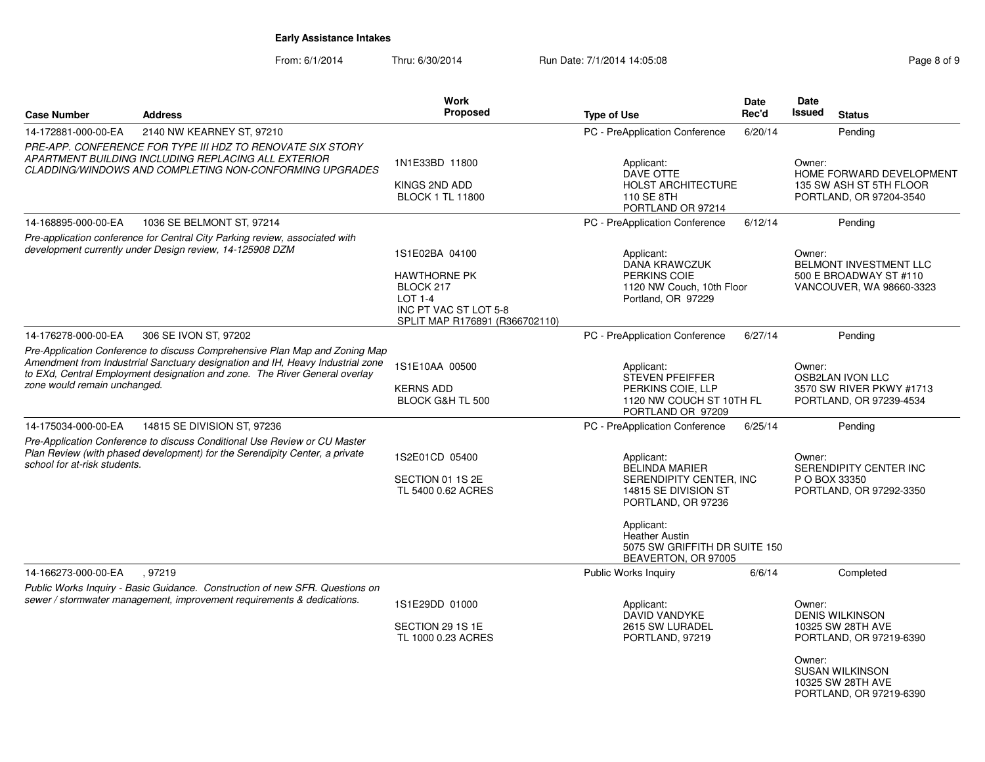From: 6/1/2014

|                                                                                                                                                                                                                                                                             |                                                                                                                                                                              | <b>Work</b>                                                                                                                     |                                                                                                                                                     | Date    | Date             |                                                                                                                                                  |
|-----------------------------------------------------------------------------------------------------------------------------------------------------------------------------------------------------------------------------------------------------------------------------|------------------------------------------------------------------------------------------------------------------------------------------------------------------------------|---------------------------------------------------------------------------------------------------------------------------------|-----------------------------------------------------------------------------------------------------------------------------------------------------|---------|------------------|--------------------------------------------------------------------------------------------------------------------------------------------------|
| <b>Case Number</b>                                                                                                                                                                                                                                                          | <b>Address</b>                                                                                                                                                               | <b>Proposed</b>                                                                                                                 | <b>Type of Use</b>                                                                                                                                  | Rec'd   | <b>Issued</b>    | <b>Status</b>                                                                                                                                    |
| 14-172881-000-00-EA                                                                                                                                                                                                                                                         | 2140 NW KEARNEY ST, 97210                                                                                                                                                    |                                                                                                                                 | PC - PreApplication Conference                                                                                                                      | 6/20/14 |                  | Pending                                                                                                                                          |
|                                                                                                                                                                                                                                                                             | PRE-APP. CONFERENCE FOR TYPE III HDZ TO RENOVATE SIX STORY<br>APARTMENT BUILDING INCLUDING REPLACING ALL EXTERIOR<br>CLADDING/WINDOWS AND COMPLETING NON-CONFORMING UPGRADES | 1N1E33BD 11800<br>KINGS 2ND ADD<br><b>BLOCK 1 TL 11800</b>                                                                      | Applicant:<br>DAVE OTTE<br><b>HOLST ARCHITECTURE</b><br>110 SE 8TH<br>PORTLAND OR 97214                                                             |         | Owner:           | HOME FORWARD DEVELOPMENT<br>135 SW ASH ST 5TH FLOOR<br>PORTLAND, OR 97204-3540                                                                   |
| 14-168895-000-00-EA                                                                                                                                                                                                                                                         | 1036 SE BELMONT ST, 97214                                                                                                                                                    |                                                                                                                                 | PC - PreApplication Conference                                                                                                                      | 6/12/14 |                  | Pending                                                                                                                                          |
|                                                                                                                                                                                                                                                                             | Pre-application conference for Central City Parking review, associated with<br>development currently under Design review, 14-125908 DZM                                      | 1S1E02BA 04100<br><b>HAWTHORNE PK</b><br>BLOCK 217<br><b>LOT 1-4</b><br>INC PT VAC ST LOT 5-8<br>SPLIT MAP R176891 (R366702110) | Applicant:<br>DANA KRAWCZUK<br>PERKINS COIE<br>1120 NW Couch, 10th Floor<br>Portland, OR 97229                                                      |         | Owner:           | BELMONT INVESTMENT LLC<br>500 E BROADWAY ST #110<br>VANCOUVER, WA 98660-3323                                                                     |
| 14-176278-000-00-EA                                                                                                                                                                                                                                                         | 306 SE IVON ST, 97202                                                                                                                                                        |                                                                                                                                 | PC - PreApplication Conference                                                                                                                      | 6/27/14 |                  | Pending                                                                                                                                          |
| Pre-Application Conference to discuss Comprehensive Plan Map and Zoning Map<br>Amendment from Industrrial Sanctuary designation and IH, Heavy Industrial zone<br>to EXd, Central Employment designation and zone. The River General overlay<br>zone would remain unchanged. |                                                                                                                                                                              | 1S1E10AA 00500<br><b>KERNS ADD</b><br>BLOCK G&H TL 500                                                                          | Applicant:<br>STEVEN PFEIFFER<br>PERKINS COIE, LLP<br>1120 NW COUCH ST 10TH FL<br>PORTLAND OR 97209                                                 |         | Owner:           | <b>OSB2LAN IVON LLC</b><br>3570 SW RIVER PKWY #1713<br>PORTLAND, OR 97239-4534                                                                   |
| 14-175034-000-00-EA                                                                                                                                                                                                                                                         | 14815 SE DIVISION ST, 97236                                                                                                                                                  |                                                                                                                                 | PC - PreApplication Conference                                                                                                                      | 6/25/14 |                  | Pending                                                                                                                                          |
| Pre-Application Conference to discuss Conditional Use Review or CU Master<br>Plan Review (with phased development) for the Serendipity Center, a private<br>school for at-risk students.                                                                                    |                                                                                                                                                                              | 1S2E01CD 05400<br>SECTION 01 1S 2E<br>TL 5400 0.62 ACRES                                                                        | Applicant:<br><b>BELINDA MARIER</b><br>SERENDIPITY CENTER, INC<br>14815 SE DIVISION ST<br>PORTLAND, OR 97236<br>Applicant:<br><b>Heather Austin</b> |         | Owner:           | SERENDIPITY CENTER INC<br>P O BOX 33350<br>PORTLAND, OR 97292-3350                                                                               |
|                                                                                                                                                                                                                                                                             |                                                                                                                                                                              |                                                                                                                                 | 5075 SW GRIFFITH DR SUITE 150<br>BEAVERTON, OR 97005                                                                                                |         |                  |                                                                                                                                                  |
| 14-166273-000-00-EA                                                                                                                                                                                                                                                         | , 97219<br>Public Works Inquiry - Basic Guidance. Construction of new SFR. Questions on                                                                                      |                                                                                                                                 | <b>Public Works Inquiry</b>                                                                                                                         | 6/6/14  |                  | Completed                                                                                                                                        |
|                                                                                                                                                                                                                                                                             | sewer / stormwater management, improvement requirements & dedications.                                                                                                       | 1S1E29DD 01000<br>SECTION 29 1S 1E<br>TL 1000 0.23 ACRES                                                                        | Applicant:<br>DAVID VANDYKE<br>2615 SW LURADEL<br>PORTLAND, 97219                                                                                   |         | Owner:<br>Owner: | <b>DENIS WILKINSON</b><br>10325 SW 28TH AVE<br>PORTLAND, OR 97219-6390<br><b>SUSAN WILKINSON</b><br>10325 SW 28TH AVE<br>PORTLAND, OR 97219-6390 |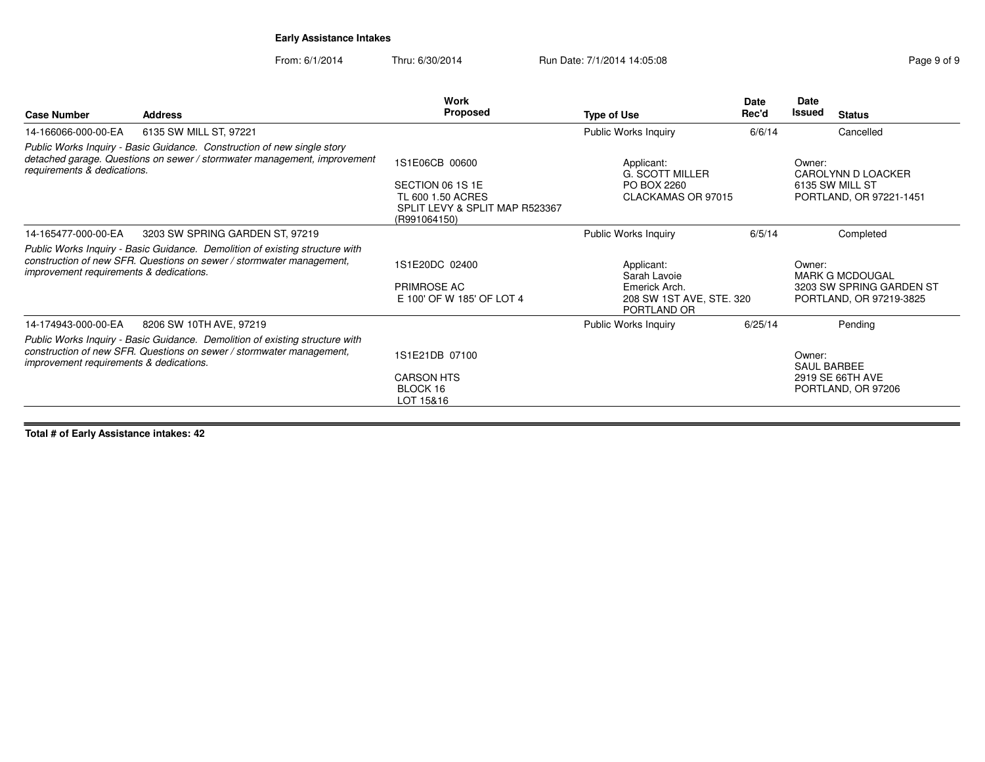From: 6/1/2014

Thru: 6/30/2014 Run Date: 7/1/2014 14:05:08 Research 2010 Rage 9 of 9

|                                         |                                                                                                                                                      | Work                                                                                                      |                                                                                        | <b>Date</b> | Date                  |                                                                               |
|-----------------------------------------|------------------------------------------------------------------------------------------------------------------------------------------------------|-----------------------------------------------------------------------------------------------------------|----------------------------------------------------------------------------------------|-------------|-----------------------|-------------------------------------------------------------------------------|
| <b>Case Number</b>                      | <b>Address</b>                                                                                                                                       | Proposed                                                                                                  | <b>Type of Use</b>                                                                     | Rec'd       | Issued                | <b>Status</b>                                                                 |
| 14-166066-000-00-EA                     | 6135 SW MILL ST, 97221                                                                                                                               |                                                                                                           | Public Works Inquiry                                                                   | 6/6/14      |                       | Cancelled                                                                     |
| requirements & dedications.             | Public Works Inquiry - Basic Guidance. Construction of new single story<br>detached garage. Questions on sewer / stormwater management, improvement  | 1S1E06CB 00600<br>SECTION 06 1S 1E<br>TL 600 1.50 ACRES<br>SPLIT LEVY & SPLIT MAP R523367<br>(R991064150) | Applicant:<br><b>G. SCOTT MILLER</b><br>PO BOX 2260<br>CLACKAMAS OR 97015              |             | Owner:                | CAROLYNN D LOACKER<br>6135 SW MILL ST<br>PORTLAND, OR 97221-1451              |
| 14-165477-000-00-EA                     | 3203 SW SPRING GARDEN ST, 97219                                                                                                                      |                                                                                                           | Public Works Inquiry                                                                   | 6/5/14      |                       | Completed                                                                     |
| improvement requirements & dedications. | Public Works Inquiry - Basic Guidance. Demolition of existing structure with<br>construction of new SFR. Questions on sewer / stormwater management, | 1S1E20DC 02400<br>PRIMROSE AC<br>E 100' OF W 185' OF LOT 4                                                | Applicant:<br>Sarah Lavoie<br>Emerick Arch.<br>208 SW 1ST AVE, STE. 320<br>PORTLAND OR |             | Owner:                | <b>MARK G MCDOUGAL</b><br>3203 SW SPRING GARDEN ST<br>PORTLAND, OR 97219-3825 |
| 14-174943-000-00-EA                     | 8206 SW 10TH AVE, 97219                                                                                                                              |                                                                                                           | Public Works Inquiry                                                                   | 6/25/14     |                       | Pending                                                                       |
| improvement requirements & dedications. | Public Works Inquiry - Basic Guidance. Demolition of existing structure with<br>construction of new SFR. Questions on sewer / stormwater management, | 1S1E21DB 07100<br><b>CARSON HTS</b><br>BLOCK 16<br>LOT 15&16                                              |                                                                                        |             | Owner:<br>SAUL BARBEE | 2919 SE 66TH AVE<br>PORTLAND, OR 97206                                        |

**Total # of Early Assistance intakes: 42**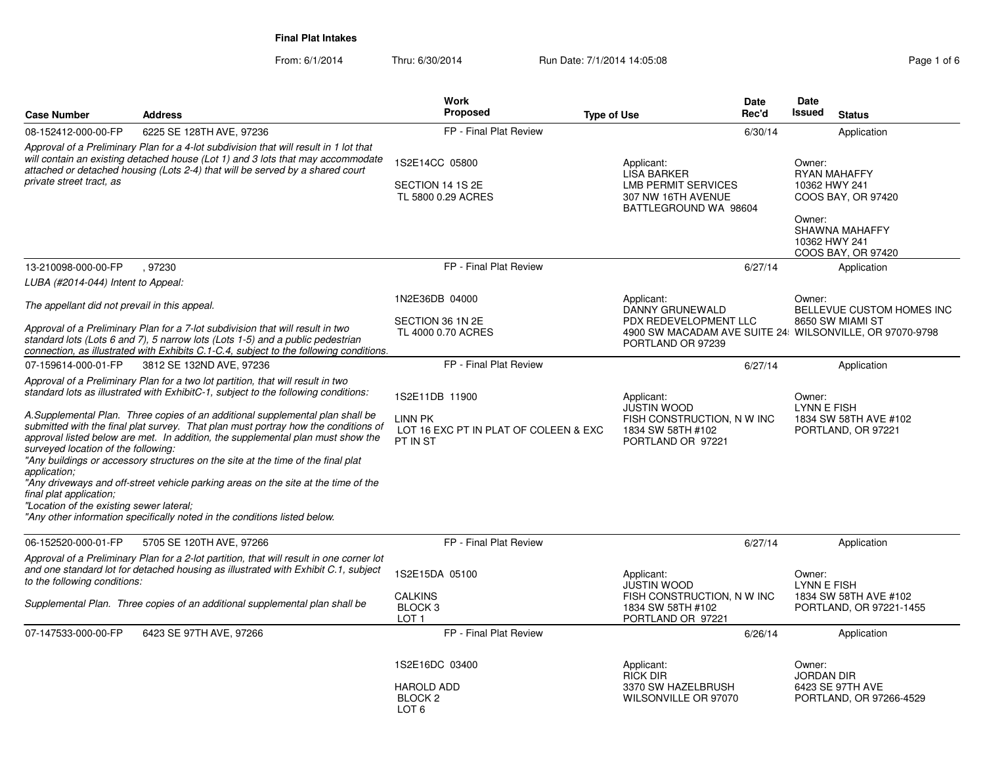From: 6/1/2014Thru: 6/30/2014 **Run Date: 7/1/2014 14:05:08** Rage 1 of 6

|                                                                                                                            |                                                                                                                                                                                                                                                                                                                                                                                                                                                                                                                                                                                                                                                                                        | <b>Work</b>                                                                    | Date                                                                                                          | Date                                                                                                                                    |
|----------------------------------------------------------------------------------------------------------------------------|----------------------------------------------------------------------------------------------------------------------------------------------------------------------------------------------------------------------------------------------------------------------------------------------------------------------------------------------------------------------------------------------------------------------------------------------------------------------------------------------------------------------------------------------------------------------------------------------------------------------------------------------------------------------------------------|--------------------------------------------------------------------------------|---------------------------------------------------------------------------------------------------------------|-----------------------------------------------------------------------------------------------------------------------------------------|
| <b>Case Number</b>                                                                                                         | <b>Address</b>                                                                                                                                                                                                                                                                                                                                                                                                                                                                                                                                                                                                                                                                         | <b>Proposed</b>                                                                | Rec'd<br><b>Type of Use</b>                                                                                   | <b>Issued</b><br><b>Status</b>                                                                                                          |
| 08-152412-000-00-FP                                                                                                        | 6225 SE 128TH AVE, 97236                                                                                                                                                                                                                                                                                                                                                                                                                                                                                                                                                                                                                                                               | FP - Final Plat Review                                                         | 6/30/14                                                                                                       | Application                                                                                                                             |
| private street tract, as                                                                                                   | Approval of a Preliminary Plan for a 4-lot subdivision that will result in 1 lot that<br>will contain an existing detached house (Lot 1) and 3 lots that may accommodate<br>attached or detached housing (Lots 2-4) that will be served by a shared court                                                                                                                                                                                                                                                                                                                                                                                                                              | 1S2E14CC 05800<br>SECTION 14 1S 2E<br>TL 5800 0.29 ACRES                       | Applicant:<br><b>LISA BARKER</b><br><b>LMB PERMIT SERVICES</b><br>307 NW 16TH AVENUE<br>BATTLEGROUND WA 98604 | Owner:<br><b>RYAN MAHAFFY</b><br>10362 HWY 241<br>COOS BAY, OR 97420<br>Owner:<br>SHAWNA MAHAFFY<br>10362 HWY 241<br>COOS BAY, OR 97420 |
| 13-210098-000-00-FP                                                                                                        | 97230                                                                                                                                                                                                                                                                                                                                                                                                                                                                                                                                                                                                                                                                                  | FP - Final Plat Review                                                         | 6/27/14                                                                                                       | Application                                                                                                                             |
| LUBA (#2014-044) Intent to Appeal:                                                                                         |                                                                                                                                                                                                                                                                                                                                                                                                                                                                                                                                                                                                                                                                                        |                                                                                |                                                                                                               |                                                                                                                                         |
| The appellant did not prevail in this appeal.                                                                              |                                                                                                                                                                                                                                                                                                                                                                                                                                                                                                                                                                                                                                                                                        | 1N2E36DB 04000                                                                 | Applicant:<br>DANNY GRUNEWALD                                                                                 | Owner:<br>BELLEVUE CUSTOM HOMES INC                                                                                                     |
|                                                                                                                            | Approval of a Preliminary Plan for a 7-lot subdivision that will result in two<br>standard lots (Lots 6 and 7), 5 narrow lots (Lots 1-5) and a public pedestrian<br>connection, as illustrated with Exhibits C.1-C.4, subject to the following conditions.                                                                                                                                                                                                                                                                                                                                                                                                                             | SECTION 36 1N 2E<br>TL 4000 0.70 ACRES                                         | PDX REDEVELOPMENT LLC<br>PORTLAND OR 97239                                                                    | 8650 SW MIAMI ST<br>4900 SW MACADAM AVE SUITE 24 WILSONVILLE, OR 97070-9798                                                             |
| 07-159614-000-01-FP                                                                                                        | 3812 SE 132ND AVE, 97236                                                                                                                                                                                                                                                                                                                                                                                                                                                                                                                                                                                                                                                               | FP - Final Plat Review                                                         | 6/27/14                                                                                                       | Application                                                                                                                             |
| surveyed location of the following:<br>application:<br>final plat application;<br>"Location of the existing sewer lateral; | Approval of a Preliminary Plan for a two lot partition, that will result in two<br>standard lots as illustrated with ExhibitC-1, subject to the following conditions:<br>A.Supplemental Plan. Three copies of an additional supplemental plan shall be<br>submitted with the final plat survey. That plan must portray how the conditions of<br>approval listed below are met. In addition, the supplemental plan must show the<br>"Any buildings or accessory structures on the site at the time of the final plat<br>"Any driveways and off-street vehicle parking areas on the site at the time of the<br>"Any other information specifically noted in the conditions listed below. | 1S2E11DB 11900<br>LINN PK<br>LOT 16 EXC PT IN PLAT OF COLEEN & EXC<br>PT IN ST | Applicant:<br><b>JUSTIN WOOD</b><br>FISH CONSTRUCTION, N W INC<br>1834 SW 58TH #102<br>PORTLAND OR 97221      | Owner:<br>LYNN E FISH<br>1834 SW 58TH AVE #102<br>PORTLAND, OR 97221                                                                    |
| 06-152520-000-01-FP                                                                                                        | 5705 SE 120TH AVE, 97266                                                                                                                                                                                                                                                                                                                                                                                                                                                                                                                                                                                                                                                               | FP - Final Plat Review                                                         | 6/27/14                                                                                                       | Application                                                                                                                             |
| to the following conditions:                                                                                               | Approval of a Preliminary Plan for a 2-lot partition, that will result in one corner lot<br>and one standard lot for detached housing as illustrated with Exhibit C.1, subject<br>Supplemental Plan. Three copies of an additional supplemental plan shall be                                                                                                                                                                                                                                                                                                                                                                                                                          | 1S2E15DA 05100<br><b>CALKINS</b><br>BLOCK <sub>3</sub>                         | Applicant:<br><b>JUSTIN WOOD</b><br>FISH CONSTRUCTION, N W INC<br>1834 SW 58TH #102                           | Owner:<br><b>LYNN E FISH</b><br>1834 SW 58TH AVE #102<br>PORTLAND, OR 97221-1455                                                        |
|                                                                                                                            |                                                                                                                                                                                                                                                                                                                                                                                                                                                                                                                                                                                                                                                                                        | LOT <sub>1</sub>                                                               | PORTLAND OR 97221                                                                                             |                                                                                                                                         |
| 07-147533-000-00-FP                                                                                                        | 6423 SE 97TH AVE, 97266                                                                                                                                                                                                                                                                                                                                                                                                                                                                                                                                                                                                                                                                | FP - Final Plat Review                                                         | 6/26/14                                                                                                       | Application                                                                                                                             |
|                                                                                                                            |                                                                                                                                                                                                                                                                                                                                                                                                                                                                                                                                                                                                                                                                                        | 1S2E16DC 03400<br><b>HAROLD ADD</b><br>BLOCK <sub>2</sub><br>LOT <sub>6</sub>  | Applicant:<br><b>RICK DIR</b><br>3370 SW HAZELBRUSH<br>WILSONVILLE OR 97070                                   | Owner:<br><b>JORDAN DIR</b><br>6423 SE 97TH AVE<br>PORTLAND, OR 97266-4529                                                              |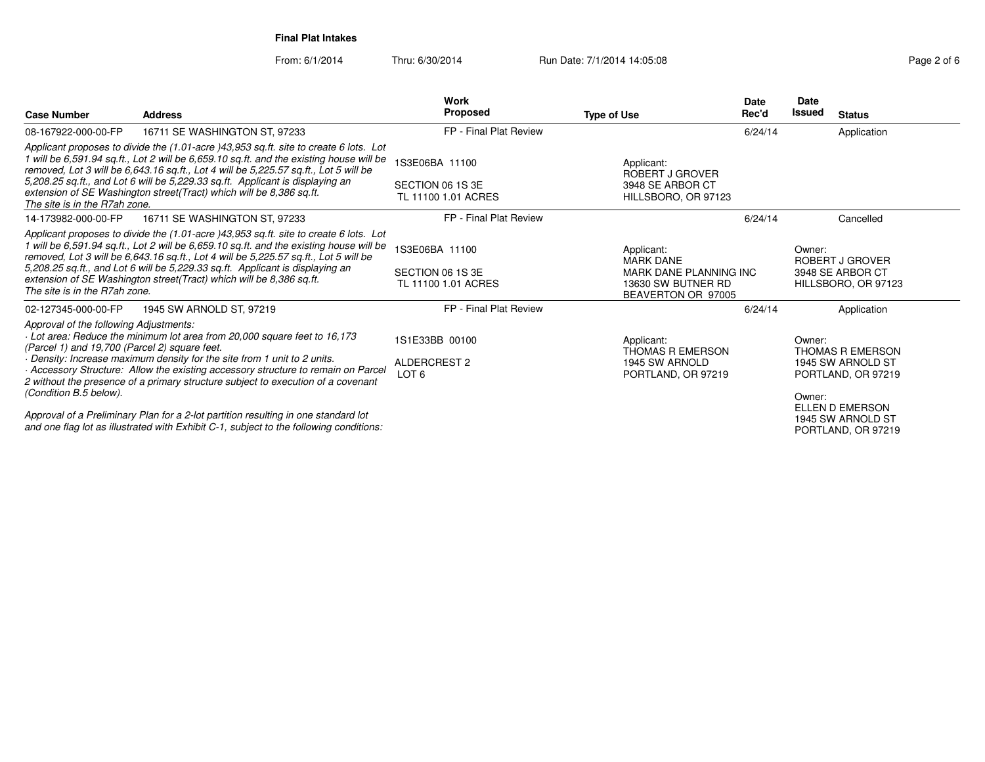From: 6/1/2014Thru: 6/30/2014 **Run Date: 7/1/2014 14:05:08** Rage 2 of 6

| <b>Case Number</b>                                                                      | <b>Address</b>                                                                                                                                                                                                                                                                                                                                                                                                                   | Work<br>Proposed                                          | <b>Type of Use</b>                                                                                   | <b>Date</b><br>Rec'd | <b>Date</b><br>Issued | <b>Status</b>                                                      |
|-----------------------------------------------------------------------------------------|----------------------------------------------------------------------------------------------------------------------------------------------------------------------------------------------------------------------------------------------------------------------------------------------------------------------------------------------------------------------------------------------------------------------------------|-----------------------------------------------------------|------------------------------------------------------------------------------------------------------|----------------------|-----------------------|--------------------------------------------------------------------|
| 08-167922-000-00-FP                                                                     | 16711 SE WASHINGTON ST, 97233                                                                                                                                                                                                                                                                                                                                                                                                    | FP - Final Plat Review                                    |                                                                                                      | 6/24/14              |                       | Application                                                        |
| The site is in the R7ah zone.                                                           | Applicant proposes to divide the (1.01-acre )43,953 sq.ft. site to create 6 lots. Lot<br>1 will be 6,591.94 sq.ft., Lot 2 will be 6,659.10 sq.ft. and the existing house will be<br>removed, Lot 3 will be 6,643.16 sq.ft., Lot 4 will be 5,225.57 sq.ft., Lot 5 will be<br>5,208.25 sq.ft., and Lot 6 will be 5,229.33 sq.ft. Applicant is displaying an<br>extension of SE Washington street(Tract) which will be 8,386 sq.ft. | 1S3E06BA 11100<br>SECTION 06 1S 3E<br>TL 11100 1.01 ACRES | Applicant:<br>ROBERT J GROVER<br>3948 SE ARBOR CT<br>HILLSBORO, OR 97123                             |                      |                       |                                                                    |
| 14-173982-000-00-FP                                                                     | 16711 SE WASHINGTON ST, 97233                                                                                                                                                                                                                                                                                                                                                                                                    | FP - Final Plat Review                                    |                                                                                                      | 6/24/14              |                       | Cancelled                                                          |
| The site is in the R7ah zone.                                                           | Applicant proposes to divide the (1.01-acre )43,953 sq.ft. site to create 6 lots. Lot<br>1 will be 6,591.94 sq.ft., Lot 2 will be 6,659.10 sq.ft. and the existing house will be<br>removed, Lot 3 will be 6,643.16 sq.ft., Lot 4 will be 5,225.57 sq.ft., Lot 5 will be<br>5,208.25 sq.ft., and Lot 6 will be 5,229.33 sq.ft. Applicant is displaying an<br>extension of SE Washington street(Tract) which will be 8,386 sq.ft. | 1S3E06BA 11100<br>SECTION 06 1S 3E<br>TL 11100 1.01 ACRES | Applicant:<br><b>MARK DANE</b><br>MARK DANE PLANNING INC<br>13630 SW BUTNER RD<br>BEAVERTON OR 97005 |                      | Owner:                | ROBERT J GROVER<br>3948 SE ARBOR CT<br>HILLSBORO, OR 97123         |
| 02-127345-000-00-FP                                                                     | 1945 SW ARNOLD ST, 97219                                                                                                                                                                                                                                                                                                                                                                                                         | FP - Final Plat Review                                    |                                                                                                      | 6/24/14              |                       | Application                                                        |
| Approval of the following Adjustments:<br>(Parcel 1) and 19,700 (Parcel 2) square feet. | - Lot area: Reduce the minimum lot area from 20,000 square feet to 16,173<br>Density: Increase maximum density for the site from 1 unit to 2 units.<br>Accessory Structure: Allow the existing accessory structure to remain on Parcel<br>2 without the presence of a primary structure subject to execution of a covenant                                                                                                       | 1S1E33BB 00100<br>ALDERCREST 2<br>LOT <sub>6</sub>        | Applicant:<br><b>THOMAS R EMERSON</b><br>1945 SW ARNOLD<br>PORTLAND, OR 97219                        |                      | Owner:                | <b>THOMAS R EMERSON</b><br>1945 SW ARNOLD ST<br>PORTLAND, OR 97219 |
| (Condition B.5 below).                                                                  | Approval of a Preliminary Plan for a 2-lot partition resulting in one standard lot<br>and one flag lot as illustrated with Exhibit C-1, subject to the following conditions:                                                                                                                                                                                                                                                     |                                                           |                                                                                                      |                      | Owner:                | ELLEN D EMERSON<br>1945 SW ARNOLD ST<br>PORTLAND, OR 97219         |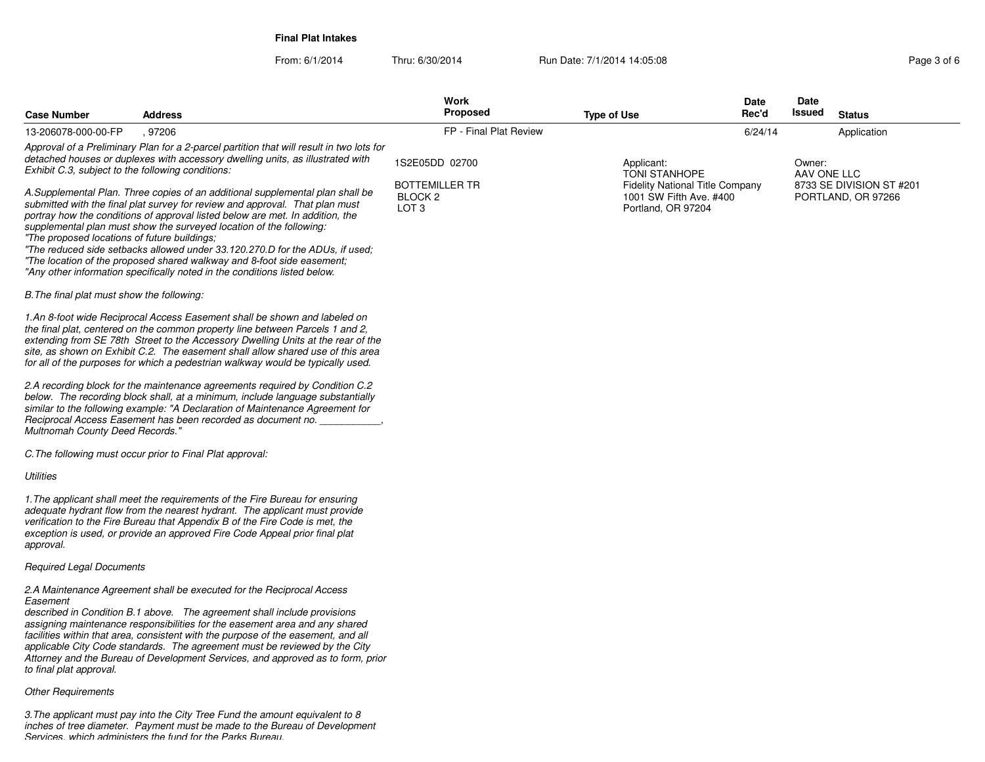From: 6/1/2014Thru: 6/30/2014 **Run Date: 7/1/2014 14:05:08** Run Date: 7/1/2014 14:05:08

| <b>Case Number</b>                                | Address                                                                                                                                                                                                                                                                                                                                                                                                                                                                                | Work<br><b>Proposed</b>                                       | <b>Type of Use</b>                                                                                      | <b>Date</b><br>Rec'd | Date<br>Issued        | <b>Status</b>                                  |
|---------------------------------------------------|----------------------------------------------------------------------------------------------------------------------------------------------------------------------------------------------------------------------------------------------------------------------------------------------------------------------------------------------------------------------------------------------------------------------------------------------------------------------------------------|---------------------------------------------------------------|---------------------------------------------------------------------------------------------------------|----------------------|-----------------------|------------------------------------------------|
| 13-206078-000-00-FP                               | .97206                                                                                                                                                                                                                                                                                                                                                                                                                                                                                 | FP - Final Plat Review                                        |                                                                                                         | 6/24/14              |                       | Application                                    |
| Exhibit C.3, subject to the following conditions: | Approval of a Preliminary Plan for a 2-parcel partition that will result in two lots for<br>detached houses or duplexes with accessory dwelling units, as illustrated with<br>A.Supplemental Plan. Three copies of an additional supplemental plan shall be<br>submitted with the final plat survey for review and approval. That plan must                                                                                                                                            | 1S2E05DD 02700<br><b>BOTTEMILLER TR</b><br>BLOCK <sub>2</sub> | Applicant:<br><b>TONI STANHOPE</b><br><b>Fidelity National Title Company</b><br>1001 SW Fifth Ave. #400 |                      | Owner:<br>AAV ONE LLC | 8733 SE DIVISION ST #201<br>PORTLAND, OR 97266 |
| "The proposed locations of future buildings;      | portray how the conditions of approval listed below are met. In addition, the<br>supplemental plan must show the surveyed location of the following:<br>"The reduced side setbacks allowed under 33.120.270.D for the ADUs, if used:<br>"The location of the proposed shared walkway and 8-foot side easement;<br>"Any other information specifically noted in the conditions listed below.                                                                                            | LOT <sub>3</sub>                                              | Portland, OR 97204                                                                                      |                      |                       |                                                |
| B. The final plat must show the following:        |                                                                                                                                                                                                                                                                                                                                                                                                                                                                                        |                                                               |                                                                                                         |                      |                       |                                                |
|                                                   | 1.An 8-foot wide Reciprocal Access Easement shall be shown and labeled on<br>the final plat, centered on the common property line between Parcels 1 and 2,<br>extending from SE 78th Street to the Accessory Dwelling Units at the rear of the<br>site, as shown on Exhibit C.2. The easement shall allow shared use of this area<br>for all of the purposes for which a pedestrian walkway would be typically used.                                                                   |                                                               |                                                                                                         |                      |                       |                                                |
| Multnomah County Deed Records."                   | 2.A recording block for the maintenance agreements required by Condition C.2<br>below. The recording block shall, at a minimum, include language substantially<br>similar to the following example: "A Declaration of Maintenance Agreement for<br>Reciprocal Access Easement has been recorded as document no.                                                                                                                                                                        |                                                               |                                                                                                         |                      |                       |                                                |
|                                                   | C. The following must occur prior to Final Plat approval:                                                                                                                                                                                                                                                                                                                                                                                                                              |                                                               |                                                                                                         |                      |                       |                                                |
| <b>Utilities</b>                                  |                                                                                                                                                                                                                                                                                                                                                                                                                                                                                        |                                                               |                                                                                                         |                      |                       |                                                |
| approval.                                         | 1. The applicant shall meet the requirements of the Fire Bureau for ensuring<br>adequate hydrant flow from the nearest hydrant. The applicant must provide<br>verification to the Fire Bureau that Appendix B of the Fire Code is met, the<br>exception is used, or provide an approved Fire Code Appeal prior final plat                                                                                                                                                              |                                                               |                                                                                                         |                      |                       |                                                |
| <b>Required Legal Documents</b>                   |                                                                                                                                                                                                                                                                                                                                                                                                                                                                                        |                                                               |                                                                                                         |                      |                       |                                                |
| Easement<br>to final plat approval.               | 2.A Maintenance Agreement shall be executed for the Reciprocal Access<br>described in Condition B.1 above. The agreement shall include provisions<br>assigning maintenance responsibilities for the easement area and any shared<br>facilities within that area, consistent with the purpose of the easement, and all<br>applicable City Code standards. The agreement must be reviewed by the City<br>Attorney and the Bureau of Development Services, and approved as to form, prior |                                                               |                                                                                                         |                      |                       |                                                |
| <b>Other Requirements</b>                         |                                                                                                                                                                                                                                                                                                                                                                                                                                                                                        |                                                               |                                                                                                         |                      |                       |                                                |

3.The applicant must pay into the City Tree Fund the amount equivalent to 8<br>inches of tree diameter. Payment must be made to the Bureau of Development<br>Services, which administers the fund for the Parks Bureau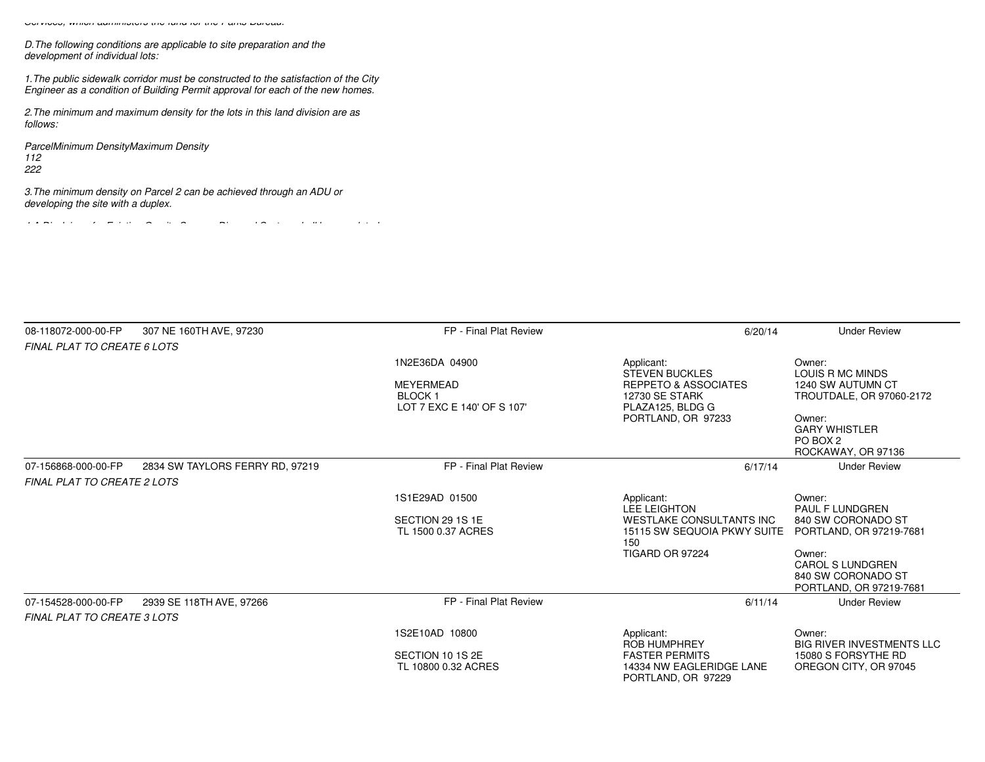*Services, which administers the fund for the Parks Bureau.*

*D.The following conditions are applicable to site preparation and thedevelopment of individual lots:*

*1.The public sidewalk corridor must be constructed to the satisfaction of the CityEngineer as a condition of Building Permit approval for each of the new homes.*

*2.The minimum and maximum density for the lots in this land division are asfollows:*

*ParcelMinimum DensityMaximum Density112222*

*3.The minimum density on Parcel 2 can be achieved through an ADU ordeveloping the site with a duplex.*

*4.A Disclaimer for Existing On-site Sewage Disposal System shall be completed*

| 08-118072-000-00-FP                | 307 NE 160TH AVE, 97230         | FP - Final Plat Review                                                     | 6/20/14                                                                                                             | <b>Under Review</b>                                                         |
|------------------------------------|---------------------------------|----------------------------------------------------------------------------|---------------------------------------------------------------------------------------------------------------------|-----------------------------------------------------------------------------|
| FINAL PLAT TO CREATE 6 LOTS        |                                 |                                                                            |                                                                                                                     |                                                                             |
|                                    |                                 | 1N2E36DA 04900<br>MEYERMEAD<br><b>BLOCK1</b><br>LOT 7 EXC E 140' OF S 107' | Applicant:<br><b>STEVEN BUCKLES</b><br><b>REPPETO &amp; ASSOCIATES</b><br><b>12730 SE STARK</b><br>PLAZA125, BLDG G | Owner:<br>LOUIS R MC MINDS<br>1240 SW AUTUMN CT<br>TROUTDALE, OR 97060-2172 |
|                                    |                                 |                                                                            | PORTLAND, OR 97233                                                                                                  | Owner:<br><b>GARY WHISTLER</b><br>PO BOX 2<br>ROCKAWAY, OR 97136            |
| 07-156868-000-00-FP                | 2834 SW TAYLORS FERRY RD, 97219 | FP - Final Plat Review                                                     | 6/17/14                                                                                                             | <b>Under Review</b>                                                         |
| <b>FINAL PLAT TO CREATE 2 LOTS</b> |                                 |                                                                            |                                                                                                                     |                                                                             |
|                                    |                                 | 1S1E29AD 01500                                                             | Applicant:                                                                                                          | Owner:                                                                      |
|                                    |                                 | SECTION 29 1S 1E<br>TL 1500 0.37 ACRES                                     | <b>LEE LEIGHTON</b><br><b>WESTLAKE CONSULTANTS INC</b><br>15115 SW SEQUOIA PKWY SUITE<br>150                        | <b>PAUL F LUNDGREN</b><br>840 SW CORONADO ST<br>PORTLAND, OR 97219-7681     |
|                                    |                                 |                                                                            | TIGARD OR 97224                                                                                                     | Owner:<br>CAROL S LUNDGREN<br>840 SW CORONADO ST<br>PORTLAND, OR 97219-7681 |
| 07-154528-000-00-FP                | 2939 SE 118TH AVE, 97266        | FP - Final Plat Review                                                     | 6/11/14                                                                                                             | <b>Under Review</b>                                                         |
| <b>FINAL PLAT TO CREATE 3 LOTS</b> |                                 |                                                                            |                                                                                                                     |                                                                             |
|                                    |                                 | 1S2E10AD 10800                                                             | Applicant:<br><b>ROB HUMPHREY</b>                                                                                   | Owner:<br><b>BIG RIVER INVESTMENTS LLC</b>                                  |
|                                    |                                 | SECTION 10 1S 2E<br>TL 10800 0.32 ACRES                                    | <b>FASTER PERMITS</b><br>14334 NW EAGLERIDGE LANE<br>PORTLAND, OR 97229                                             | 15080 S FORSYTHE RD<br>OREGON CITY, OR 97045                                |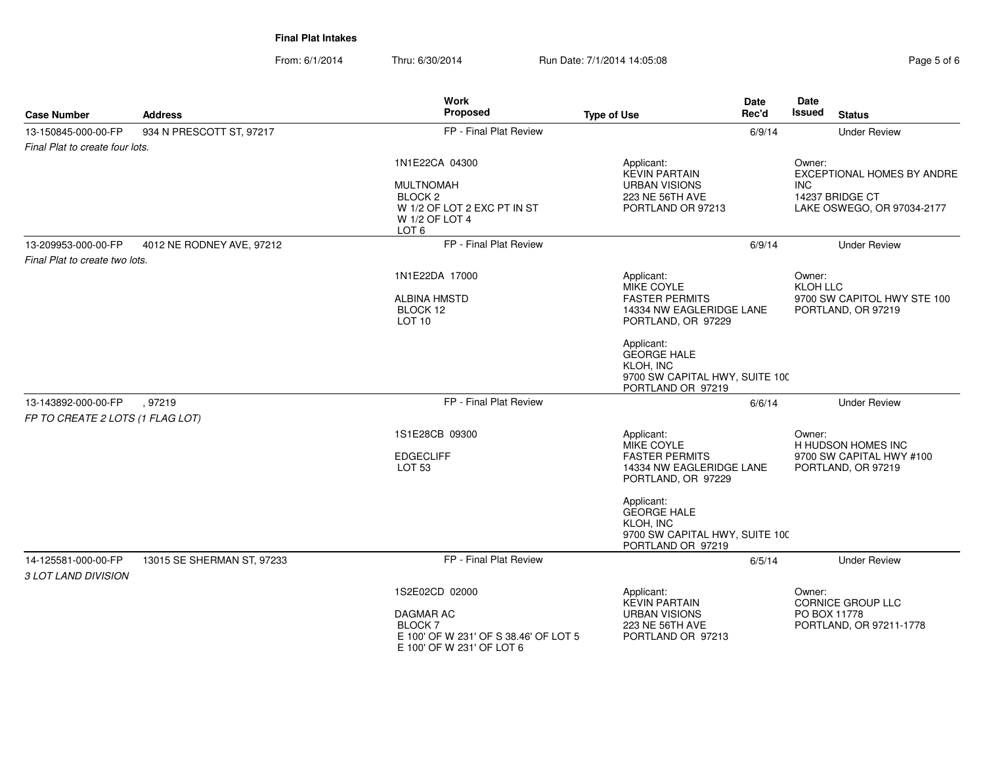From: 6/1/2014Thru: 6/30/2014 Run Date: 7/1/2014 14:05:08 Research 2010 2014 14:05:08

|                                            |                            | <b>Work</b><br>Proposed                                                                           |                                                                                                      | <b>Date</b> | Date                                                      |
|--------------------------------------------|----------------------------|---------------------------------------------------------------------------------------------------|------------------------------------------------------------------------------------------------------|-------------|-----------------------------------------------------------|
| <b>Case Number</b>                         | <b>Address</b>             |                                                                                                   | <b>Type of Use</b>                                                                                   | Rec'd       | <b>Issued</b><br><b>Status</b>                            |
| 13-150845-000-00-FP                        | 934 N PRESCOTT ST, 97217   | FP - Final Plat Review                                                                            |                                                                                                      | 6/9/14      | <b>Under Review</b>                                       |
| Final Plat to create four lots.            |                            |                                                                                                   |                                                                                                      |             |                                                           |
|                                            |                            | 1N1E22CA 04300<br><b>MULTNOMAH</b>                                                                | Applicant:<br><b>KEVIN PARTAIN</b><br><b>URBAN VISIONS</b>                                           |             | Owner:<br><b>EXCEPTIONAL HOMES BY ANDRE</b><br><b>INC</b> |
|                                            |                            | BLOCK <sub>2</sub><br>W 1/2 OF LOT 2 EXC PT IN ST<br>W 1/2 OF LOT 4<br>LOT <sub>6</sub>           | 223 NE 56TH AVE<br>PORTLAND OR 97213                                                                 |             | 14237 BRIDGE CT<br>LAKE OSWEGO, OR 97034-2177             |
| 13-209953-000-00-FP                        | 4012 NE RODNEY AVE, 97212  | FP - Final Plat Review                                                                            |                                                                                                      | 6/9/14      | <b>Under Review</b>                                       |
| Final Plat to create two lots.             |                            |                                                                                                   |                                                                                                      |             |                                                           |
|                                            |                            | 1N1E22DA 17000                                                                                    | Applicant:<br>MIKE COYLE                                                                             |             | Owner:<br>KLOH LLC                                        |
|                                            |                            | <b>ALBINA HMSTD</b><br>BLOCK 12<br><b>LOT 10</b>                                                  | <b>FASTER PERMITS</b><br>14334 NW EAGLERIDGE LANE<br>PORTLAND, OR 97229                              |             | 9700 SW CAPITOL HWY STE 100<br>PORTLAND, OR 97219         |
|                                            |                            |                                                                                                   | Applicant:<br><b>GEORGE HALE</b><br>KLOH, INC<br>9700 SW CAPITAL HWY, SUITE 100<br>PORTLAND OR 97219 |             |                                                           |
| 13-143892-000-00-FP                        | .97219                     | FP - Final Plat Review                                                                            |                                                                                                      | 6/6/14      | <b>Under Review</b>                                       |
| FP TO CREATE 2 LOTS (1 FLAG LOT)           |                            |                                                                                                   |                                                                                                      |             |                                                           |
|                                            |                            | 1S1E28CB 09300                                                                                    | Applicant:<br>MIKE COYLE                                                                             |             | Owner:<br>H HUDSON HOMES INC                              |
|                                            |                            | <b>EDGECLIFF</b><br><b>LOT 53</b>                                                                 | <b>FASTER PERMITS</b><br>14334 NW EAGLERIDGE LANE<br>PORTLAND, OR 97229                              |             | 9700 SW CAPITAL HWY #100<br>PORTLAND, OR 97219            |
|                                            |                            |                                                                                                   | Applicant:<br><b>GEORGE HALE</b><br>KLOH, INC<br>9700 SW CAPITAL HWY, SUITE 100<br>PORTLAND OR 97219 |             |                                                           |
| 14-125581-000-00-FP<br>3 LOT LAND DIVISION | 13015 SE SHERMAN ST, 97233 | FP - Final Plat Review                                                                            |                                                                                                      | 6/5/14      | <b>Under Review</b>                                       |
|                                            |                            | 1S2E02CD 02000                                                                                    | Applicant:<br><b>KEVIN PARTAIN</b>                                                                   |             | Owner:<br><b>CORNICE GROUP LLC</b>                        |
|                                            |                            | DAGMAR AC<br><b>BLOCK 7</b><br>E 100' OF W 231' OF S 38.46' OF LOT 5<br>E 100' OF W 231' OF LOT 6 | <b>URBAN VISIONS</b><br>223 NE 56TH AVE<br>PORTLAND OR 97213                                         |             | PO BOX 11778<br>PORTLAND, OR 97211-1778                   |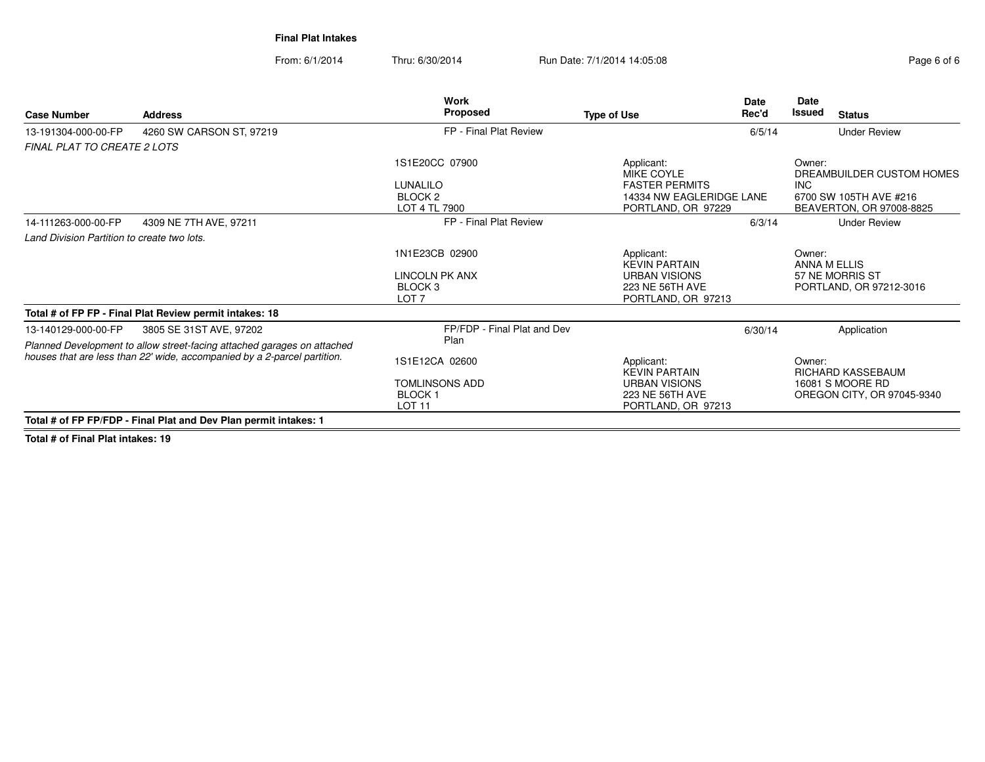From: 6/1/2014Thru: 6/30/2014 Run Date: 7/1/2014 14:05:08 Research 2010 2014 14:05:08

| <b>Case Number</b>                          | <b>Address</b>                                                                                     | <b>Work</b><br>Proposed                                                            | <b>Type of Use</b>                                                                                  | <b>Date</b><br>Rec'd | Date<br><b>Issued</b>  | <b>Status</b>                                                                   |
|---------------------------------------------|----------------------------------------------------------------------------------------------------|------------------------------------------------------------------------------------|-----------------------------------------------------------------------------------------------------|----------------------|------------------------|---------------------------------------------------------------------------------|
| 13-191304-000-00-FP                         | 4260 SW CARSON ST, 97219                                                                           | FP - Final Plat Review                                                             |                                                                                                     | 6/5/14               |                        | <b>Under Review</b>                                                             |
| <b>FINAL PLAT TO CREATE 2 LOTS</b>          |                                                                                                    |                                                                                    |                                                                                                     |                      |                        |                                                                                 |
|                                             |                                                                                                    | 1S1E20CC 07900<br>LUNALILO<br>BLOCK <sub>2</sub><br>LOT 4 TL 7900                  | Applicant:<br>MIKE COYLE<br><b>FASTER PERMITS</b><br>14334 NW EAGLERIDGE LANE<br>PORTLAND, OR 97229 |                      | Owner:<br>INC.         | DREAMBUILDER CUSTOM HOMES<br>6700 SW 105TH AVE #216<br>BEAVERTON, OR 97008-8825 |
| 14-111263-000-00-FP                         | 4309 NE 7TH AVE, 97211                                                                             | FP - Final Plat Review                                                             |                                                                                                     | 6/3/14               |                        | <b>Under Review</b>                                                             |
| Land Division Partition to create two lots. |                                                                                                    |                                                                                    |                                                                                                     |                      |                        |                                                                                 |
|                                             |                                                                                                    | 1N1E23CB 02900<br>LINCOLN PK ANX<br>BLOCK 3<br>LOT <sub>7</sub>                    | Applicant:<br><b>KEVIN PARTAIN</b><br><b>URBAN VISIONS</b><br>223 NE 56TH AVE<br>PORTLAND, OR 97213 |                      | Owner:<br>ANNA M ELLIS | 57 NE MORRIS ST<br>PORTLAND, OR 97212-3016                                      |
|                                             | Total # of FP FP - Final Plat Review permit intakes: 18                                            |                                                                                    |                                                                                                     |                      |                        |                                                                                 |
| 13-140129-000-00-FP                         | 3805 SE 31ST AVE, 97202<br>Planned Development to allow street-facing attached garages on attached | FP/FDP - Final Plat and Dev<br>Plan                                                |                                                                                                     | 6/30/14              |                        | Application                                                                     |
|                                             | houses that are less than 22' wide, accompanied by a 2-parcel partition.                           | 1S1E12CA 02600<br><b>TOMLINSONS ADD</b><br>BLOCK <sub>1</sub><br>LOT <sub>11</sub> | Applicant:<br><b>KEVIN PARTAIN</b><br><b>URBAN VISIONS</b><br>223 NE 56TH AVE<br>PORTLAND, OR 97213 |                      | Owner:                 | RICHARD KASSEBAUM<br>16081 S MOORE RD<br>OREGON CITY, OR 97045-9340             |
|                                             | Total # of FP FP/FDP - Final Plat and Dev Plan permit intakes: 1                                   |                                                                                    |                                                                                                     |                      |                        |                                                                                 |

**Total # of Final Plat intakes: 19**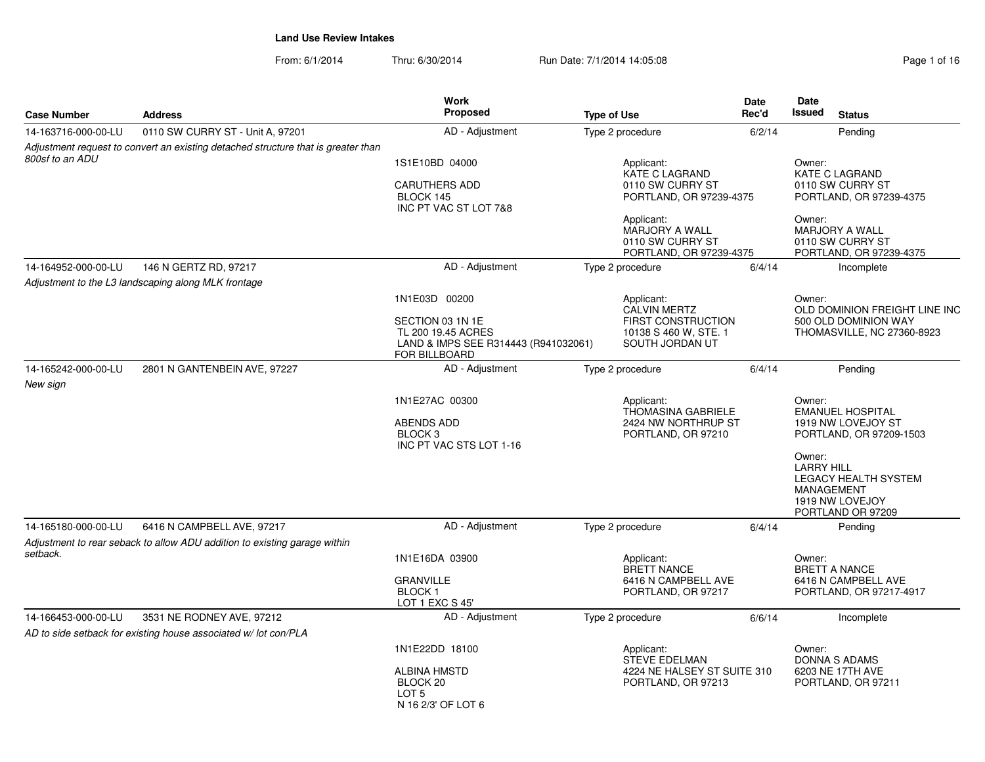From: 6/1/2014Thru: 6/30/2014 Run Date: 7/1/2014 14:05:08 Research 2010 2014 14:05:08

|                     |                                                                                   | <b>Work</b>                             |                                                     | <b>Date</b> | Date                                                  |
|---------------------|-----------------------------------------------------------------------------------|-----------------------------------------|-----------------------------------------------------|-------------|-------------------------------------------------------|
| <b>Case Number</b>  | <b>Address</b>                                                                    | Proposed                                | <b>Type of Use</b>                                  | Rec'd       | <b>Issued</b><br><b>Status</b>                        |
| 14-163716-000-00-LU | 0110 SW CURRY ST - Unit A, 97201                                                  | AD - Adjustment                         | Type 2 procedure                                    | 6/2/14      | Pending                                               |
|                     | Adjustment request to convert an existing detached structure that is greater than |                                         |                                                     |             |                                                       |
| 800sf to an ADU     |                                                                                   | 1S1E10BD 04000                          | Applicant:<br><b>KATE C LAGRAND</b>                 |             | Owner:<br>KATE C LAGRAND                              |
|                     |                                                                                   | <b>CARUTHERS ADD</b>                    | 0110 SW CURRY ST                                    |             | 0110 SW CURRY ST                                      |
|                     |                                                                                   | BLOCK 145                               | PORTLAND, OR 97239-4375                             |             | PORTLAND, OR 97239-4375                               |
|                     |                                                                                   | INC PT VAC ST LOT 7&8                   |                                                     |             |                                                       |
|                     |                                                                                   |                                         | Applicant:<br>MARJORY A WALL                        |             | Owner:<br>MARJORY A WALL                              |
|                     |                                                                                   |                                         | 0110 SW CURRY ST                                    |             | 0110 SW CURRY ST                                      |
|                     |                                                                                   |                                         | PORTLAND, OR 97239-4375                             |             | PORTLAND, OR 97239-4375                               |
| 14-164952-000-00-LU | 146 N GERTZ RD, 97217                                                             | AD - Adjustment                         | Type 2 procedure                                    | 6/4/14      | Incomplete                                            |
|                     | Adjustment to the L3 landscaping along MLK frontage                               |                                         |                                                     |             |                                                       |
|                     |                                                                                   | 1N1E03D 00200                           | Applicant:                                          |             | Owner:                                                |
|                     |                                                                                   | SECTION 03 1N 1E                        | <b>CALVIN MERTZ</b><br><b>FIRST CONSTRUCTION</b>    |             | OLD DOMINION FREIGHT LINE INC<br>500 OLD DOMINION WAY |
|                     |                                                                                   | TL 200 19.45 ACRES                      | 10138 S 460 W, STE. 1                               |             | THOMASVILLE, NC 27360-8923                            |
|                     |                                                                                   | LAND & IMPS SEE R314443 (R941032061)    | SOUTH JORDAN UT                                     |             |                                                       |
|                     | 2801 N GANTENBEIN AVE, 97227                                                      | <b>FOR BILLBOARD</b><br>AD - Adjustment | Type 2 procedure                                    |             |                                                       |
| 14-165242-000-00-LU |                                                                                   |                                         |                                                     | 6/4/14      | Pending                                               |
| New sign            |                                                                                   |                                         |                                                     |             |                                                       |
|                     |                                                                                   | 1N1E27AC 00300                          | Applicant:<br><b>THOMASINA GABRIELE</b>             |             | Owner:<br><b>EMANUEL HOSPITAL</b>                     |
|                     |                                                                                   | <b>ABENDS ADD</b>                       | 2424 NW NORTHRUP ST                                 |             | 1919 NW LOVEJOY ST                                    |
|                     |                                                                                   | BLOCK <sub>3</sub>                      | PORTLAND, OR 97210                                  |             | PORTLAND, OR 97209-1503                               |
|                     |                                                                                   | INC PT VAC STS LOT 1-16                 |                                                     |             | Owner:                                                |
|                     |                                                                                   |                                         |                                                     |             | <b>LARRY HILL</b>                                     |
|                     |                                                                                   |                                         |                                                     |             | <b>LEGACY HEALTH SYSTEM</b>                           |
|                     |                                                                                   |                                         |                                                     |             | <b>MANAGEMENT</b><br>1919 NW LOVEJOY                  |
|                     |                                                                                   |                                         |                                                     |             | PORTLAND OR 97209                                     |
| 14-165180-000-00-LU | 6416 N CAMPBELL AVE, 97217                                                        | AD - Adjustment                         | Type 2 procedure                                    | 6/4/14      | Pending                                               |
|                     | Adjustment to rear seback to allow ADU addition to existing garage within         |                                         |                                                     |             |                                                       |
| setback.            |                                                                                   | 1N1E16DA 03900                          | Applicant:                                          |             | Owner:                                                |
|                     |                                                                                   | <b>GRANVILLE</b>                        | <b>BRETT NANCE</b><br>6416 N CAMPBELL AVE           |             | <b>BRETT A NANCE</b><br>6416 N CAMPBELL AVE           |
|                     |                                                                                   | <b>BLOCK1</b>                           | PORTLAND, OR 97217                                  |             | PORTLAND, OR 97217-4917                               |
|                     |                                                                                   | LOT 1 EXC S 45'                         |                                                     |             |                                                       |
| 14-166453-000-00-LU | 3531 NE RODNEY AVE, 97212                                                         | AD - Adjustment                         | Type 2 procedure                                    | 6/6/14      | Incomplete                                            |
|                     | AD to side setback for existing house associated w/lot con/PLA                    |                                         |                                                     |             |                                                       |
|                     |                                                                                   | 1N1E22DD 18100                          | Applicant:                                          |             | Owner:                                                |
|                     |                                                                                   | <b>ALBINA HMSTD</b>                     | <b>STEVE EDELMAN</b><br>4224 NE HALSEY ST SUITE 310 |             | <b>DONNA S ADAMS</b><br>6203 NE 17TH AVE              |
|                     |                                                                                   | BLOCK <sub>20</sub>                     | PORTLAND, OR 97213                                  |             | PORTLAND, OR 97211                                    |
|                     |                                                                                   | LOT <sub>5</sub><br>N 16 2/3' OF LOT 6  |                                                     |             |                                                       |
|                     |                                                                                   |                                         |                                                     |             |                                                       |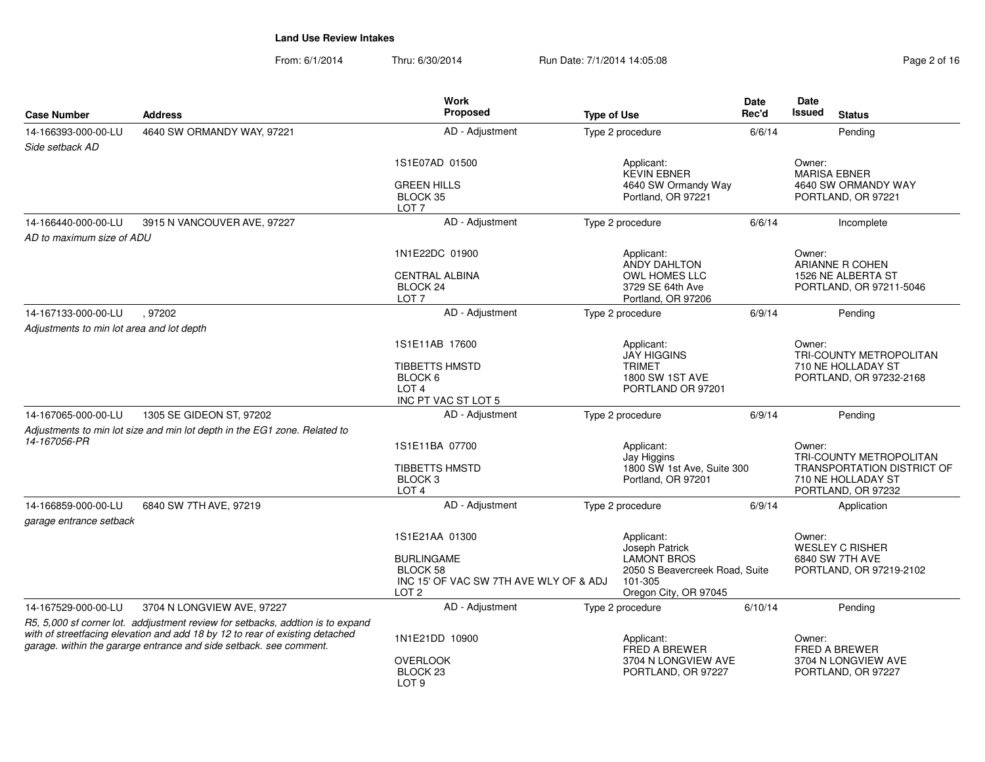From: 6/1/2014Thru: 6/30/2014 **Run Date: 7/1/2014 14:05:08** Pag

| Page 2 of 16 |  |  |  |  |
|--------------|--|--|--|--|
|--------------|--|--|--|--|

|                                           |                                                                                                                                                    | <b>Work</b>                                                                                     |                                                                                          | Date    | Date                                                                                                     |  |
|-------------------------------------------|----------------------------------------------------------------------------------------------------------------------------------------------------|-------------------------------------------------------------------------------------------------|------------------------------------------------------------------------------------------|---------|----------------------------------------------------------------------------------------------------------|--|
| <b>Case Number</b>                        | <b>Address</b>                                                                                                                                     | Proposed                                                                                        | <b>Type of Use</b>                                                                       | Rec'd   | <b>Issued</b><br><b>Status</b>                                                                           |  |
| 14-166393-000-00-LU                       | 4640 SW ORMANDY WAY, 97221                                                                                                                         | AD - Adjustment                                                                                 | Type 2 procedure                                                                         | 6/6/14  | Pending                                                                                                  |  |
| Side setback AD                           |                                                                                                                                                    |                                                                                                 |                                                                                          |         |                                                                                                          |  |
|                                           |                                                                                                                                                    | 1S1E07AD 01500                                                                                  | Applicant:<br><b>KEVIN EBNER</b>                                                         |         | Owner:<br><b>MARISA EBNER</b>                                                                            |  |
|                                           |                                                                                                                                                    | <b>GREEN HILLS</b><br>4640 SW Ormandy Way<br>BLOCK 35<br>Portland, OR 97221<br>LOT <sub>7</sub> |                                                                                          |         | 4640 SW ORMANDY WAY<br>PORTLAND, OR 97221                                                                |  |
| 14-166440-000-00-LU                       | 3915 N VANCOUVER AVE, 97227                                                                                                                        | AD - Adjustment                                                                                 | Type 2 procedure                                                                         | 6/6/14  | Incomplete                                                                                               |  |
| AD to maximum size of ADU                 |                                                                                                                                                    |                                                                                                 |                                                                                          |         |                                                                                                          |  |
|                                           |                                                                                                                                                    | 1N1E22DC 01900                                                                                  | Applicant:<br>ANDY DAHLTON                                                               |         | Owner:<br>ARIANNE R COHEN                                                                                |  |
|                                           |                                                                                                                                                    | <b>CENTRAL ALBINA</b><br>BLOCK 24<br>LOT <sub>7</sub>                                           | <b>OWL HOMES LLC</b><br>3729 SE 64th Ave<br>Portland, OR 97206                           |         | 1526 NE ALBERTA ST<br>PORTLAND, OR 97211-5046                                                            |  |
| 14-167133-000-00-LU                       | .97202                                                                                                                                             | AD - Adjustment                                                                                 | Type 2 procedure                                                                         | 6/9/14  | Pending                                                                                                  |  |
| Adjustments to min lot area and lot depth |                                                                                                                                                    |                                                                                                 |                                                                                          |         |                                                                                                          |  |
|                                           |                                                                                                                                                    | 1S1E11AB 17600                                                                                  | Applicant:<br><b>JAY HIGGINS</b>                                                         |         | Owner:<br>TRI-COUNTY METROPOLITAN                                                                        |  |
|                                           |                                                                                                                                                    | <b>TIBBETTS HMSTD</b><br>BLOCK 6<br>LOT <sub>4</sub><br>INC PT VAC ST LOT 5                     | <b>TRIMET</b><br>1800 SW 1ST AVE<br>PORTLAND OR 97201                                    |         | 710 NE HOLLADAY ST<br>PORTLAND, OR 97232-2168                                                            |  |
| 14-167065-000-00-LU                       | 1305 SE GIDEON ST, 97202                                                                                                                           | AD - Adjustment                                                                                 | Type 2 procedure                                                                         | 6/9/14  | Pending                                                                                                  |  |
|                                           | Adjustments to min lot size and min lot depth in the EG1 zone. Related to                                                                          |                                                                                                 |                                                                                          |         |                                                                                                          |  |
| 14-167056-PR                              |                                                                                                                                                    | 1S1E11BA 07700                                                                                  | Applicant:                                                                               |         | Owner:                                                                                                   |  |
|                                           |                                                                                                                                                    | <b>TIBBETTS HMSTD</b><br>BLOCK <sub>3</sub><br>LOT <sub>4</sub>                                 | Jay Higgins<br>1800 SW 1st Ave, Suite 300<br>Portland, OR 97201                          |         | TRI-COUNTY METROPOLITAN<br><b>TRANSPORTATION DISTRICT OF</b><br>710 NE HOLLADAY ST<br>PORTLAND, OR 97232 |  |
| 14-166859-000-00-LU                       | 6840 SW 7TH AVE, 97219                                                                                                                             | AD - Adjustment                                                                                 | Type 2 procedure                                                                         | 6/9/14  | Application                                                                                              |  |
| garage entrance setback                   |                                                                                                                                                    |                                                                                                 |                                                                                          |         |                                                                                                          |  |
|                                           |                                                                                                                                                    | 1S1E21AA 01300                                                                                  | Applicant:<br>Joseph Patrick                                                             |         | Owner:<br><b>WESLEY C RISHER</b>                                                                         |  |
|                                           |                                                                                                                                                    | <b>BURLINGAME</b><br>BLOCK 58<br>INC 15' OF VAC SW 7TH AVE WLY OF & ADJ<br>LOT <sub>2</sub>     | <b>LAMONT BROS</b><br>2050 S Beavercreek Road, Suite<br>101-305<br>Oregon City, OR 97045 |         | 6840 SW 7TH AVE<br>PORTLAND, OR 97219-2102                                                               |  |
| 14-167529-000-00-LU                       | 3704 N LONGVIEW AVE, 97227                                                                                                                         | AD - Adjustment                                                                                 | Type 2 procedure                                                                         | 6/10/14 | Pending                                                                                                  |  |
|                                           | R5, 5,000 sf corner lot. addjustment review for setbacks, addtion is to expand                                                                     |                                                                                                 |                                                                                          |         |                                                                                                          |  |
|                                           | with of streetfacing elevation and add 18 by 12 to rear of existing detached<br>garage. within the gararge entrance and side setback. see comment. | 1N1E21DD 10900                                                                                  | Applicant:<br>FRED A BREWER                                                              |         | Owner:<br>FRED A BREWER                                                                                  |  |
|                                           |                                                                                                                                                    | <b>OVERLOOK</b><br>BLOCK <sub>23</sub><br>LOT <sub>9</sub>                                      | 3704 N LONGVIEW AVE<br>PORTLAND, OR 97227                                                |         | 3704 N LONGVIEW AVE<br>PORTLAND, OR 97227                                                                |  |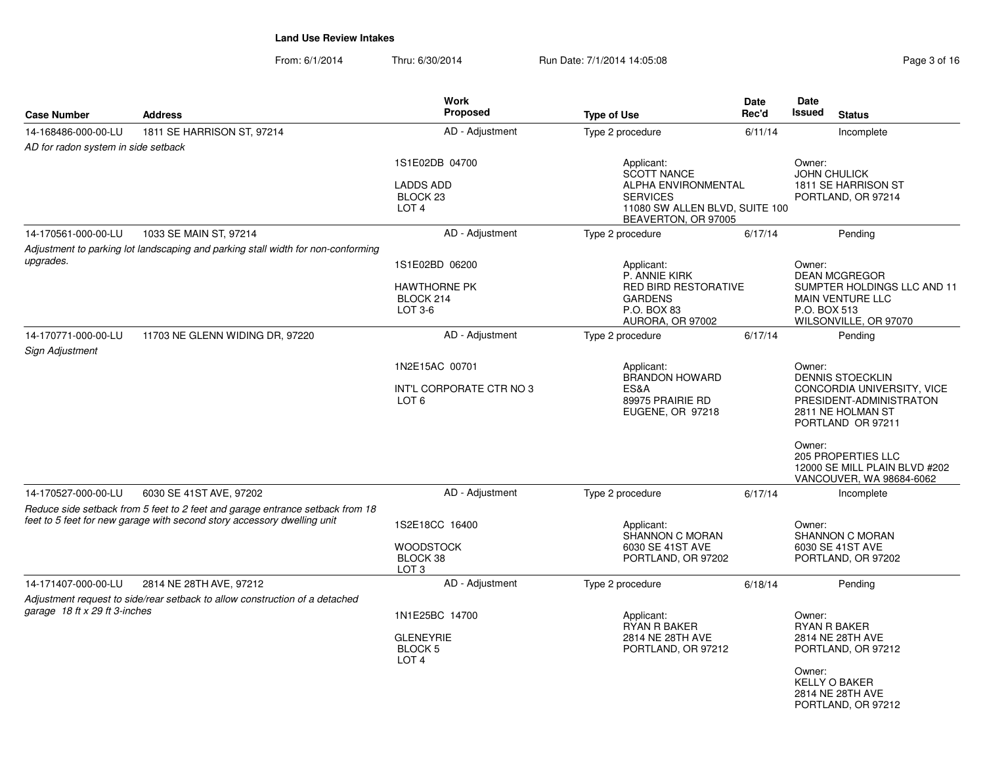| <b>Case Number</b>                                                                            | <b>Address</b>                                                                                                                                           | Work<br><b>Proposed</b>                                                       | <b>Type of Use</b>                                                                                                                         | <b>Date</b><br>Rec'd                                                       | <b>Date</b><br><b>Issued</b>                                                                                        | <b>Status</b>                                                                          |
|-----------------------------------------------------------------------------------------------|----------------------------------------------------------------------------------------------------------------------------------------------------------|-------------------------------------------------------------------------------|--------------------------------------------------------------------------------------------------------------------------------------------|----------------------------------------------------------------------------|---------------------------------------------------------------------------------------------------------------------|----------------------------------------------------------------------------------------|
| 14-168486-000-00-LU                                                                           | 1811 SE HARRISON ST, 97214                                                                                                                               | AD - Adjustment                                                               | Type 2 procedure                                                                                                                           | 6/11/14                                                                    |                                                                                                                     | Incomplete                                                                             |
| AD for radon system in side setback                                                           |                                                                                                                                                          |                                                                               |                                                                                                                                            |                                                                            |                                                                                                                     |                                                                                        |
|                                                                                               |                                                                                                                                                          | 1S1E02DB 04700<br><b>LADDS ADD</b><br>BLOCK <sub>23</sub><br>LOT <sub>4</sub> | Applicant:<br><b>SCOTT NANCE</b><br><b>ALPHA ENVIRONMENTAL</b><br><b>SERVICES</b><br>11080 SW ALLEN BLVD, SUITE 100<br>BEAVERTON, OR 97005 | Owner:<br><b>JOHN CHULICK</b><br>1811 SE HARRISON ST<br>PORTLAND, OR 97214 |                                                                                                                     |                                                                                        |
| 14-170561-000-00-LU                                                                           | 1033 SE MAIN ST, 97214                                                                                                                                   | AD - Adjustment                                                               | Type 2 procedure                                                                                                                           | 6/17/14                                                                    |                                                                                                                     | Pending                                                                                |
| Adjustment to parking lot landscaping and parking stall width for non-conforming<br>upgrades. |                                                                                                                                                          | 1S1E02BD 06200                                                                | Applicant:<br>P. ANNIE KIRK                                                                                                                |                                                                            | Owner:                                                                                                              | <b>DEAN MCGREGOR</b>                                                                   |
|                                                                                               |                                                                                                                                                          | <b>HAWTHORNE PK</b><br>BLOCK 214<br>$LOT 3-6$                                 | <b>RED BIRD RESTORATIVE</b><br><b>GARDENS</b><br>P.O. BOX 83<br>AURORA, OR 97002                                                           |                                                                            | P.O. BOX 513                                                                                                        | SUMPTER HOLDINGS LLC AND 11<br><b>MAIN VENTURE LLC</b><br>WILSONVILLE, OR 97070        |
| 14-170771-000-00-LU<br>Sign Adjustment                                                        | 11703 NE GLENN WIDING DR, 97220                                                                                                                          | AD - Adjustment                                                               | Type 2 procedure                                                                                                                           | 6/17/14                                                                    |                                                                                                                     | Pending                                                                                |
|                                                                                               |                                                                                                                                                          | 1N2E15AC 00701                                                                | Applicant:                                                                                                                                 |                                                                            | Owner:                                                                                                              |                                                                                        |
|                                                                                               |                                                                                                                                                          | INT'L CORPORATE CTR NO 3<br>LOT <sub>6</sub>                                  | <b>BRANDON HOWARD</b><br>ES&A<br>89975 PRAIRIE RD<br>EUGENE, OR 97218                                                                      |                                                                            | DENNIS STOECKLIN<br>CONCORDIA UNIVERSITY, VICE<br>PRESIDENT-ADMINISTRATON<br>2811 NE HOLMAN ST<br>PORTLAND OR 97211 |                                                                                        |
|                                                                                               |                                                                                                                                                          |                                                                               |                                                                                                                                            |                                                                            | Owner:                                                                                                              | <b>205 PROPERTIES LLC</b><br>12000 SE MILL PLAIN BLVD #202<br>VANCOUVER, WA 98684-6062 |
| 14-170527-000-00-LU                                                                           | 6030 SE 41ST AVE, 97202                                                                                                                                  | AD - Adjustment                                                               | Type 2 procedure                                                                                                                           | 6/17/14                                                                    |                                                                                                                     | Incomplete                                                                             |
|                                                                                               | Reduce side setback from 5 feet to 2 feet and garage entrance setback from 18<br>feet to 5 feet for new garage with second story accessory dwelling unit | 1S2E18CC 16400<br><b>WOODSTOCK</b><br>BLOCK 38                                | Applicant:<br><b>SHANNON C MORAN</b><br>6030 SE 41ST AVE<br>PORTLAND, OR 97202                                                             |                                                                            | Owner:                                                                                                              | <b>SHANNON C MORAN</b><br>6030 SE 41ST AVE<br>PORTLAND, OR 97202                       |
|                                                                                               |                                                                                                                                                          | LOT <sub>3</sub>                                                              |                                                                                                                                            |                                                                            |                                                                                                                     |                                                                                        |
| 14-171407-000-00-LU                                                                           | 2814 NE 28TH AVE, 97212                                                                                                                                  | AD - Adjustment                                                               | Type 2 procedure                                                                                                                           | 6/18/14                                                                    |                                                                                                                     | Pending                                                                                |
|                                                                                               | Adjustment request to side/rear setback to allow construction of a detached                                                                              |                                                                               |                                                                                                                                            |                                                                            |                                                                                                                     |                                                                                        |
| garage 18 ft x 29 ft 3-inches                                                                 |                                                                                                                                                          | 1N1E25BC 14700<br><b>GLENEYRIE</b><br>BLOCK <sub>5</sub><br>LOT <sub>4</sub>  | Applicant:<br><b>RYAN R BAKER</b><br>2814 NE 28TH AVE<br>PORTLAND, OR 97212                                                                |                                                                            | Owner:<br>Owner:                                                                                                    | <b>RYAN R BAKER</b><br>2814 NE 28TH AVE<br>PORTLAND, OR 97212                          |
|                                                                                               |                                                                                                                                                          |                                                                               |                                                                                                                                            |                                                                            |                                                                                                                     | <b>KELLY O BAKER</b><br>2814 NE 28TH AVE<br>PORTLAND, OR 97212                         |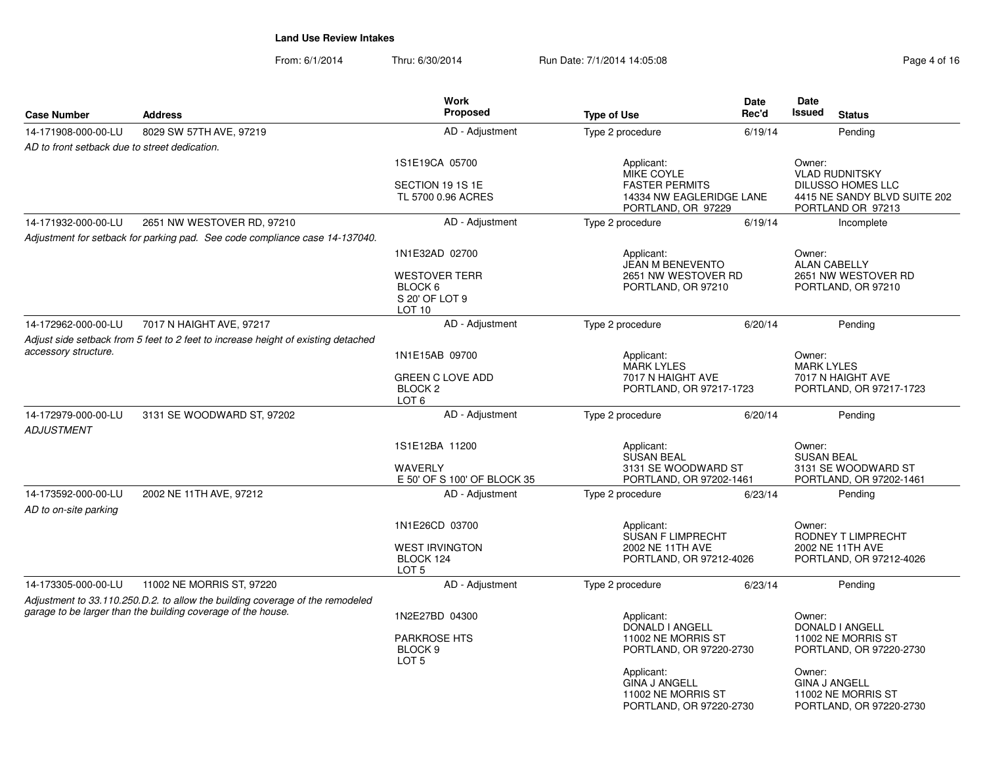| <b>Case Number</b>                            | <b>Address</b>                                                                                                                                | <b>Work</b><br><b>Proposed</b>                                           | <b>Type of Use</b>                                                                                  | Date<br>Rec'd                                | Date<br><b>Issued</b><br><b>Status</b>                                                                    |
|-----------------------------------------------|-----------------------------------------------------------------------------------------------------------------------------------------------|--------------------------------------------------------------------------|-----------------------------------------------------------------------------------------------------|----------------------------------------------|-----------------------------------------------------------------------------------------------------------|
| 14-171908-000-00-LU                           | 8029 SW 57TH AVE, 97219                                                                                                                       | AD - Adjustment                                                          | Type 2 procedure                                                                                    | 6/19/14                                      | Pending                                                                                                   |
| AD to front setback due to street dedication. |                                                                                                                                               |                                                                          |                                                                                                     |                                              |                                                                                                           |
|                                               |                                                                                                                                               | 1S1E19CA 05700<br>SECTION 19 1S 1E<br>TL 5700 0.96 ACRES                 | Applicant:<br>MIKE COYLE<br><b>FASTER PERMITS</b><br>14334 NW EAGLERIDGE LANE<br>PORTLAND, OR 97229 |                                              | Owner:<br><b>VLAD RUDNITSKY</b><br>DILUSSO HOMES LLC<br>4415 NE SANDY BLVD SUITE 202<br>PORTLAND OR 97213 |
| 14-171932-000-00-LU                           | 2651 NW WESTOVER RD, 97210                                                                                                                    | AD - Adjustment                                                          | Type 2 procedure                                                                                    | 6/19/14                                      | Incomplete                                                                                                |
|                                               | Adjustment for setback for parking pad. See code compliance case 14-137040.                                                                   |                                                                          |                                                                                                     |                                              |                                                                                                           |
|                                               |                                                                                                                                               | 1N1E32AD 02700<br><b>WESTOVER TERR</b>                                   | Applicant:<br>JEAN M BENEVENTO<br>2651 NW WESTOVER RD                                               |                                              | Owner:<br><b>ALAN CABELLY</b><br>2651 NW WESTOVER RD                                                      |
|                                               |                                                                                                                                               | BLOCK 6<br>S 20' OF LOT 9<br>LOT <sub>10</sub>                           | PORTLAND, OR 97210                                                                                  |                                              | PORTLAND, OR 97210                                                                                        |
| 14-172962-000-00-LU                           | 7017 N HAIGHT AVE, 97217                                                                                                                      | AD - Adjustment                                                          | Type 2 procedure                                                                                    | 6/20/14                                      | Pending                                                                                                   |
| accessory structure.                          | Adjust side setback from 5 feet to 2 feet to increase height of existing detached                                                             | 1N1E15AB 09700<br>Applicant:                                             |                                                                                                     |                                              | Owner:<br><b>MARK LYLES</b>                                                                               |
|                                               |                                                                                                                                               | <b>GREEN C LOVE ADD</b><br>BLOCK <sub>2</sub><br>LOT <sub>6</sub>        | 7017 N HAIGHT AVE                                                                                   | <b>MARK LYLES</b><br>PORTLAND, OR 97217-1723 |                                                                                                           |
| 14-172979-000-00-LU<br><b>ADJUSTMENT</b>      | 3131 SE WOODWARD ST, 97202                                                                                                                    | AD - Adjustment                                                          | Type 2 procedure                                                                                    | 6/20/14                                      | Pending                                                                                                   |
|                                               |                                                                                                                                               | 1S1E12BA 11200<br><b>WAVERLY</b><br>E 50' OF S 100' OF BLOCK 35          | Applicant:<br>SUSAN BEAL<br>3131 SE WOODWARD ST<br>PORTLAND, OR 97202-1461                          |                                              | Owner:<br><b>SUSAN BEAL</b><br>3131 SE WOODWARD ST<br>PORTLAND, OR 97202-1461                             |
| 14-173592-000-00-LU<br>AD to on-site parking  | 2002 NE 11TH AVE, 97212                                                                                                                       | AD - Adjustment                                                          | Type 2 procedure                                                                                    | 6/23/14                                      | Pending                                                                                                   |
|                                               |                                                                                                                                               | 1N1E26CD 03700<br><b>WEST IRVINGTON</b><br>BLOCK 124<br>LOT <sub>5</sub> | Applicant:<br>SUSAN F LIMPRECHT<br>2002 NE 11TH AVE<br>PORTLAND, OR 97212-4026                      |                                              | Owner:<br>RODNEY T LIMPRECHT<br>2002 NE 11TH AVE<br>PORTLAND, OR 97212-4026                               |
| 14-173305-000-00-LU                           | 11002 NE MORRIS ST, 97220                                                                                                                     | AD - Adjustment                                                          | Type 2 procedure                                                                                    | 6/23/14                                      | Pending                                                                                                   |
|                                               | Adjustment to 33.110.250.D.2. to allow the building coverage of the remodeled<br>garage to be larger than the building coverage of the house. | 1N2E27BD 04300                                                           | Applicant:                                                                                          |                                              | Owner:                                                                                                    |
|                                               |                                                                                                                                               | PARKROSE HTS<br>BLOCK <sub>9</sub><br>LOT <sub>5</sub>                   | DONALD I ANGELL<br>11002 NE MORRIS ST<br>PORTLAND, OR 97220-2730                                    |                                              | DONALD I ANGELL<br>11002 NE MORRIS ST<br>PORTLAND, OR 97220-2730                                          |
|                                               |                                                                                                                                               |                                                                          | Applicant:<br><b>GINA J ANGELL</b><br>11002 NE MORRIS ST<br>PORTLAND, OR 97220-2730                 |                                              | Owner:<br><b>GINA J ANGELL</b><br>11002 NE MORRIS ST<br>PORTLAND, OR 97220-2730                           |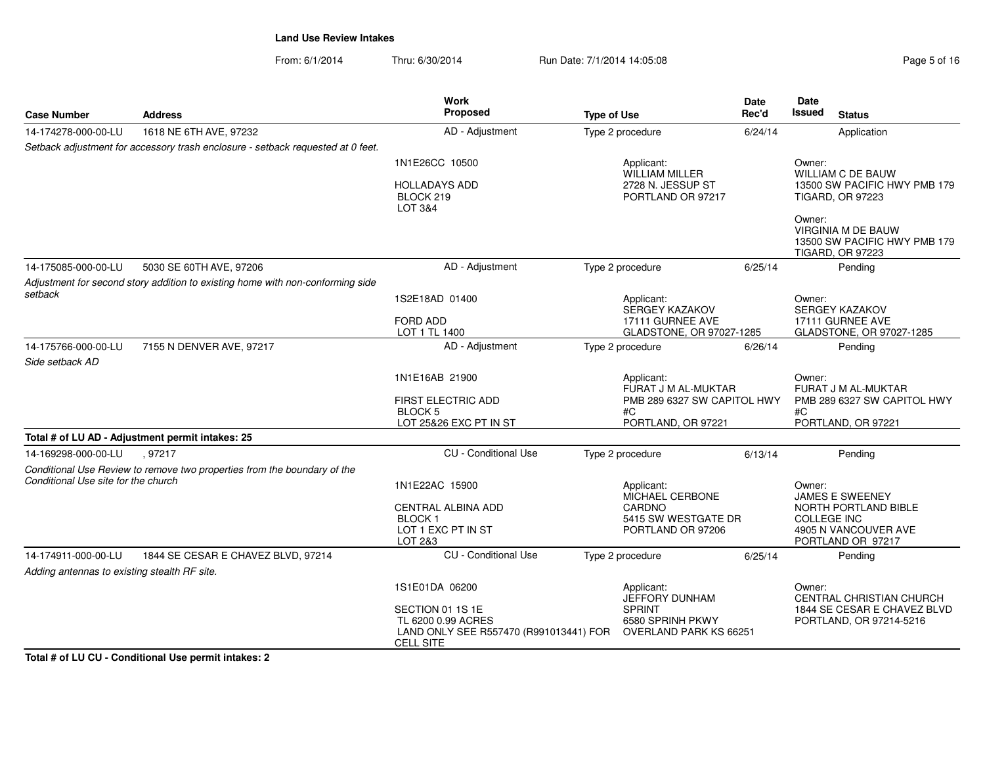From: 6/1/2014Thru: 6/30/2014 Run Date: 7/1/2014 14:05:08 Run Date: 7/1/2014 14:05:08

| <b>Case Number</b>                           | <b>Address</b>                                                                  | Work<br>Proposed                                                                 | <b>Type of Use</b>                     | <b>Date</b><br>Rec'd | <b>Date</b><br><b>Issued</b><br><b>Status</b>                                           |
|----------------------------------------------|---------------------------------------------------------------------------------|----------------------------------------------------------------------------------|----------------------------------------|----------------------|-----------------------------------------------------------------------------------------|
| 14-174278-000-00-LU                          | 1618 NE 6TH AVE, 97232                                                          | AD - Adjustment                                                                  | Type 2 procedure                       | 6/24/14              | Application                                                                             |
|                                              | Setback adjustment for accessory trash enclosure - setback requested at 0 feet. |                                                                                  |                                        |                      |                                                                                         |
|                                              |                                                                                 | 1N1E26CC 10500                                                                   | Applicant:<br><b>WILLIAM MILLER</b>    |                      | Owner:<br><b>WILLIAM C DE BAUW</b>                                                      |
|                                              |                                                                                 | <b>HOLLADAYS ADD</b><br>BLOCK 219<br>LOT 3&4                                     | 2728 N. JESSUP ST<br>PORTLAND OR 97217 |                      | 13500 SW PACIFIC HWY PMB 179<br><b>TIGARD, OR 97223</b>                                 |
|                                              |                                                                                 |                                                                                  |                                        |                      | Owner:<br>VIRGINIA M DE BAUW<br>13500 SW PACIFIC HWY PMB 179<br><b>TIGARD, OR 97223</b> |
| 14-175085-000-00-LU                          | 5030 SE 60TH AVE, 97206                                                         | AD - Adjustment                                                                  | Type 2 procedure                       | 6/25/14              | Pending                                                                                 |
|                                              | Adjustment for second story addition to existing home with non-conforming side  |                                                                                  |                                        |                      |                                                                                         |
| setback                                      |                                                                                 | 1S2E18AD 01400                                                                   | Applicant:<br>SERGEY KAZAKOV           |                      | Owner:<br>SERGEY KAZAKOV                                                                |
|                                              |                                                                                 | <b>FORD ADD</b>                                                                  | 17111 GURNEE AVE                       |                      | 17111 GURNEE AVE                                                                        |
|                                              |                                                                                 | LOT 1 TL 1400                                                                    | GLADSTONE, OR 97027-1285               |                      | GLADSTONE, OR 97027-1285                                                                |
| 14-175766-000-00-LU                          | 7155 N DENVER AVE, 97217                                                        | AD - Adjustment                                                                  | Type 2 procedure                       | 6/26/14              | Pending                                                                                 |
| Side setback AD                              |                                                                                 |                                                                                  |                                        |                      |                                                                                         |
|                                              |                                                                                 | 1N1E16AB 21900                                                                   | Applicant:<br>FURAT J M AL-MUKTAR      |                      | Owner:<br>FURAT J M AL-MUKTAR                                                           |
|                                              |                                                                                 | FIRST ELECTRIC ADD<br><b>BLOCK5</b>                                              | PMB 289 6327 SW CAPITOL HWY<br>#C      |                      | PMB 289 6327 SW CAPITOL HWY<br>#C                                                       |
|                                              |                                                                                 | LOT 25&26 EXC PT IN ST                                                           | PORTLAND, OR 97221                     |                      | PORTLAND, OR 97221                                                                      |
|                                              | Total # of LU AD - Adjustment permit intakes: 25                                |                                                                                  |                                        |                      |                                                                                         |
| 14-169298-000-00-LU                          | .97217                                                                          | <b>CU</b> - Conditional Use                                                      | Type 2 procedure                       | 6/13/14              | Pending                                                                                 |
|                                              | Conditional Use Review to remove two properties from the boundary of the        |                                                                                  |                                        |                      |                                                                                         |
| Conditional Use site for the church          |                                                                                 | 1N1E22AC 15900                                                                   | Applicant:<br><b>MICHAEL CERBONE</b>   |                      | Owner:<br><b>JAMES E SWEENEY</b>                                                        |
|                                              |                                                                                 | CENTRAL ALBINA ADD                                                               | CARDNO                                 |                      | NORTH PORTLAND BIBLE                                                                    |
|                                              |                                                                                 | <b>BLOCK1</b>                                                                    | 5415 SW WESTGATE DR                    |                      | <b>COLLEGE INC</b>                                                                      |
|                                              |                                                                                 | LOT 1 EXC PT IN ST<br>LOT 2&3                                                    | PORTLAND OR 97206                      |                      | 4905 N VANCOUVER AVE<br>PORTLAND OR 97217                                               |
| 14-174911-000-00-LU                          | 1844 SE CESAR E CHAVEZ BLVD, 97214                                              | <b>CU</b> - Conditional Use                                                      | Type 2 procedure                       | 6/25/14              | Pending                                                                                 |
| Adding antennas to existing stealth RF site. |                                                                                 |                                                                                  |                                        |                      |                                                                                         |
|                                              |                                                                                 | 1S1E01DA 06200                                                                   | Applicant:                             |                      | Owner:                                                                                  |
|                                              |                                                                                 |                                                                                  | JEFFORY DUNHAM                         |                      | <b>CENTRAL CHRISTIAN CHURCH</b>                                                         |
|                                              |                                                                                 | SECTION 01 1S 1E                                                                 | <b>SPRINT</b><br>6580 SPRINH PKWY      |                      | 1844 SE CESAR E CHAVEZ BLVD                                                             |
|                                              |                                                                                 | TL 6200 0.99 ACRES<br>LAND ONLY SEE R557470 (R991013441) FOR<br><b>CELL SITE</b> | <b>OVERLAND PARK KS 66251</b>          |                      | PORTLAND, OR 97214-5216                                                                 |

**Total # of LU CU - Conditional Use permit intakes: 2**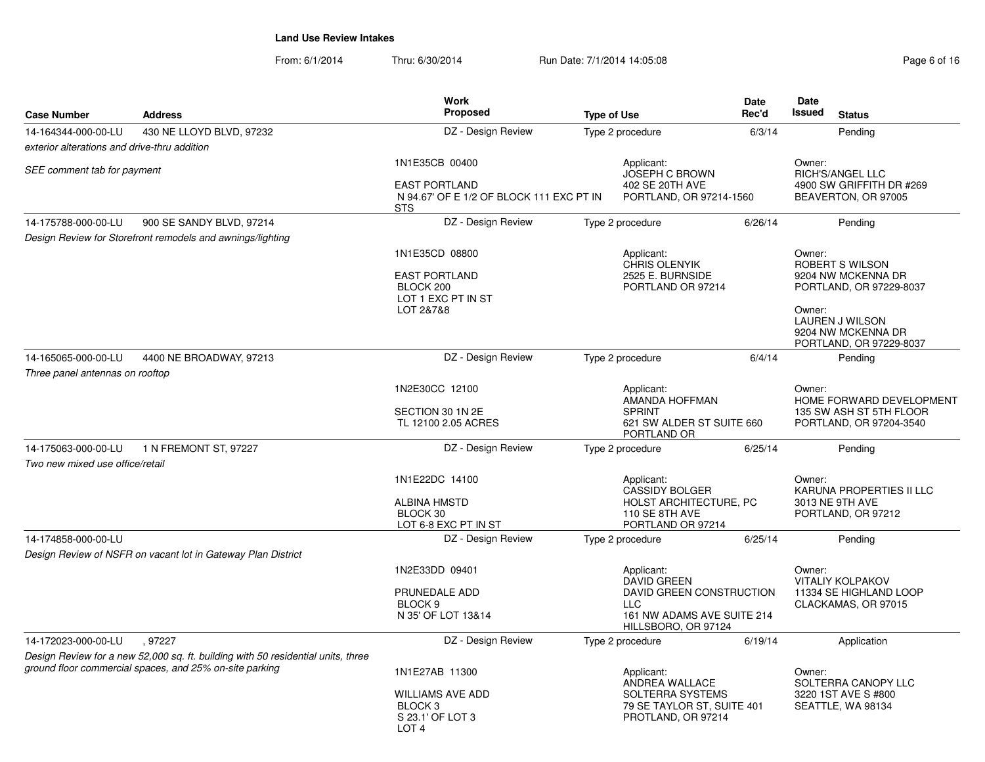| <b>Case Number</b>                           | <b>Address</b>                                                                   | Work<br>Proposed                                                                      | <b>Type of Use</b>                                                   |         | Date<br><b>Issued</b>                                                                | <b>Status</b>                                                    |
|----------------------------------------------|----------------------------------------------------------------------------------|---------------------------------------------------------------------------------------|----------------------------------------------------------------------|---------|--------------------------------------------------------------------------------------|------------------------------------------------------------------|
| 14-164344-000-00-LU                          | 430 NE LLOYD BLVD, 97232                                                         | DZ - Design Review                                                                    | Type 2 procedure                                                     | 6/3/14  |                                                                                      | Pending                                                          |
| exterior alterations and drive-thru addition |                                                                                  |                                                                                       |                                                                      |         |                                                                                      |                                                                  |
| SEE comment tab for payment                  |                                                                                  | 1N1E35CB 00400                                                                        | Applicant:<br>JOSEPH C BROWN                                         |         | Owner:<br><b>RICH'S/ANGEL LLC</b><br>4900 SW GRIFFITH DR #269<br>BEAVERTON, OR 97005 |                                                                  |
|                                              |                                                                                  | <b>EAST PORTLAND</b><br>N 94.67' OF E 1/2 OF BLOCK 111 EXC PT IN<br><b>STS</b>        | 402 SE 20TH AVE<br>PORTLAND, OR 97214-1560                           |         |                                                                                      |                                                                  |
| 14-175788-000-00-LU                          | 900 SE SANDY BLVD, 97214                                                         | DZ - Design Review                                                                    | Type 2 procedure                                                     | 6/26/14 |                                                                                      | Pending                                                          |
|                                              | Design Review for Storefront remodels and awnings/lighting                       |                                                                                       |                                                                      |         |                                                                                      |                                                                  |
|                                              |                                                                                  | 1N1E35CD 08800                                                                        | Applicant:<br><b>CHRIS OLENYIK</b>                                   |         | Owner:                                                                               | <b>ROBERT S WILSON</b>                                           |
|                                              |                                                                                  | <b>EAST PORTLAND</b><br>BLOCK 200<br>LOT 1 EXC PT IN ST                               | 2525 E. BURNSIDE<br>PORTLAND OR 97214                                |         |                                                                                      | 9204 NW MCKENNA DR<br>PORTLAND, OR 97229-8037                    |
|                                              |                                                                                  | LOT 2&7&8                                                                             |                                                                      |         | Owner:                                                                               | LAUREN J WILSON<br>9204 NW MCKENNA DR<br>PORTLAND, OR 97229-8037 |
| 14-165065-000-00-LU                          | 4400 NE BROADWAY, 97213                                                          | DZ - Design Review                                                                    | Type 2 procedure                                                     | 6/4/14  |                                                                                      | Pending                                                          |
| Three panel antennas on rooftop              |                                                                                  |                                                                                       |                                                                      |         |                                                                                      |                                                                  |
|                                              |                                                                                  | 1N2E30CC 12100                                                                        | Applicant:<br>AMANDA HOFFMAN                                         |         | Owner:                                                                               | HOME FORWARD DEVELOPMENT                                         |
|                                              |                                                                                  | SECTION 30 1N 2E<br>TL 12100 2.05 ACRES                                               | <b>SPRINT</b><br>621 SW ALDER ST SUITE 660                           |         | 135 SW ASH ST 5TH FLOOR<br>PORTLAND, OR 97204-3540                                   |                                                                  |
| 14-175063-000-00-LU                          | 1 N FREMONT ST, 97227                                                            | DZ - Design Review                                                                    | PORTLAND OR<br>Type 2 procedure                                      | 6/25/14 |                                                                                      | Pending                                                          |
| Two new mixed use office/retail              |                                                                                  |                                                                                       |                                                                      |         |                                                                                      |                                                                  |
|                                              |                                                                                  | 1N1E22DC 14100                                                                        | Applicant:<br>CASSIDY BOLGER                                         |         | Owner:                                                                               | <b>KARUNA PROPERTIES II LLC</b>                                  |
|                                              |                                                                                  | <b>ALBINA HMSTD</b><br>BLOCK 30                                                       | HOLST ARCHITECTURE, PC<br>110 SE 8TH AVE                             |         | 3013 NE 9TH AVE<br>PORTLAND, OR 97212                                                |                                                                  |
| 14-174858-000-00-LU                          |                                                                                  | LOT 6-8 EXC PT IN ST<br>DZ - Design Review                                            | PORTLAND OR 97214                                                    |         |                                                                                      |                                                                  |
|                                              | Design Review of NSFR on vacant lot in Gateway Plan District                     |                                                                                       | Type 2 procedure                                                     | 6/25/14 |                                                                                      | Pending                                                          |
|                                              |                                                                                  |                                                                                       |                                                                      |         |                                                                                      |                                                                  |
|                                              |                                                                                  | 1N2E33DD 09401                                                                        | Applicant:<br><b>DAVID GREEN</b>                                     |         | Owner:                                                                               | <b>VITALIY KOLPAKOV</b>                                          |
|                                              |                                                                                  | PRUNEDALE ADD                                                                         | DAVID GREEN CONSTRUCTION                                             |         |                                                                                      | 11334 SE HIGHLAND LOOP                                           |
|                                              |                                                                                  | BLOCK <sub>9</sub><br>N 35' OF LOT 13&14                                              | <b>LLC</b><br>161 NW ADAMS AVE SUITE 214<br>HILLSBORO, OR 97124      |         |                                                                                      | CLACKAMAS, OR 97015                                              |
| 14-172023-000-00-LU                          | 97227                                                                            | DZ - Design Review                                                                    | Type 2 procedure                                                     | 6/19/14 |                                                                                      | Application                                                      |
|                                              | Design Review for a new 52,000 sq. ft. building with 50 residential units, three |                                                                                       |                                                                      |         |                                                                                      |                                                                  |
|                                              | ground floor commercial spaces, and 25% on-site parking                          | 1N1E27AB 11300                                                                        | Applicant:<br>ANDREA WALLACE                                         |         | Owner:                                                                               | SOLTERRA CANOPY LLC                                              |
|                                              |                                                                                  | <b>WILLIAMS AVE ADD</b><br>BLOCK <sub>3</sub><br>S 23.1' OF LOT 3<br>LOT <sub>4</sub> | SOLTERRA SYSTEMS<br>79 SE TAYLOR ST, SUITE 401<br>PROTLAND, OR 97214 |         |                                                                                      | 3220 1ST AVE S #800<br>SEATTLE, WA 98134                         |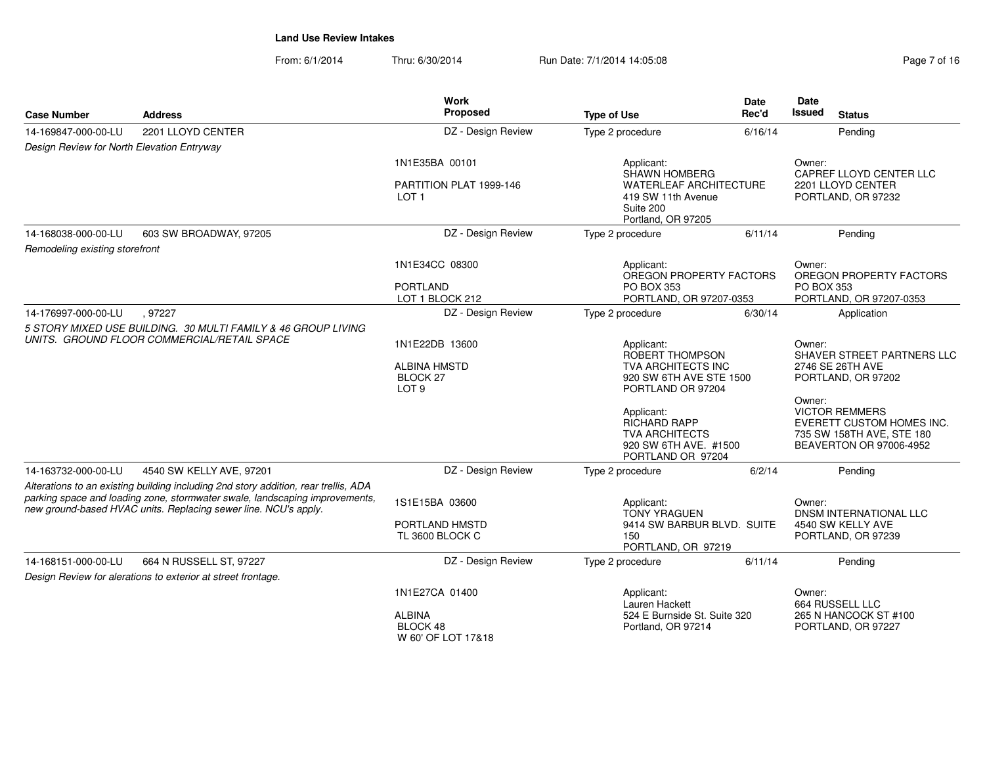From: 6/1/2014Thru: 6/30/2014 Run Date: 7/1/2014 14:05:08 Research 2010 2014 14:05:08

| <b>Case Number</b>                                                                                                                                                                                                                    | <b>Address</b>                                                | <b>Work</b><br>Proposed                                        | <b>Type of Use</b>                                                                                       | Date<br>Rec'd                                                           | Date<br><b>Issued</b> | <b>Status</b>                                                                                              |
|---------------------------------------------------------------------------------------------------------------------------------------------------------------------------------------------------------------------------------------|---------------------------------------------------------------|----------------------------------------------------------------|----------------------------------------------------------------------------------------------------------|-------------------------------------------------------------------------|-----------------------|------------------------------------------------------------------------------------------------------------|
| 14-169847-000-00-LU                                                                                                                                                                                                                   | 2201 LLOYD CENTER                                             | DZ - Design Review                                             | Type 2 procedure                                                                                         | 6/16/14                                                                 |                       | Pendina                                                                                                    |
| Design Review for North Elevation Entryway                                                                                                                                                                                            |                                                               |                                                                |                                                                                                          |                                                                         |                       |                                                                                                            |
|                                                                                                                                                                                                                                       |                                                               | 1N1E35BA 00101                                                 | Applicant:<br>SHAWN HOMBERG                                                                              |                                                                         | Owner:                | CAPREF LLOYD CENTER LLC                                                                                    |
|                                                                                                                                                                                                                                       |                                                               | PARTITION PLAT 1999-146<br>LOT <sub>1</sub>                    | Suite 200<br>Portland, OR 97205                                                                          | <b>WATERLEAF ARCHITECTURE</b><br>419 SW 11th Avenue                     |                       | 2201 LLOYD CENTER<br>PORTLAND, OR 97232                                                                    |
| 14-168038-000-00-LU                                                                                                                                                                                                                   | 603 SW BROADWAY, 97205                                        | DZ - Design Review                                             | Type 2 procedure                                                                                         | 6/11/14                                                                 |                       | Pendina                                                                                                    |
| Remodeling existing storefront                                                                                                                                                                                                        |                                                               |                                                                |                                                                                                          |                                                                         |                       |                                                                                                            |
|                                                                                                                                                                                                                                       |                                                               | 1N1E34CC 08300                                                 | Applicant:<br>OREGON PROPERTY FACTORS                                                                    |                                                                         | Owner:                | OREGON PROPERTY FACTORS                                                                                    |
|                                                                                                                                                                                                                                       |                                                               | <b>PORTLAND</b><br>LOT 1 BLOCK 212                             | <b>PO BOX 353</b><br>PORTLAND, OR 97207-0353                                                             |                                                                         | <b>PO BOX 353</b>     | PORTLAND, OR 97207-0353                                                                                    |
| 14-176997-000-00-LU                                                                                                                                                                                                                   | .97227                                                        | DZ - Design Review                                             | Type 2 procedure                                                                                         | 6/30/14                                                                 |                       | Application                                                                                                |
|                                                                                                                                                                                                                                       | 5 STORY MIXED USE BUILDING. 30 MULTI FAMILY & 46 GROUP LIVING |                                                                |                                                                                                          |                                                                         |                       |                                                                                                            |
|                                                                                                                                                                                                                                       | UNITS. GROUND FLOOR COMMERCIAL/RETAIL SPACE                   | 1N1E22DB 13600                                                 | Applicant:<br>ROBERT THOMPSON                                                                            |                                                                         | Owner:                | SHAVER STREET PARTNERS LLC                                                                                 |
|                                                                                                                                                                                                                                       |                                                               | <b>ALBINA HMSTD</b><br>BLOCK <sub>27</sub><br>LOT <sub>9</sub> | TVA ARCHITECTS INC<br>920 SW 6TH AVE STE 1500<br>PORTLAND OR 97204                                       |                                                                         |                       | 2746 SE 26TH AVE<br>PORTLAND, OR 97202                                                                     |
|                                                                                                                                                                                                                                       |                                                               |                                                                | Applicant:<br><b>RICHARD RAPP</b><br><b>TVA ARCHITECTS</b><br>920 SW 6TH AVE. #1500<br>PORTLAND OR 97204 |                                                                         | Owner:                | <b>VICTOR REMMERS</b><br>EVERETT CUSTOM HOMES INC.<br>735 SW 158TH AVE, STE 180<br>BEAVERTON OR 97006-4952 |
| 14-163732-000-00-LU                                                                                                                                                                                                                   | 4540 SW KELLY AVE, 97201                                      | DZ - Design Review                                             | Type 2 procedure                                                                                         | 6/2/14                                                                  |                       | Pendina                                                                                                    |
| Alterations to an existing building including 2nd story addition, rear trellis, ADA<br>parking space and loading zone, stormwater swale, landscaping improvements,<br>new ground-based HVAC units. Replacing sewer line. NCU's apply. |                                                               | 1S1E15BA 03600                                                 | Applicant:                                                                                               |                                                                         | Owner:                | <b>DNSM INTERNATIONAL LLC</b>                                                                              |
|                                                                                                                                                                                                                                       |                                                               | PORTLAND HMSTD<br>TL 3600 BLOCK C                              | 150                                                                                                      | <b>TONY YRAGUEN</b><br>9414 SW BARBUR BLVD. SUITE<br>PORTLAND, OR 97219 |                       | 4540 SW KELLY AVE<br>PORTLAND, OR 97239                                                                    |
| 14-168151-000-00-LU                                                                                                                                                                                                                   | 664 N RUSSELL ST, 97227                                       | DZ - Design Review                                             | Type 2 procedure                                                                                         | 6/11/14                                                                 |                       | Pending                                                                                                    |
|                                                                                                                                                                                                                                       | Design Review for alerations to exterior at street frontage.  |                                                                |                                                                                                          |                                                                         |                       |                                                                                                            |
|                                                                                                                                                                                                                                       |                                                               | 1N1E27CA 01400                                                 | Applicant:<br>Lauren Hackett                                                                             |                                                                         | Owner:                | 664 RUSSELL LLC                                                                                            |
|                                                                                                                                                                                                                                       |                                                               | <b>ALBINA</b><br>BLOCK 48<br>W 60' OF LOT 17&18                | 524 E Burnside St. Suite 320<br>Portland, OR 97214                                                       |                                                                         |                       | 265 N HANCOCK ST #100<br>PORTLAND, OR 97227                                                                |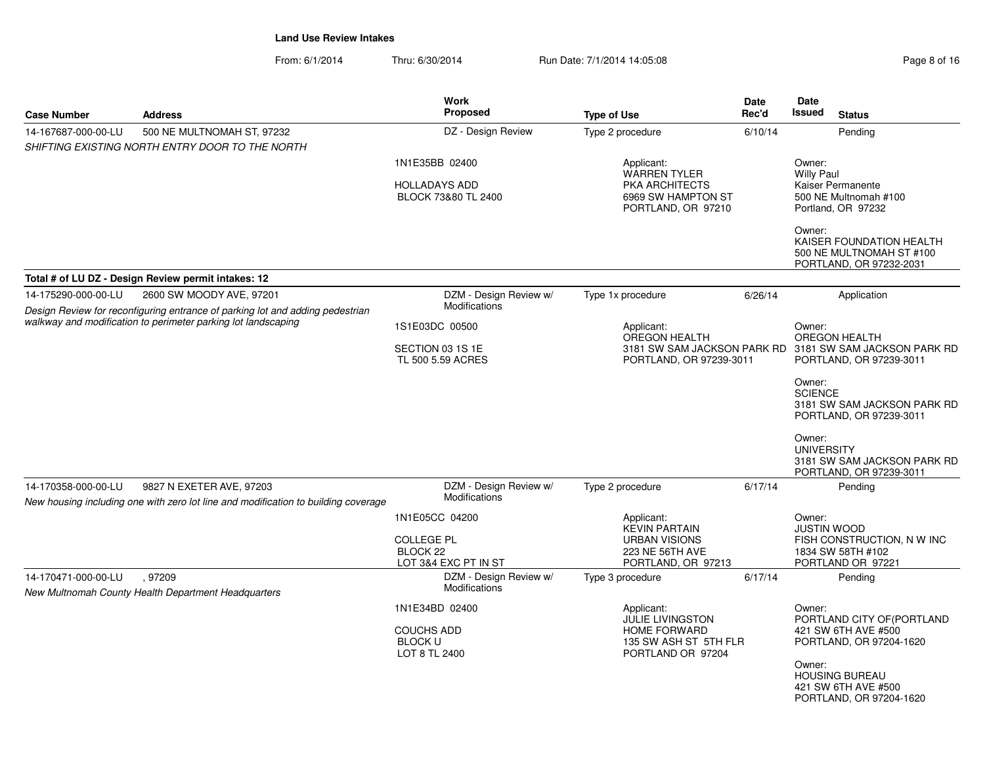From: 6/1/2014Thru: 6/30/2014 Run Date: 7/1/2014 14:05:08 Research 2010 Rage 8 of 16

| <b>Case Number</b>  | <b>Address</b>                                                                                                 | <b>Work</b><br><b>Proposed</b>                                          | <b>Type of Use</b>                                                                                         | <b>Date</b><br>Rec'd | Date<br>Issued<br><b>Status</b>                                                                                                                                                              |
|---------------------|----------------------------------------------------------------------------------------------------------------|-------------------------------------------------------------------------|------------------------------------------------------------------------------------------------------------|----------------------|----------------------------------------------------------------------------------------------------------------------------------------------------------------------------------------------|
| 14-167687-000-00-LU | 500 NE MULTNOMAH ST, 97232<br>SHIFTING EXISTING NORTH ENTRY DOOR TO THE NORTH                                  | DZ - Design Review                                                      | Type 2 procedure                                                                                           | 6/10/14              | Pending                                                                                                                                                                                      |
|                     | Total # of LU DZ - Design Review permit intakes: 12                                                            | 1N1E35BB 02400<br><b>HOLLADAYS ADD</b><br>BLOCK 73&80 TL 2400           | Applicant:<br><b>WARREN TYLER</b><br><b>PKA ARCHITECTS</b><br>6969 SW HAMPTON ST<br>PORTLAND, OR 97210     |                      | Owner:<br><b>Willy Paul</b><br>Kaiser Permanente<br>500 NE Multnomah #100<br>Portland, OR 97232<br>Owner:<br>KAISER FOUNDATION HEALTH<br>500 NE MULTNOMAH ST #100<br>PORTLAND, OR 97232-2031 |
| 14-175290-000-00-LU | 2600 SW MOODY AVE, 97201                                                                                       | DZM - Design Review w/                                                  | Type 1x procedure                                                                                          | 6/26/14              |                                                                                                                                                                                              |
|                     | Design Review for reconfiguring entrance of parking lot and adding pedestrian                                  | Modifications                                                           |                                                                                                            |                      | Application                                                                                                                                                                                  |
|                     | walkway and modification to perimeter parking lot landscaping                                                  | 1S1E03DC 00500                                                          | Applicant:<br><b>OREGON HEALTH</b>                                                                         |                      | Owner:<br><b>OREGON HEALTH</b>                                                                                                                                                               |
|                     |                                                                                                                | SECTION 03 1S 1E<br>TL 500 5.59 ACRES                                   | PORTLAND, OR 97239-3011                                                                                    |                      | 3181 SW SAM JACKSON PARK RD 3181 SW SAM JACKSON PARK RD<br>PORTLAND, OR 97239-3011                                                                                                           |
|                     |                                                                                                                |                                                                         |                                                                                                            |                      | Owner:<br><b>SCIENCE</b><br>3181 SW SAM JACKSON PARK RD<br>PORTLAND, OR 97239-3011<br>Owner:<br><b>UNIVERSITY</b><br>3181 SW SAM JACKSON PARK RD<br>PORTLAND, OR 97239-3011                  |
| 14-170358-000-00-LU | 9827 N EXETER AVE, 97203<br>New housing including one with zero lot line and modification to building coverage | DZM - Design Review w/<br><b>Modifications</b>                          | Type 2 procedure                                                                                           | 6/17/14              | Pending                                                                                                                                                                                      |
|                     |                                                                                                                | 1N1E05CC 04200<br><b>COLLEGE PL</b><br>BLOCK 22<br>LOT 3&4 EXC PT IN ST | Applicant:<br><b>KEVIN PARTAIN</b><br><b>URBAN VISIONS</b><br>223 NE 56TH AVE<br>PORTLAND, OR 97213        |                      | Owner:<br><b>JUSTIN WOOD</b><br>FISH CONSTRUCTION, N W INC<br>1834 SW 58TH #102<br>PORTLAND OR 97221                                                                                         |
| 14-170471-000-00-LU | 97209<br>New Multnomah County Health Department Headquarters                                                   | DZM - Design Review w/<br><b>Modifications</b>                          | Type 3 procedure                                                                                           | 6/17/14              | Pending                                                                                                                                                                                      |
|                     |                                                                                                                | 1N1E34BD 02400<br>COUCHS ADD<br><b>BLOCK U</b><br>LOT 8 TL 2400         | Applicant:<br><b>JULIE LIVINGSTON</b><br><b>HOME FORWARD</b><br>135 SW ASH ST 5TH FLR<br>PORTLAND OR 97204 |                      | Owner:<br>PORTLAND CITY OF (PORTLAND<br>421 SW 6TH AVE #500<br>PORTLAND, OR 97204-1620<br>Owner:<br><b>HOUSING BUREAU</b><br>421 SW 6TH AVE #500<br>PORTLAND, OR 97204-1620                  |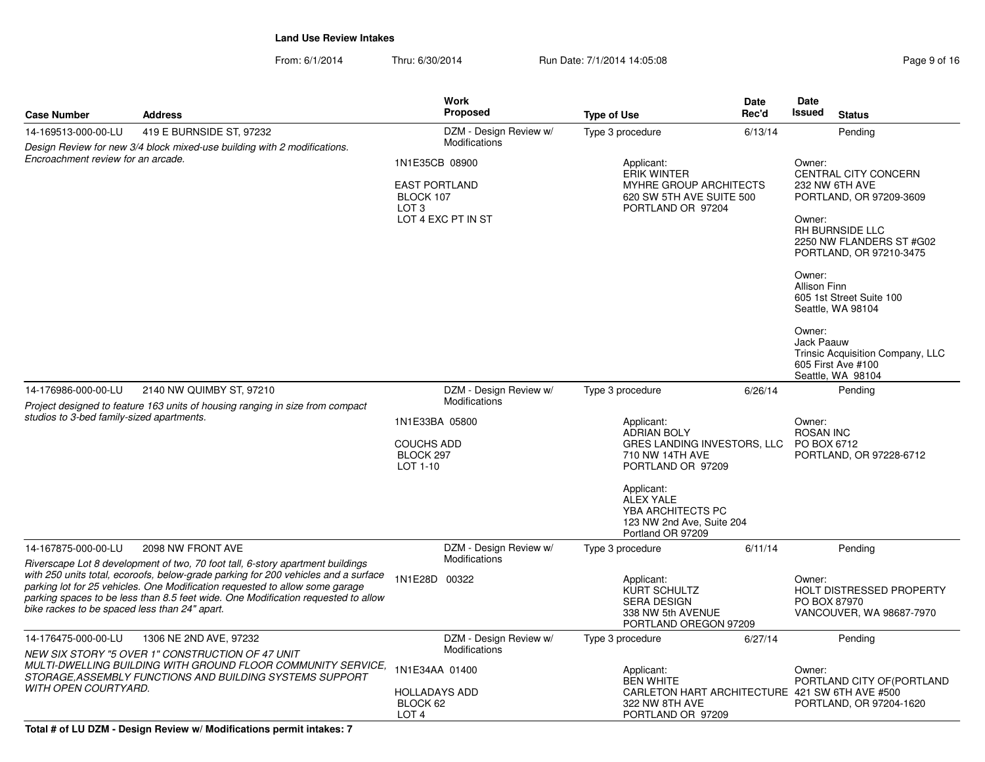|                                                                                                                                                                                                                                                                                                          |                                                                                                                          |                                                              | <b>Work</b>                                                                                    |                                                                                                         | <b>Date</b>                           | <b>Date</b>                                                                                        |                                                                             |
|----------------------------------------------------------------------------------------------------------------------------------------------------------------------------------------------------------------------------------------------------------------------------------------------------------|--------------------------------------------------------------------------------------------------------------------------|--------------------------------------------------------------|------------------------------------------------------------------------------------------------|---------------------------------------------------------------------------------------------------------|---------------------------------------|----------------------------------------------------------------------------------------------------|-----------------------------------------------------------------------------|
| <b>Case Number</b>                                                                                                                                                                                                                                                                                       | <b>Address</b>                                                                                                           |                                                              | <b>Proposed</b>                                                                                | <b>Type of Use</b>                                                                                      | Rec'd                                 | <b>Issued</b>                                                                                      | <b>Status</b>                                                               |
| 14-169513-000-00-LU                                                                                                                                                                                                                                                                                      | 419 E BURNSIDE ST, 97232                                                                                                 |                                                              | DZM - Design Review w/                                                                         | Type 3 procedure                                                                                        | 6/13/14                               |                                                                                                    | Pending                                                                     |
| Design Review for new 3/4 block mixed-use building with 2 modifications.<br>Encroachment review for an arcade.                                                                                                                                                                                           |                                                                                                                          | 1N1E35CB 08900                                               | Modifications                                                                                  | Applicant:<br><b>ERIK WINTER</b>                                                                        | Owner:<br><b>CENTRAL CITY CONCERN</b> |                                                                                                    |                                                                             |
|                                                                                                                                                                                                                                                                                                          |                                                                                                                          | <b>EAST PORTLAND</b><br>BLOCK 107<br>LOT <sub>3</sub>        | LOT 4 EXC PT IN ST                                                                             | MYHRE GROUP ARCHITECTS<br>620 SW 5TH AVE SUITE 500<br>PORTLAND OR 97204                                 |                                       | 232 NW 6TH AVE<br>PORTLAND, OR 97209-3609<br>Owner:<br>RH BURNSIDE LLC<br>2250 NW FLANDERS ST #G02 |                                                                             |
|                                                                                                                                                                                                                                                                                                          |                                                                                                                          |                                                              |                                                                                                |                                                                                                         |                                       | Owner:<br>Allison Finn                                                                             | PORTLAND, OR 97210-3475<br>605 1st Street Suite 100<br>Seattle, WA 98104    |
|                                                                                                                                                                                                                                                                                                          |                                                                                                                          |                                                              |                                                                                                |                                                                                                         |                                       | Owner:<br>Jack Paauw                                                                               | Trinsic Acquisition Company, LLC<br>605 First Ave #100<br>Seattle, WA 98104 |
| 14-176986-000-00-LU                                                                                                                                                                                                                                                                                      | 2140 NW QUIMBY ST, 97210                                                                                                 |                                                              | DZM - Design Review w/                                                                         | Type 3 procedure                                                                                        | 6/26/14                               |                                                                                                    | Pending                                                                     |
| Project designed to feature 163 units of housing ranging in size from compact<br>studios to 3-bed family-sized apartments.                                                                                                                                                                               |                                                                                                                          |                                                              | Modifications                                                                                  |                                                                                                         |                                       |                                                                                                    |                                                                             |
|                                                                                                                                                                                                                                                                                                          |                                                                                                                          | 1N1E33BA 05800<br><b>COUCHS ADD</b><br>BLOCK 297<br>LOT 1-10 |                                                                                                | Applicant:<br><b>ADRIAN BOLY</b><br>GRES LANDING INVESTORS, LLC<br>710 NW 14TH AVE<br>PORTLAND OR 97209 |                                       | Owner:<br><b>ROSAN INC</b><br>PO BOX 6712<br>PORTLAND, OR 97228-6712                               |                                                                             |
|                                                                                                                                                                                                                                                                                                          |                                                                                                                          |                                                              |                                                                                                | Applicant:<br><b>ALEX YALE</b><br>YBA ARCHITECTS PC<br>123 NW 2nd Ave, Suite 204<br>Portland OR 97209   |                                       |                                                                                                    |                                                                             |
| 14-167875-000-00-LU                                                                                                                                                                                                                                                                                      | 2098 NW FRONT AVE                                                                                                        |                                                              | DZM - Design Review w/                                                                         | Type 3 procedure                                                                                        | 6/11/14                               |                                                                                                    | Pending                                                                     |
|                                                                                                                                                                                                                                                                                                          | Riverscape Lot 8 development of two, 70 foot tall, 6-story apartment buildings                                           |                                                              | Modifications                                                                                  |                                                                                                         |                                       |                                                                                                    |                                                                             |
| with 250 units total, ecoroofs, below-grade parking for 200 vehicles and a surface<br>parking lot for 25 vehicles. One Modification requested to allow some garage<br>parking spaces to be less than 8.5 feet wide. One Modification requested to allow<br>bike rackes to be spaced less than 24" apart. | 1N1E28D 00322                                                                                                            |                                                              | Applicant:<br>KURT SCHULTZ<br><b>SERA DESIGN</b><br>338 NW 5th AVENUE<br>PORTLAND OREGON 97209 |                                                                                                         | Owner:<br>PO BOX 87970                | <b>HOLT DISTRESSED PROPERTY</b><br>VANCOUVER, WA 98687-7970                                        |                                                                             |
| 14-176475-000-00-LU                                                                                                                                                                                                                                                                                      | 1306 NE 2ND AVE, 97232<br>NEW SIX STORY "5 OVER 1" CONSTRUCTION OF 47 UNIT                                               |                                                              | DZM - Design Review w/<br><b>Modifications</b>                                                 | Type 3 procedure                                                                                        | 6/27/14                               |                                                                                                    | Pending                                                                     |
|                                                                                                                                                                                                                                                                                                          | MULTI-DWELLING BUILDING WITH GROUND FLOOR COMMUNITY SERVICE,<br>STORAGE, ASSEMBLY FUNCTIONS AND BUILDING SYSTEMS SUPPORT | 1N1E34AA 01400                                               |                                                                                                | Applicant:<br><b>BEN WHITE</b>                                                                          |                                       | Owner:                                                                                             | PORTLAND CITY OF (PORTLAND                                                  |
| <b>WITH OPEN COURTYARD.</b>                                                                                                                                                                                                                                                                              |                                                                                                                          | <b>HOLLADAYS ADD</b><br>BLOCK 62<br>LOT <sub>4</sub>         |                                                                                                | CARLETON HART ARCHITECTURE 421 SW 6TH AVE #500<br>322 NW 8TH AVE<br>PORTLAND OR 97209                   |                                       |                                                                                                    | PORTLAND, OR 97204-1620                                                     |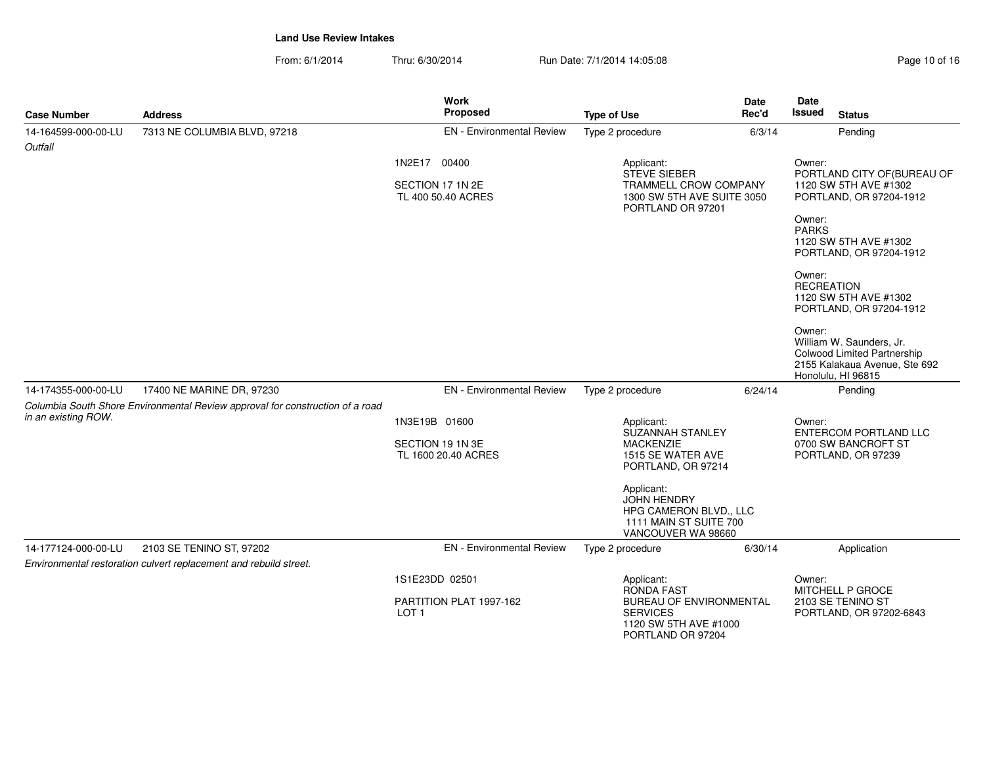| <b>Case Number</b>             | <b>Address</b>                                                                | <b>Work</b><br>Proposed                                       | <b>Type of Use</b>                                                                                                                                                                                          | Date<br>Rec'd | <b>Date</b><br>Issued<br><b>Status</b>                                                                                                                                                                 |
|--------------------------------|-------------------------------------------------------------------------------|---------------------------------------------------------------|-------------------------------------------------------------------------------------------------------------------------------------------------------------------------------------------------------------|---------------|--------------------------------------------------------------------------------------------------------------------------------------------------------------------------------------------------------|
| 14-164599-000-00-LU<br>Outfall | 7313 NE COLUMBIA BLVD, 97218                                                  | <b>EN</b> - Environmental Review                              | Type 2 procedure                                                                                                                                                                                            | 6/3/14        | Pending                                                                                                                                                                                                |
|                                |                                                                               | 1N2E17 00400<br>SECTION 17 1N 2E<br>TL 400 50.40 ACRES        | Applicant:<br>STEVE SIEBER<br><b>TRAMMELL CROW COMPANY</b><br>1300 SW 5TH AVE SUITE 3050<br>PORTLAND OR 97201                                                                                               |               | Owner:<br>PORTLAND CITY OF (BUREAU OF<br>1120 SW 5TH AVE #1302<br>PORTLAND, OR 97204-1912<br>Owner:<br><b>PARKS</b><br>1120 SW 5TH AVE #1302<br>PORTLAND, OR 97204-1912<br>Owner:<br><b>RECREATION</b> |
|                                |                                                                               |                                                               |                                                                                                                                                                                                             |               | 1120 SW 5TH AVE #1302<br>PORTLAND, OR 97204-1912<br>Owner:<br>William W. Saunders, Jr.<br><b>Colwood Limited Partnership</b><br>2155 Kalakaua Avenue, Ste 692<br>Honolulu, HI 96815                    |
| 14-174355-000-00-LU            | 17400 NE MARINE DR, 97230                                                     | <b>EN</b> - Environmental Review                              | Type 2 procedure                                                                                                                                                                                            | 6/24/14       | Pending                                                                                                                                                                                                |
| in an existing ROW.            | Columbia South Shore Environmental Review approval for construction of a road | 1N3E19B 01600<br>SECTION 19 1N 3E<br>TL 1600 20.40 ACRES      | Applicant:<br>SUZANNAH STANLEY<br><b>MACKENZIE</b><br>1515 SE WATER AVE<br>PORTLAND, OR 97214<br>Applicant:<br><b>JOHN HENDRY</b><br>HPG CAMERON BLVD., LLC<br>1111 MAIN ST SUITE 700<br>VANCOUVER WA 98660 |               | Owner:<br><b>ENTERCOM PORTLAND LLC</b><br>0700 SW BANCROFT ST<br>PORTLAND, OR 97239                                                                                                                    |
| 14-177124-000-00-LU            | 2103 SE TENINO ST, 97202                                                      | <b>EN</b> - Environmental Review                              | Type 2 procedure                                                                                                                                                                                            | 6/30/14       | Application                                                                                                                                                                                            |
|                                | Environmental restoration culvert replacement and rebuild street.             |                                                               |                                                                                                                                                                                                             |               |                                                                                                                                                                                                        |
|                                |                                                                               | 1S1E23DD 02501<br>PARTITION PLAT 1997-162<br>LOT <sub>1</sub> | Applicant:<br><b>RONDA FAST</b><br><b>BUREAU OF ENVIRONMENTAL</b><br><b>SERVICES</b><br>1120 SW 5TH AVE #1000<br>PORTLAND OR 97204                                                                          |               | Owner:<br>MITCHELL P GROCE<br>2103 SE TENINO ST<br>PORTLAND, OR 97202-6843                                                                                                                             |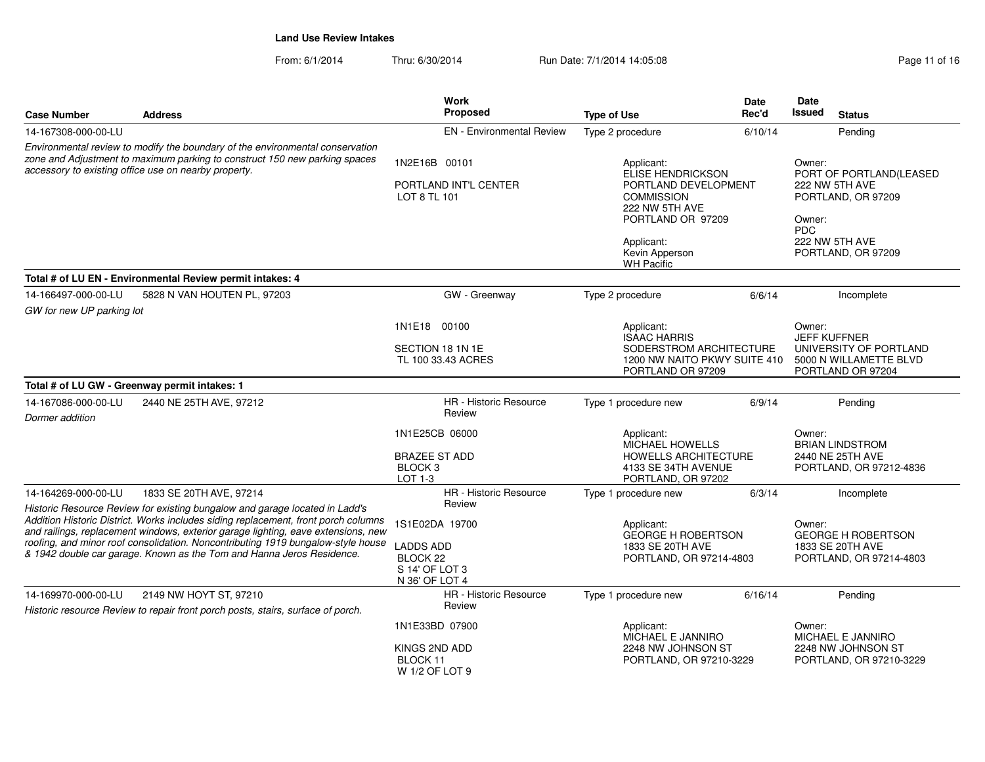|                                                                                                                                                                                                                                                        |                                                                                                                                                             | Work                                                             |                                                                                  | <b>Date</b> | Date                          |                                                                       |
|--------------------------------------------------------------------------------------------------------------------------------------------------------------------------------------------------------------------------------------------------------|-------------------------------------------------------------------------------------------------------------------------------------------------------------|------------------------------------------------------------------|----------------------------------------------------------------------------------|-------------|-------------------------------|-----------------------------------------------------------------------|
| <b>Case Number</b>                                                                                                                                                                                                                                     | <b>Address</b>                                                                                                                                              | <b>Proposed</b>                                                  | <b>Type of Use</b>                                                               | Rec'd       | <b>Issued</b>                 | <b>Status</b>                                                         |
| 14-167308-000-00-LU                                                                                                                                                                                                                                    |                                                                                                                                                             | <b>EN</b> - Environmental Review                                 | Type 2 procedure                                                                 | 6/10/14     |                               | Pending                                                               |
|                                                                                                                                                                                                                                                        | Environmental review to modify the boundary of the environmental conservation<br>zone and Adjustment to maximum parking to construct 150 new parking spaces |                                                                  |                                                                                  |             |                               |                                                                       |
|                                                                                                                                                                                                                                                        | accessory to existing office use on nearby property.                                                                                                        | 1N2E16B 00101                                                    | Applicant:<br><b>ELISE HENDRICKSON</b>                                           |             | Owner:                        | PORT OF PORTLAND(LEASED                                               |
|                                                                                                                                                                                                                                                        |                                                                                                                                                             | PORTLAND INT'L CENTER<br>LOT 8 TL 101                            | PORTLAND DEVELOPMENT<br><b>COMMISSION</b><br>222 NW 5TH AVE<br>PORTLAND OR 97209 |             | Owner:<br><b>PDC</b>          | 222 NW 5TH AVE<br>PORTLAND, OR 97209                                  |
|                                                                                                                                                                                                                                                        |                                                                                                                                                             |                                                                  | Applicant:<br>Kevin Apperson<br><b>WH Pacific</b>                                |             |                               | 222 NW 5TH AVE<br>PORTLAND, OR 97209                                  |
|                                                                                                                                                                                                                                                        | Total # of LU EN - Environmental Review permit intakes: 4                                                                                                   |                                                                  |                                                                                  |             |                               |                                                                       |
| 14-166497-000-00-LU<br>GW for new UP parking lot                                                                                                                                                                                                       | 5828 N VAN HOUTEN PL, 97203                                                                                                                                 | GW - Greenway                                                    | Type 2 procedure                                                                 | 6/6/14      |                               | Incomplete                                                            |
|                                                                                                                                                                                                                                                        |                                                                                                                                                             | 1N1E18 00100                                                     | Applicant:<br><b>ISAAC HARRIS</b>                                                |             | Owner:<br><b>JEFF KUFFNER</b> |                                                                       |
|                                                                                                                                                                                                                                                        |                                                                                                                                                             | SECTION 18 1N 1E<br>TL 100 33.43 ACRES                           | SODERSTROM ARCHITECTURE<br>1200 NW NAITO PKWY SUITE 410<br>PORTLAND OR 97209     |             |                               | UNIVERSITY OF PORTLAND<br>5000 N WILLAMETTE BLVD<br>PORTLAND OR 97204 |
|                                                                                                                                                                                                                                                        | Total # of LU GW - Greenway permit intakes: 1                                                                                                               |                                                                  |                                                                                  |             |                               |                                                                       |
| 14-167086-000-00-LU<br>Dormer addition                                                                                                                                                                                                                 | 2440 NE 25TH AVE, 97212                                                                                                                                     | <b>HR</b> - Historic Resource<br>Review                          | Type 1 procedure new                                                             | 6/9/14      |                               | Pending                                                               |
|                                                                                                                                                                                                                                                        |                                                                                                                                                             | 1N1E25CB 06000                                                   | Applicant:<br>MICHAEL HOWELLS                                                    |             | Owner:                        | <b>BRIAN LINDSTROM</b>                                                |
|                                                                                                                                                                                                                                                        |                                                                                                                                                             | <b>BRAZEE ST ADD</b><br>BLOCK <sub>3</sub><br>LOT 1-3            | HOWELLS ARCHITECTURE<br>4133 SE 34TH AVENUE<br>PORTLAND, OR 97202                |             |                               | 2440 NE 25TH AVE<br>PORTLAND, OR 97212-4836                           |
| 14-164269-000-00-LU                                                                                                                                                                                                                                    | 1833 SE 20TH AVE, 97214                                                                                                                                     | <b>HR</b> - Historic Resource                                    | Type 1 procedure new                                                             | 6/3/14      |                               | Incomplete                                                            |
| Historic Resource Review for existing bungalow and garage located in Ladd's<br>Addition Historic District. Works includes siding replacement, front porch columns<br>and railings, replacement windows, exterior garage lighting, eave extensions, new |                                                                                                                                                             | Review<br>1S1E02DA 19700                                         | Applicant:<br><b>GEORGE H ROBERTSON</b>                                          |             | Owner:                        | <b>GEORGE H ROBERTSON</b>                                             |
|                                                                                                                                                                                                                                                        | roofing, and minor roof consolidation. Noncontributing 1919 bungalow-style house<br>& 1942 double car garage. Known as the Tom and Hanna Jeros Residence.   | <b>LADDS ADD</b><br>BLOCK 22<br>S 14' OF LOT 3<br>N 36' OF LOT 4 | 1833 SE 20TH AVE<br>PORTLAND, OR 97214-4803                                      |             |                               | 1833 SE 20TH AVE<br>PORTLAND, OR 97214-4803                           |
| 14-169970-000-00-LU                                                                                                                                                                                                                                    | 2149 NW HOYT ST, 97210                                                                                                                                      | <b>HR</b> - Historic Resource                                    | Type 1 procedure new                                                             | 6/16/14     |                               | Pending                                                               |
|                                                                                                                                                                                                                                                        | Historic resource Review to repair front porch posts, stairs, surface of porch.                                                                             | Review                                                           |                                                                                  |             |                               |                                                                       |
|                                                                                                                                                                                                                                                        |                                                                                                                                                             | 1N1E33BD 07900                                                   | Applicant:<br>MICHAEL E JANNIRO                                                  |             | Owner:                        | MICHAEL E JANNIRO                                                     |
|                                                                                                                                                                                                                                                        |                                                                                                                                                             | KINGS 2ND ADD<br>BLOCK <sub>11</sub><br>W 1/2 OF LOT 9           | 2248 NW JOHNSON ST<br>PORTLAND, OR 97210-3229                                    |             |                               | 2248 NW JOHNSON ST<br>PORTLAND, OR 97210-3229                         |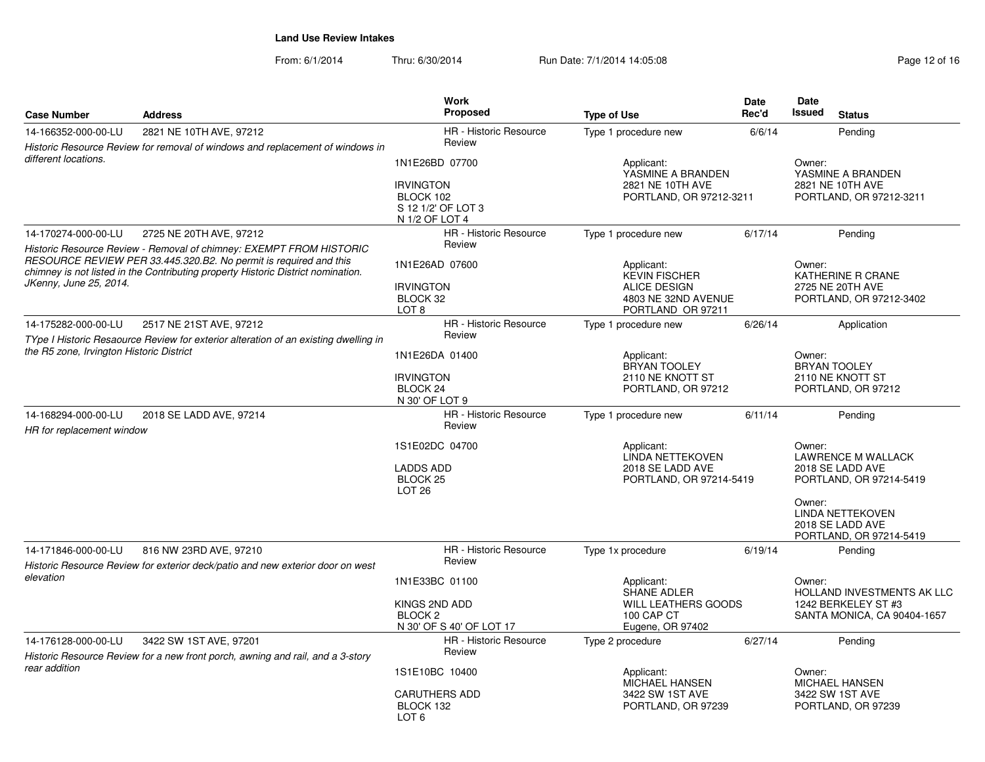| <b>Case Number</b>                               | <b>Address</b>                                                                                                                                                                                                               | Work<br>Proposed                                                                                                                                | <b>Type of Use</b>                                                               | <b>Date</b><br>Rec'd                                                             | Date<br><b>Issued</b><br><b>Status</b>                                                                                                      |
|--------------------------------------------------|------------------------------------------------------------------------------------------------------------------------------------------------------------------------------------------------------------------------------|-------------------------------------------------------------------------------------------------------------------------------------------------|----------------------------------------------------------------------------------|----------------------------------------------------------------------------------|---------------------------------------------------------------------------------------------------------------------------------------------|
| 14-166352-000-00-LU                              | 2821 NE 10TH AVE, 97212                                                                                                                                                                                                      | HR - Historic Resource                                                                                                                          | Type 1 procedure new                                                             | 6/6/14                                                                           | Pending                                                                                                                                     |
| different locations.                             | Historic Resource Review for removal of windows and replacement of windows in                                                                                                                                                | Review                                                                                                                                          |                                                                                  |                                                                                  |                                                                                                                                             |
|                                                  |                                                                                                                                                                                                                              | 1N1E26BD 07700<br><b>IRVINGTON</b><br>BLOCK 102<br>S 12 1/2' OF LOT 3<br>N 1/2 OF LOT 4                                                         | Applicant:<br>YASMINE A BRANDEN<br>2821 NE 10TH AVE<br>PORTLAND, OR 97212-3211   | Owner:<br>YASMINE A BRANDEN<br>2821 NE 10TH AVE<br>PORTLAND, OR 97212-3211       |                                                                                                                                             |
| 14-170274-000-00-LU                              | 2725 NE 20TH AVE, 97212                                                                                                                                                                                                      | <b>HR</b> - Historic Resource                                                                                                                   | Type 1 procedure new                                                             | 6/17/14                                                                          | Pending                                                                                                                                     |
| JKenny, June 25, 2014.                           | Historic Resource Review - Removal of chimney: EXEMPT FROM HISTORIC<br>RESOURCE REVIEW PER 33.445.320.B2. No permit is required and this<br>chimney is not listed in the Contributing property Historic District nomination. | Review<br>1N1E26AD 07600<br><b>IRVINGTON</b><br>BLOCK 32                                                                                        | Applicant:<br><b>KEVIN FISCHER</b><br><b>ALICE DESIGN</b><br>4803 NE 32ND AVENUE |                                                                                  | Owner:<br>KATHERINE R CRANE<br>2725 NE 20TH AVE<br>PORTLAND, OR 97212-3402                                                                  |
|                                                  |                                                                                                                                                                                                                              | LOT <sub>8</sub>                                                                                                                                | PORTLAND OR 97211                                                                |                                                                                  |                                                                                                                                             |
| 14-175282-000-00-LU                              | 2517 NE 21ST AVE, 97212<br>TYpe I Historic Resaource Review for exterior alteration of an existing dwelling in                                                                                                               | HR - Historic Resource<br>Review                                                                                                                | Type 1 procedure new                                                             | 6/26/14                                                                          | Application                                                                                                                                 |
| the R5 zone, Irvington Historic District         |                                                                                                                                                                                                                              | 1N1E26DA 01400<br>Applicant:<br><b>BRYAN TOOLEY</b><br><b>IRVINGTON</b><br>2110 NE KNOTT ST<br>BLOCK 24<br>PORTLAND, OR 97212<br>N 30' OF LOT 9 |                                                                                  |                                                                                  | Owner:<br><b>BRYAN TOOLEY</b><br>2110 NE KNOTT ST<br>PORTLAND, OR 97212                                                                     |
| 14-168294-000-00-LU<br>HR for replacement window | 2018 SE LADD AVE, 97214                                                                                                                                                                                                      | HR - Historic Resource<br>Review                                                                                                                | Type 1 procedure new                                                             | 6/11/14                                                                          | Pending                                                                                                                                     |
|                                                  | 1S1E02DC 04700<br><b>LADDS ADD</b><br><b>BLOCK 25</b><br>LOT <sub>26</sub>                                                                                                                                                   |                                                                                                                                                 | Applicant:<br>LINDA NETTEKOVEN<br>2018 SE LADD AVE<br>PORTLAND, OR 97214-5419    |                                                                                  | Owner:<br><b>LAWRENCE M WALLACK</b><br>2018 SE LADD AVE<br>PORTLAND, OR 97214-5419<br>Owner:<br><b>LINDA NETTEKOVEN</b><br>2018 SE LADD AVE |
|                                                  |                                                                                                                                                                                                                              |                                                                                                                                                 |                                                                                  |                                                                                  | PORTLAND, OR 97214-5419                                                                                                                     |
| 14-171846-000-00-LU                              | 816 NW 23RD AVE, 97210<br>Historic Resource Review for exterior deck/patio and new exterior door on west                                                                                                                     | <b>HR</b> - Historic Resource<br>Review                                                                                                         | Type 1x procedure                                                                | 6/19/14                                                                          | Pending                                                                                                                                     |
| elevation                                        |                                                                                                                                                                                                                              | 1N1E33BC 01100                                                                                                                                  | Applicant:                                                                       |                                                                                  | Owner:                                                                                                                                      |
|                                                  |                                                                                                                                                                                                                              | KINGS 2ND ADD<br>BLOCK <sub>2</sub><br>N 30' OF S 40' OF LOT 17                                                                                 | <b>SHANE ADLER</b><br>WILL LEATHERS GOODS<br>100 CAP CT<br>Eugene, OR 97402      | HOLLAND INVESTMENTS AK LLC<br>1242 BERKELEY ST #3<br>SANTA MONICA, CA 90404-1657 |                                                                                                                                             |
| 14-176128-000-00-LU                              | 3422 SW 1ST AVE, 97201                                                                                                                                                                                                       | HR - Historic Resource                                                                                                                          | Type 2 procedure                                                                 | 6/27/14                                                                          | Pending                                                                                                                                     |
|                                                  | Historic Resource Review for a new front porch, awning and rail, and a 3-story                                                                                                                                               | Review                                                                                                                                          |                                                                                  |                                                                                  |                                                                                                                                             |
| rear addition                                    |                                                                                                                                                                                                                              | 1S1E10BC 10400<br><b>CARUTHERS ADD</b><br>BLOCK 132<br>LOT <sub>6</sub>                                                                         | Applicant:<br>MICHAEL HANSEN<br>3422 SW 1ST AVE<br>PORTLAND, OR 97239            |                                                                                  | Owner:<br>MICHAEL HANSEN<br>3422 SW 1ST AVE<br>PORTLAND, OR 97239                                                                           |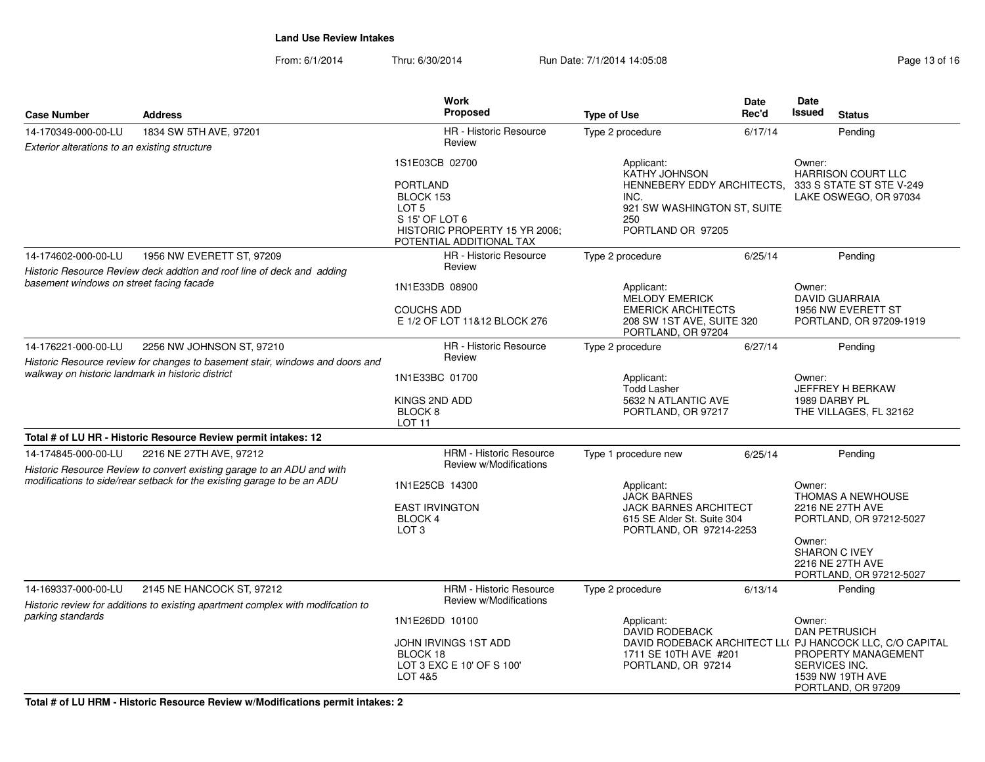|                                                   |                                                                                                                                                   | <b>Work</b>                                                                                       |                                                                                                                                  | Date                                                                                       | Date                                                                                                   |  |
|---------------------------------------------------|---------------------------------------------------------------------------------------------------------------------------------------------------|---------------------------------------------------------------------------------------------------|----------------------------------------------------------------------------------------------------------------------------------|--------------------------------------------------------------------------------------------|--------------------------------------------------------------------------------------------------------|--|
| <b>Case Number</b>                                | <b>Address</b>                                                                                                                                    | Proposed                                                                                          | <b>Type of Use</b>                                                                                                               | Rec'd                                                                                      | <b>Issued</b><br><b>Status</b>                                                                         |  |
| 14-170349-000-00-LU                               | 1834 SW 5TH AVE, 97201                                                                                                                            | HR - Historic Resource                                                                            | Type 2 procedure                                                                                                                 | 6/17/14                                                                                    | Pending                                                                                                |  |
| Exterior alterations to an existing structure     |                                                                                                                                                   | Review                                                                                            |                                                                                                                                  |                                                                                            |                                                                                                        |  |
|                                                   |                                                                                                                                                   | 1S1E03CB 02700<br><b>PORTLAND</b>                                                                 | Applicant:<br><b>KATHY JOHNSON</b>                                                                                               | Owner:<br><b>HARRISON COURT LLC</b><br>HENNEBERY EDDY ARCHITECTS, 333 S STATE ST STE V-249 |                                                                                                        |  |
|                                                   |                                                                                                                                                   | BLOCK 153<br>LOT 5<br>S 15' OF LOT 6<br>HISTORIC PROPERTY 15 YR 2006;<br>POTENTIAL ADDITIONAL TAX | INC.<br>250<br>PORTLAND OR 97205                                                                                                 | 921 SW WASHINGTON ST, SUITE                                                                |                                                                                                        |  |
| 14-174602-000-00-LU                               | 1956 NW EVERETT ST, 97209                                                                                                                         | <b>HR</b> - Historic Resource                                                                     | Type 2 procedure                                                                                                                 | 6/25/14                                                                                    | Pending                                                                                                |  |
| basement windows on street facing facade          | Historic Resource Review deck addtion and roof line of deck and adding                                                                            | Review                                                                                            |                                                                                                                                  |                                                                                            |                                                                                                        |  |
|                                                   |                                                                                                                                                   | 1N1E33DB 08900<br><b>COUCHS ADD</b>                                                               | Applicant:<br>MELODY EMERICK<br><b>EMERICK ARCHITECTS</b>                                                                        |                                                                                            | Owner:<br><b>DAVID GUARRAIA</b><br>1956 NW EVERETT ST                                                  |  |
|                                                   |                                                                                                                                                   | E 1/2 OF LOT 11&12 BLOCK 276                                                                      | 208 SW 1ST AVE, SUITE 320<br>PORTLAND, OR 97204                                                                                  |                                                                                            | PORTLAND, OR 97209-1919                                                                                |  |
| 14-176221-000-00-LU                               | 2256 NW JOHNSON ST, 97210<br>Historic Resource review for changes to basement stair, windows and doors and                                        | HR - Historic Resource<br>Review                                                                  | Type 2 procedure                                                                                                                 | 6/27/14                                                                                    | Pending                                                                                                |  |
| walkway on historic landmark in historic district |                                                                                                                                                   | 1N1E33BC 01700                                                                                    | Applicant:<br><b>Todd Lasher</b>                                                                                                 |                                                                                            | Owner:<br>JEFFREY H BERKAW                                                                             |  |
|                                                   |                                                                                                                                                   | KINGS 2ND ADD<br>BLOCK <sub>8</sub><br><b>LOT 11</b>                                              | 5632 N ATLANTIC AVE<br>PORTLAND, OR 97217                                                                                        |                                                                                            | 1989 DARBY PL<br>THE VILLAGES, FL 32162                                                                |  |
|                                                   | Total # of LU HR - Historic Resource Review permit intakes: 12                                                                                    |                                                                                                   |                                                                                                                                  |                                                                                            |                                                                                                        |  |
| 14-174845-000-00-LU                               | 2216 NE 27TH AVE, 97212                                                                                                                           | <b>HRM - Historic Resource</b>                                                                    | Type 1 procedure new                                                                                                             | 6/25/14                                                                                    | Pending                                                                                                |  |
|                                                   | Historic Resource Review to convert existing garage to an ADU and with<br>modifications to side/rear setback for the existing garage to be an ADU | Review w/Modifications                                                                            |                                                                                                                                  |                                                                                            |                                                                                                        |  |
|                                                   |                                                                                                                                                   | 1N1E25CB 14300                                                                                    | Applicant:<br><b>JACK BARNES</b>                                                                                                 |                                                                                            | Owner:<br>THOMAS A NEWHOUSE                                                                            |  |
|                                                   |                                                                                                                                                   | <b>EAST IRVINGTON</b><br>BLOCK 4<br>LOT <sub>3</sub>                                              | <b>JACK BARNES ARCHITECT</b><br>615 SE Alder St. Suite 304<br>PORTLAND, OR 97214-2253                                            |                                                                                            | 2216 NE 27TH AVE<br>PORTLAND, OR 97212-5027                                                            |  |
|                                                   |                                                                                                                                                   |                                                                                                   |                                                                                                                                  |                                                                                            | Owner:<br>SHARON C IVEY<br>2216 NE 27TH AVE<br>PORTLAND, OR 97212-5027                                 |  |
| 14-169337-000-00-LU                               | 2145 NE HANCOCK ST, 97212                                                                                                                         | <b>HRM - Historic Resource</b><br>Review w/Modifications                                          | Type 2 procedure                                                                                                                 | 6/13/14                                                                                    | Pending                                                                                                |  |
| parking standards                                 | Historic review for additions to existing apartment complex with modifcation to                                                                   | 1N1E26DD 10100                                                                                    | Applicant:                                                                                                                       |                                                                                            | Owner:                                                                                                 |  |
|                                                   |                                                                                                                                                   | JOHN IRVINGS 1ST ADD<br>BLOCK 18<br>LOT 3 EXC E 10' OF S 100'<br>LOT 4&5                          | <b>DAVID RODEBACK</b><br>DAVID RODEBACK ARCHITECT LLI PJ HANCOCK LLC, C/O CAPITAL<br>1711 SE 10TH AVE #201<br>PORTLAND, OR 97214 |                                                                                            | <b>DAN PETRUSICH</b><br>PROPERTY MANAGEMENT<br>SERVICES INC.<br>1539 NW 19TH AVE<br>PORTLAND, OR 97209 |  |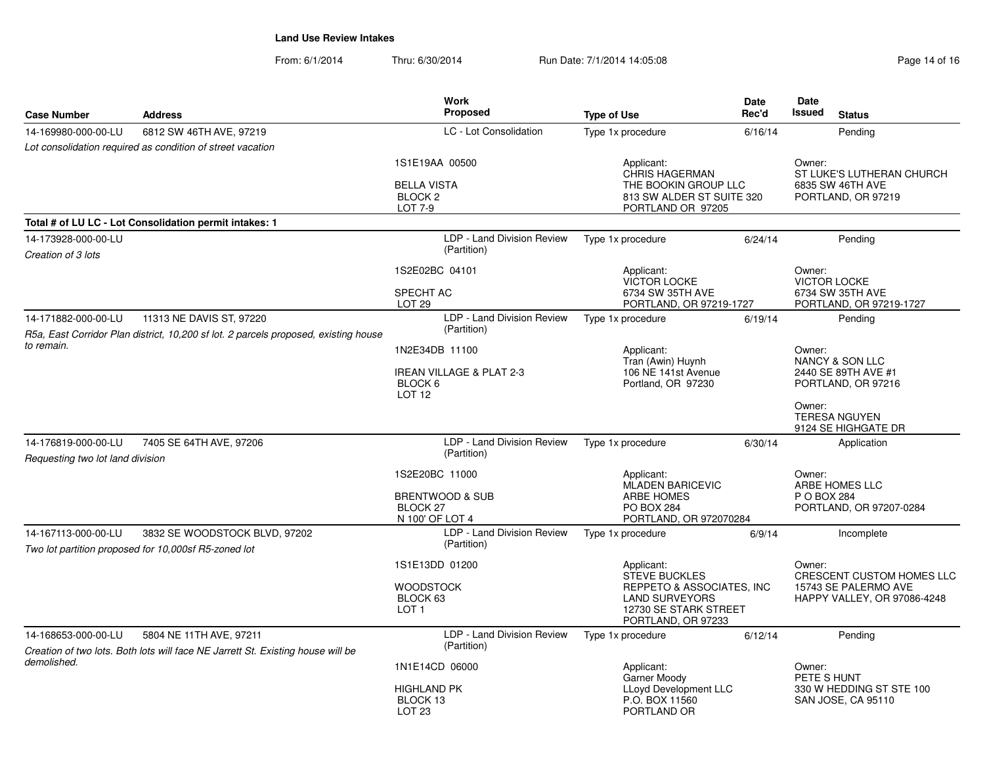| <b>Case Number</b>                                      | <b>Address</b>                                                                                                  | <b>Work</b><br>Proposed                                                          | <b>Type of Use</b>                                                                                                                                | Date<br>Rec'd    | <b>Date</b><br><b>Issued</b>                                                                                | <b>Status</b>                                                       |
|---------------------------------------------------------|-----------------------------------------------------------------------------------------------------------------|----------------------------------------------------------------------------------|---------------------------------------------------------------------------------------------------------------------------------------------------|------------------|-------------------------------------------------------------------------------------------------------------|---------------------------------------------------------------------|
| 14-169980-000-00-LU                                     | 6812 SW 46TH AVE, 97219                                                                                         | LC - Lot Consolidation                                                           | Type 1x procedure                                                                                                                                 | 6/16/14          |                                                                                                             | Pending                                                             |
|                                                         | Lot consolidation required as condition of street vacation                                                      |                                                                                  |                                                                                                                                                   |                  |                                                                                                             |                                                                     |
|                                                         |                                                                                                                 | 1S1E19AA 00500<br><b>BELLA VISTA</b><br><b>BLOCK 2</b><br><b>LOT 7-9</b>         | Applicant:<br><b>CHRIS HAGERMAN</b><br>THE BOOKIN GROUP LLC<br>813 SW ALDER ST SUITE 320<br>PORTLAND OR 97205                                     |                  | Owner:                                                                                                      | ST LUKE'S LUTHERAN CHURCH<br>6835 SW 46TH AVE<br>PORTLAND, OR 97219 |
|                                                         | Total # of LU LC - Lot Consolidation permit intakes: 1                                                          |                                                                                  |                                                                                                                                                   |                  |                                                                                                             |                                                                     |
| 14-173928-000-00-LU<br>Creation of 3 lots               |                                                                                                                 | LDP - Land Division Review<br>(Partition)                                        | Type 1x procedure                                                                                                                                 | 6/24/14          |                                                                                                             | Pending                                                             |
|                                                         |                                                                                                                 | 1S2E02BC 04101<br>SPECHT AC<br>LOT <sub>29</sub>                                 | Applicant:<br><b>VICTOR LOCKE</b><br>6734 SW 35TH AVE<br>PORTLAND, OR 97219-1727                                                                  |                  | Owner:<br><b>VICTOR LOCKE</b>                                                                               | 6734 SW 35TH AVE<br>PORTLAND, OR 97219-1727                         |
| 14-171882-000-00-LU                                     | 11313 NE DAVIS ST, 97220<br>R5a, East Corridor Plan district, 10,200 sf lot. 2 parcels proposed, existing house | LDP - Land Division Review<br>(Partition)                                        | Type 1x procedure                                                                                                                                 | 6/19/14          |                                                                                                             | Pending                                                             |
| to remain.                                              | 1N2E34DB 11100<br><b>IREAN VILLAGE &amp; PLAT 2-3</b><br>BLOCK 6<br>LOT <sub>12</sub>                           | Applicant:<br>Tran (Awin) Huynh<br>106 NE 141st Avenue<br>Portland, OR 97230     |                                                                                                                                                   | Owner:<br>Owner: | NANCY & SON LLC<br>2440 SE 89TH AVE #1<br>PORTLAND, OR 97216<br><b>TERESA NGUYEN</b><br>9124 SE HIGHGATE DR |                                                                     |
| 14-176819-000-00-LU<br>Requesting two lot land division | 7405 SE 64TH AVE, 97206                                                                                         | LDP - Land Division Review<br>(Partition)                                        | Type 1x procedure                                                                                                                                 | 6/30/14          |                                                                                                             | Application                                                         |
|                                                         |                                                                                                                 | 1S2E20BC 11000<br><b>BRENTWOOD &amp; SUB</b><br>BLOCK 27<br>N 100' OF LOT 4      | Applicant:<br><b>MLADEN BARICEVIC</b><br><b>ARBE HOMES</b><br><b>PO BOX 284</b><br>PORTLAND, OR 972070284                                         |                  | Owner:<br>P O BOX 284                                                                                       | ARBE HOMES LLC<br>PORTLAND, OR 97207-0284                           |
| 14-167113-000-00-LU                                     | 3832 SE WOODSTOCK BLVD, 97202<br>Two lot partition proposed for 10,000sf R5-zoned lot                           | LDP - Land Division Review<br>(Partition)                                        | Type 1x procedure                                                                                                                                 | 6/9/14           |                                                                                                             | Incomplete                                                          |
|                                                         |                                                                                                                 | 1S1E13DD 01200<br><b>WOODSTOCK</b><br>BLOCK 63<br>LOT <sub>1</sub>               | Applicant:<br>Owner:<br><b>STEVE BUCKLES</b><br>REPPETO & ASSOCIATES, INC<br><b>LAND SURVEYORS</b><br>12730 SE STARK STREET<br>PORTLAND, OR 97233 |                  | <b>CRESCENT CUSTOM HOMES LLC</b><br>15743 SE PALERMO AVE<br>HAPPY VALLEY, OR 97086-4248                     |                                                                     |
| 14-168653-000-00-LU                                     | 5804 NE 11TH AVE, 97211<br>Creation of two lots. Both lots will face NE Jarrett St. Existing house will be      | LDP - Land Division Review<br>(Partition)                                        | Type 1x procedure                                                                                                                                 | 6/12/14          |                                                                                                             | Pendina                                                             |
| demolished.                                             |                                                                                                                 | 1N1E14CD 06000<br><b>HIGHLAND PK</b><br>BLOCK <sub>13</sub><br>LOT <sub>23</sub> | Applicant:<br>Garner Moody<br><b>LLoyd Development LLC</b><br>P.O. BOX 11560<br>PORTLAND OR                                                       |                  | Owner:<br>PETE S HUNT                                                                                       | 330 W HEDDING ST STE 100<br>SAN JOSE, CA 95110                      |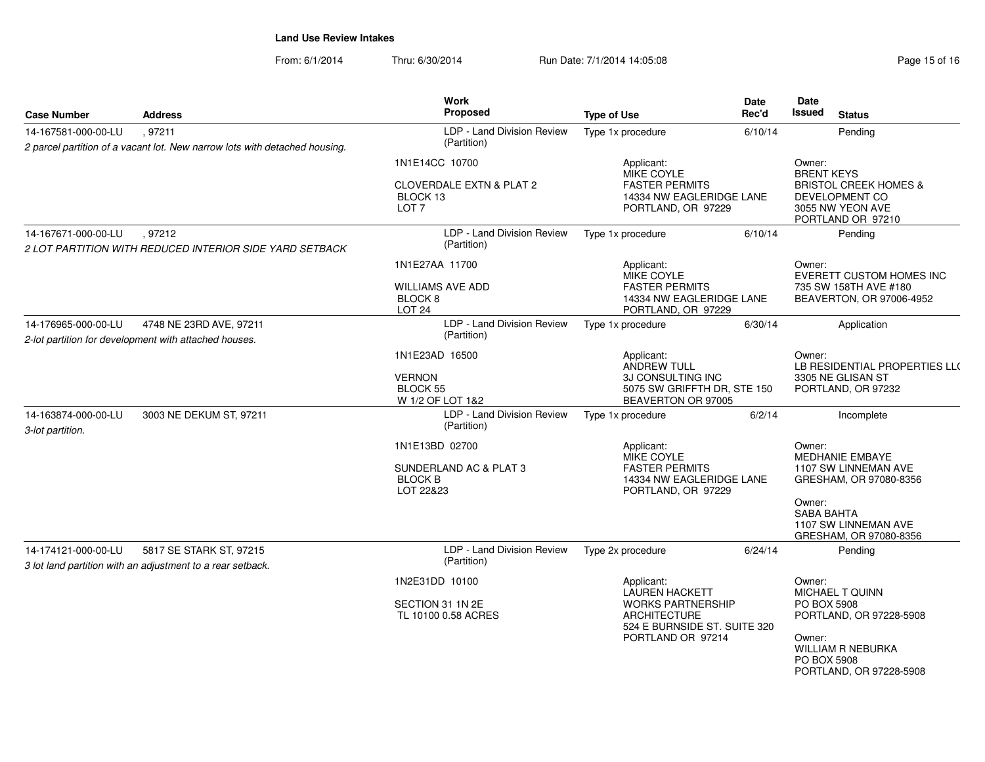| <b>Case Number</b>                      | <b>Address</b>                                                                        | Work<br>Proposed                                                    | <b>Type of Use</b>                                                              | Date<br>Rec'd | Date<br><b>Issued</b><br><b>Status</b>                                                      |
|-----------------------------------------|---------------------------------------------------------------------------------------|---------------------------------------------------------------------|---------------------------------------------------------------------------------|---------------|---------------------------------------------------------------------------------------------|
| 14-167581-000-00-LU                     | , 97211<br>2 parcel partition of a vacant lot. New narrow lots with detached housing. | LDP - Land Division Review<br>(Partition)                           | Type 1x procedure                                                               | 6/10/14       | Pending                                                                                     |
|                                         |                                                                                       | 1N1E14CC 10700                                                      | Applicant:<br><b>MIKE COYLE</b>                                                 |               | Owner:<br><b>BRENT KEYS</b>                                                                 |
|                                         |                                                                                       | <b>CLOVERDALE EXTN &amp; PLAT 2</b><br>BLOCK 13<br>LOT <sub>7</sub> | <b>FASTER PERMITS</b><br>14334 NW EAGLERIDGE LANE<br>PORTLAND, OR 97229         |               | <b>BRISTOL CREEK HOMES &amp;</b><br>DEVELOPMENT CO<br>3055 NW YEON AVE<br>PORTLAND OR 97210 |
| 14-167671-000-00-LU                     | , 97212<br>2 LOT PARTITION WITH REDUCED INTERIOR SIDE YARD SETBACK                    | LDP - Land Division Review<br>(Partition)                           | Type 1x procedure                                                               | 6/10/14       | Pending                                                                                     |
|                                         |                                                                                       | 1N1E27AA 11700                                                      | Applicant:<br>MIKE COYLE                                                        |               | Owner:<br><b>EVERETT CUSTOM HOMES INC</b>                                                   |
|                                         |                                                                                       | <b>WILLIAMS AVE ADD</b><br>BLOCK 8<br><b>LOT 24</b>                 | <b>FASTER PERMITS</b><br>14334 NW EAGLERIDGE LANE<br>PORTLAND, OR 97229         |               | 735 SW 158TH AVE #180<br>BEAVERTON, OR 97006-4952                                           |
| 14-176965-000-00-LU                     | 4748 NE 23RD AVE, 97211<br>2-lot partition for development with attached houses.      | LDP - Land Division Review<br>(Partition)                           | Type 1x procedure                                                               | 6/30/14       | Application                                                                                 |
|                                         |                                                                                       | 1N1E23AD 16500                                                      | Applicant:<br>ANDREW TULL                                                       |               | Owner:<br>LB RESIDENTIAL PROPERTIES LL(                                                     |
|                                         |                                                                                       | <b>VERNON</b><br>BLOCK 55<br>W 1/2 OF LOT 1&2                       | 3J CONSULTING INC<br>5075 SW GRIFFTH DR, STE 150<br>BEAVERTON OR 97005          |               | 3305 NE GLISAN ST<br>PORTLAND, OR 97232                                                     |
| 14-163874-000-00-LU<br>3-lot partition. | 3003 NE DEKUM ST, 97211                                                               | LDP - Land Division Review<br>(Partition)                           | Type 1x procedure                                                               | 6/2/14        | Incomplete                                                                                  |
|                                         |                                                                                       | 1N1E13BD 02700                                                      | Applicant:<br><b>MIKE COYLE</b>                                                 |               | Owner:<br><b>MEDHANIE EMBAYE</b>                                                            |
|                                         |                                                                                       | SUNDERLAND AC & PLAT 3<br><b>BLOCK B</b><br>LOT 22&23               | <b>FASTER PERMITS</b><br>14334 NW EAGLERIDGE LANE<br>PORTLAND, OR 97229         |               | 1107 SW LINNEMAN AVE<br>GRESHAM, OR 97080-8356                                              |
|                                         |                                                                                       |                                                                     |                                                                                 |               | Owner:<br><b>SABA BAHTA</b><br>1107 SW LINNEMAN AVE<br>GRESHAM, OR 97080-8356               |
| 14-174121-000-00-LU                     | 5817 SE STARK ST, 97215<br>3 lot land partition with an adjustment to a rear setback. | LDP - Land Division Review<br>(Partition)                           | Type 2x procedure                                                               | 6/24/14       | Pending                                                                                     |
|                                         |                                                                                       | 1N2E31DD 10100                                                      | Applicant:<br><b>LAUREN HACKETT</b>                                             |               | Owner:<br><b>MICHAEL T QUINN</b>                                                            |
|                                         |                                                                                       | SECTION 31 1N 2E<br>TL 10100 0.58 ACRES                             | <b>WORKS PARTNERSHIP</b><br><b>ARCHITECTURE</b><br>524 E BURNSIDE ST. SUITE 320 |               | PO BOX 5908<br>PORTLAND, OR 97228-5908                                                      |
|                                         |                                                                                       |                                                                     | PORTLAND OR 97214                                                               |               | Owner:<br>WILLIAM R NEBURKA<br>PO BOX 5908<br>PORTLAND, OR 97228-5908                       |